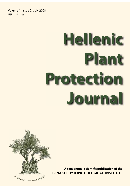Volume 1, Issue 2, July 2008 ISSN 1791-3691

# **Hellenic Plant Protection Journal**



**A semiannual scientific publication of the BENAKI PHYTOPATHOLOGICAL INSTITUTE BE**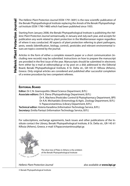The Hellenic Plant Protection Journal (ISSN 1791-3691) is the new scientific publication of the Benaki Phytopathological Institute replacing the Annals of the Benaki Phytopathological Institute (ISSN 1790-1480) which had been published since 1935.

Starting from January 2008, the Benaki Phytopathological Institute is publishing the Hellenic Plant Protection Journal semiannually, in January and July each year, and accepts for publication any work related to plant protection in the Mediterranean region regardless of where it was conducted. All aspects of plant protection referring to plant pathogens, pests, weeds (identification, biology, control), pesticides and relevant environmental issues are topics covered by the journal.

Articles in the form of either a complete research paper or a short communication (including new records) may be submitted. Instructions on how to prepare the manuscript are provided in the first issue of the year. Manuscripts should be submitted in electronic form either by e-mail at editors@bpi.gr or by post on a disk addressed to the Editorial Board, Benaki Phytopathological Institute, 8 St. Delta str., GR-145 61 Kifissia (Athens), Greece. Only original articles are considered and published after successful completion of a review procedure by two competent referees.

# **EDITORIAL BOARD**

**Editor:** Dr C.N. Giannopolitis (Weed Science Department, B.P.I.) **Associate editors:** Dr K. Elena (Phytopathology Department, B.P.I.) Dr K. Machera (Pesticides Control & Phytopharmacy Department, BPI) Dr A.N. Michaelakis (Entomology & Agric. Zoology Department, B.P.I.) V. Papaconstantinou (Library Department, B.P.I.)

**Technical editor:** Asteria Karadima (Information Technology Service, B.P.I.) **Secretary:** Emilia Pantazi (Information Technology Service, B.P.I.)

For subscriptions, exchange agreements, back issues and other publications of the Institute contact the Library, Benaki Phytopathological Institute, 8 St. Delta str., GR-145 61 Kifissia (Athens), Greece, e-mail: V.Papaconstantinou@bpi.gr.



The olive tree of Plato in Athens is the emblem of the Benaki Phytopathological Institute

Hellenic Plant Protection Journal also available at **www.bpi.gr**

© Benaki Phytopathological Institute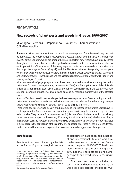# REVIEW ARTICLE

# **New records of plant pests and weeds in Greece, 1990-2007**

M. Anagnou–Veroniki<sup>1</sup>, P. Papaioannou–Souliotis<sup>2</sup>, E. Karanastasi<sup>3</sup> and C.N. Giannopolitis<sup>4</sup>

**Summary** More than 70 new insect records have been reported from Greece during the period 1990-2007. The woolly whitefly Aleurothrixus floccosus Maskell and the citrus leaf-miner Phyllocnistis citrella Stainton, which are among the most important new records, have already spread throughout the country but severe damage has been avoided with the introduction of effective exotic parasitoids. Other species of the newly reported pests that are considered important are: the thrips Pezothrips kellyanus (Bagnall) and Frankliniella occidentalis (Pergande), the red palm weevil Rhynchophorus ferrugineus (Olivier), the gall inducing wasps Ophelimus maskeli (Ashmead) and Leptocybe invasa Fisher & LaSalle and the asparagus pests Parahypopta caestrum (Hübner) and Hexomyza simplex (Loew).

Nine new records of phytophagous mites have been reported from Greece during the period 1990-2007. Of these species, Eutetranychus orientalis (Klein) and Tetranychus evansi Baker & Pritchard are quarantine mites. Especially T. evansi although not yet widespread in the country may have a serious economic impact since it can cause damage by reducing market value of the affected crops.

A total of 30 plant parasitic nematode species have been reported from Greece, during the period 1990-2007, most of which are known to be important pests worldwide. From these, only one species, Globodera pallida Stone on potato, appears to be of special interest.

Three weed species known to be very troublesome and widespread in the United States have recently appeared in Greece and are causing serious problems in irrigated summer crops, particularly in maize. They include Ipomoea hederacea (L.) Jacquin (Convolvulaceae) which has already spread in the western part of the country, Sicyos angulatus L. (Cucurbitaceae) which is spreading in the northern part and Panicum dichotomiflorum Michaux (Gramineae) which is currently restricted in a small area in the central part of the country. The appearance of these weeds in Greece demonstrates the need for measures to prevent invasion and spread of aggressive alien species.

## **Introduction**

An attempt has been initiated by scientists at the Benaki Phytopathological Institute

Corresponding author: E.Karanastasi@bpi.gr

to elaborate on data published in national and international literature and summarize new records reported for Greece during the period 1990-2007. This will provide a reliable update of existing up to 1990 national checklists for plant pathogens, pests and weed species occurring in Greece.

The plant pest records, including insects, mites and nematodes as well as the weed species records for the period 1990-

Laboratories of Microbiology & Insect Pathology (1), Acarology & Agricultural Zoology (2) and Nematology (3), Department of Entomology & Agricultural Zoology. Laboratory of Chemical Weed Management (4), Department of Weed Science. Benaki Phytopathological Institute, 8 St. Delta str., GR-145 61 Kifissia (Athens), Greece.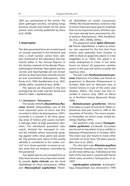2007 are summarized in this article. The plant pathogen records, including fungi, bacteria, viruses and viroids, for the same period, were recently published by Elena et al. (2008).

#### **1. Insect pests**

The data presented here are mostly based on records reported in the literature and only a small number comes from samples examined at this laboratory and registered either in the Annual Reports or the Archive material of the Benaki Phytopathological Institute. New aphid species, coccids and Agromyzidae are not included here as they have been recently recorded and summarized (Katsoyannos, 1994; Kozár et al., 1994, Kavallieratos et al., 2001, 2004b, 2004c, Souliotis & Süss, 2004).

The species are discussed in the text arranged by the order and the family and listed in Table 1 alphabetically.

#### **1.1. Hemiptera - Homoptera**

The woolly whitefly **Aleurothrixus floc***cosus* Maskell (Aleyrodidae), one of the most important pests of citrus, was first recorded in Attica by Κatsoyannos, (1991). Currently it is present in all citrus growing areas of Greece and causes economic damage when at high population densities. The introduced parasitoid Cales noacki Howard has managed to control the whitefly where insecticide spraying against other citrus pests was avoided. The present pest status of the woolly whitefly is considered to be "under control" as it shows periodic increases at certain areas that are however controlled by the parasitoid.

Two aphid species are included here as they have become very important recently, namely *Aphis citricola* van der Goot (Aphididae) on citrus (Lycouressis, 1990a) and *Macrosiphum euphorbiae* (Thomas) (Aphididae) on cotton (Lycouressis, 1990b). We should mention, however, that in Greece there are many species of aphids that can be important pests. All these species have already been presented by other authors (Katsoyannos, 1994, Kavallieratos et al., 2001, 2004b, 2004c).

The grapevine aphid *Aphis illinoisensis* Shimer (Aphididae), a native to America, was reported for the first time from Greece (and generally from Europe) in 2005 to feed on grapevine plants in Crete (Aggelakis et al., 2005). The aphid is already widespread in Crete. It has been found on almost all grapevine varieties grown in the area and seems to prefer the vigorous ones.

The soft scale *Parthenolecanium persicae* (Fabricius) (Coccidae) was found on grapevines in Messinia (Peloponnese) in October 2000 and on Viburnum tinus in Central Greece in June of the same year (Stathas, 2003c). The insect was first recorded in Greece (July 1983) on Morus sp. in Northern Greece (Epanomi) (Kozár, 1985).

*Nemolecanium graniformis* (Wünn) (Coccidae) is a pest of Grecian fir (Abies cephalonica) that was found in 1996 in the mountain of Parnitha. The insect produces honeydew on which sooty mould develops (Stathas, 1997).

The pyriform scale insect, *Protopulvinaria pyriformis* (Cockerell) (Coccidae) was found on bay plants (Laurus nobilis) in Kalamata (Peloponesse) in October 2003. The insect was also found in many other countries on more than 100 plant species (Ben-Dov et al., 2003).

The elm bark scale *Ritsemia pupifera* Lichtenstein (Pseudococcidae) was found on elm trees (Ulmus sp.). It develops on the bark of the tree and is covered with dense white waxy secretions (Savopoulou et al., 1997)

*Lepidosaphes pistaciae* Archangelskaya (Diaspididae) was observed in 1990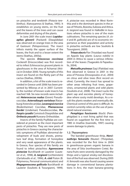on pistachio and terebinth (Pistacia terebinthus). (Katsoyannos & Stathas, 1995). It establishes on young stems, on the fruit and the leaves of the trees and can cause deformities and drying of the plants.

In June 2001 the scale insect *Lepidosaphes gloverii* (Packard) (Diaspididae) was observed on orange trees in the area of Gastouni (Peloponnisos). The insect infests mainly the upper surface of the leaves, the fruit and to a lesser extent the stems (Stathas, 2003a).

The species *Eriococcus coccineus* Cockerell (Eriococcidae) was first recorded to infest Echinocactus grusonii plants in glasshouses in the area of Acharnai (Attica) in October 2000. Young nymphs of this insect are found on the fleshy part of the cactus (Stathas, 2003b).

In addition, a list of the scale insects recorded in Greece until 2006 has been presented by Milonas et al. in 2007. Currently, the number of known scale insects has reached 168. Six new records were included: *Heterococcus nudus* (Green) Pseudococcidae, *Asterodiaspis variolosa* (Ratzeburg) Asterolecanidae, *Lecanopsis turcica* (Bodenheimer) Coccidae, *Phenacoccus hordei* (Lindeman) Pseudococcidae, *Poliaspis cycadis* Comstock Diaspididae and *Orthesia yasushi* Kuwana Ortheziidae.

Insects of the family Psyllidae are considered at present as the most important pests of pistachio. They are new pests of pistachio in Greece causing the characteristic symptoms of Psyllidae: abnormal development of buds and shoots, premature leaf drop, formation of honeydew and very weak appearance of the plants. In Greece, four species of this family are found to infest pistachios: *Agonoscena pistaciae* Burckhardt et Lauterer (Lauterer et al., 1998), *A. targionii* (Lichtenstein) (Ζartaloudis et al., 1996), *A. cisti* Puton (B. Polymerou, Personal communication) and *Megagonoscena gallicola* Burckhardt et Lauterer (Souliotis & Tsourgianni, 1999).

Α. pistaciae was recorded in West Korinthia and is the dominant species in the areas of Fthiotis, Boeotia, Euboea and Attica. A. targionii was found in Halkidiki in locations where pistachio is one of the main cultivations. The remaining species (A. cisti and M. gallicola) are of no economic importance as their population and activity in pistachio orchards are low Souliotis & Tsourgianni, 2000).

*Trioza alacris* Flor (Triozidae) was found on Appolo bay plants (Laurus nobilis) in 2004 in Attica to cause a serious infestation of the leaves (Tsagarakis & Papadoulis, 2004).

*Metcalfa pruinosa* (Say) (Flatidae) was first observed in Greece in 2001 in the area of Preveza (Drosopoulos et al., 2004) on citrus and olive trees (first record on olive). Currently, the insect has spread to other areas infesting fruit trees, grapevines, ornamental plants and wild plants (Souliotis et al., 2008). The insect sucks the plant sap and excretes plenty of honeydew where sooty mold develops. As a result the plants weaken and eventually die. Chemical control of this pest is difficult. Its control currently relies on the use of parasitoid natural enemies.

*Pemphigus fuscicornis* (Koch) (Pemphigidae) is a root living aphid that was found on sugarbeet for the first time in 1985 in Imathia (Ioannidis, 1997) causing severe damage to plants.

#### **1.2. Thysanoptera**

The banded greenhouse thrip, *Hercinothrips femoralis* (Reuter) (Thripidae), was recorded for the first time in 2004 in greenhouse-grown organic banana in the area of Sitia (northeastern Crete). Banana fruits were severely damaged by the thrips and a typical smoky-red discoloration of the fruit was observed. During 2005 H. femoralis was also found causing severe damage in conventional banana plantations in Arvi, the main banana-growing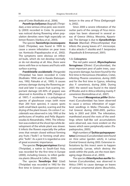area of Crete (Roditakis et al,. 2006).

*Pezoth*r*ips kellyanus* (Bagnall) (Thripidae), a new serious citrus pest, was recently (2003) recorded in Crete. Its presence was noticed during flowering when population densities were high especially on lemon flowers (Varikou et al., 2003).

The species *Taeniothrips inconsequens*  (Uzel) (Thripidae), was found in 1999 to cause a severe infestation on pear trees var. Kontoula (Papadopoulos et al., 2002). The symptoms were obvious on infested buds, which do not develop normally or do not develop at all. Also, there were stems with few or no leaves and fruits with surface scarring.

*Frankliniella occidentalis* (Pergande) (Thripidae) has been recorded in Crete (Roditakis 1994) and in Kavala (Katsoyannos, 1992; Paloukis et al., 1995). It causes primary damage during the flowering period and later it causes fruit scarring. Important damage (20-40% of grapes) was observed in Korinthia in 1996 (Tsitsipis et al. 1997). F. occidentalis is a polyphagous species of glasshouse crops (with more than 200 host species), it causes spots (with small black specks), scarring and the drying of the plant tissues. On cotton F. occidentalis was observed in July 1993 at the perfectures of Imathia and Pella (Kyparissoudas & Alexandrakis, 1993). The infestation was evident at the shoot tips while development of the whole plant was slower. It infests the flowers especially the yellow ones that remain closed without forming any fruits ("bolls") or forming small atrophic "bolls". As a pest it is regarded as one of great economic importance.

The species *Thrips parvispinus* (Karny) (Thripidae), a native to South-East Asia, was recorded for the first time in Europe (2000), including Greece, to infest gardenia plants (Mound & Collins, 2000).

The species *Tenothrips frici* (Uzel) (Thripidae) was recorded in 1992 for the first time in Greece on Lycopersicon esculentum in the area of Thiva (Deligeorgidis, 2002).

Since 2000 a severe infestation of the outter parts of the canopy of Ficus microcarpa has been observed in several areas of Greece (Attica, Messinia, Kyparissia). The damage is due to *Gynaikothrips*  **ficorum** (Marshal) (Phlocothripidae) that infests the young leaves of F. microcarpa. It also attacks F. elastika and F. benjamina (Papadoulis & Emmanouel, 2001).

#### **1.3. Coleoptera**

The red palm weevil, *Rhynchophorus ferrugineus* (Olivier) (Curculionidae), the most important pest of palm trees, causing severe damage, has been found for the first time in Hersonissos (Heraklion, Crete), infesting Phoenix canariensis, during 2005 and for the first time in Cyprus, infesting also P. canariensis, during 2006. During 2007, the weevil was found in the island of Rhodes and in Attica infesting mainly P. canariensis (Kontodimas et al., 2007).

The weevil *Mesagroicus pilifer* (Boheman) (Curculionidae) has been observed to cause a serious infestation of sugarbeet seedlings in Melia (Thessalia, Central Greece) during 2000-2005, particularly in 2003 and 2004. The infestation, manifested around the roots of the seedlings where ball-like soil accumulations were observed, was more evident on the leaves which were peripherally eaten (Papadopoulou, 2005).

High numbers of *Tychius quinquepunctatus* (Linneaus) (Curculionidae) were found on Vicia sativa (garden vetch), in Larissa (Central Greece) during 2003. Extensive infestations by this insect seem to happen occasionally. Larvae, which destroy the seeds within the pods, are the most damaging stage (Koveos et al., 2003).

The species *Otiorrhynchus aurifer* Boheman (Curculionidae), was observed in Attica (1991) to cause damage on leaves of various ornamental plants (Bouchelos,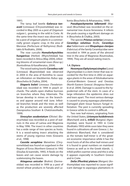1991).

The tansy leaf beetle *Galeruca tanaceti* (Linneaus) (Chrysomelidae**)** was recorded in May 2005 as a pest of Origanum vulgare L. growing in the wild in Crete. At the same time the insect was observed to be a pest of origanum plants in a commercially grown organic crop, in the area of Meronas (Perfecture of Rethymno) (Roditakis & Roditakis, 2006).

The rose curculio *Homalorhynchites hungaricus* (Herbst) (Rhynchitidae**)** has been recorded in Attica (May 2004), infesting blooms of ornamental roses (Rosa sp.) (Kontodimas & Kavallieratos, 2004).

The wood eating beetle *Coroebus rubi* (Linneaus) **(**Buprestidae**)** was observed in 2004 in the area of Korinthia to cause an infestation on blackberries Rubus spp. (Bouchelos & Chalkia, 2004).

*Diaperis boleti* Linneaus (Tenebrionidae**)** was recorded in 1994 in peach orchards. The adults open shallow burrows on branches where they hibernate. The larvae develop in mines on the branches and appear around mid June. Infested branches break and the trees as well as the production are severely affected (Savopoulou-Soultani & Chatzivassiliadis, 1999).

*Sinoxylon sexdentatum* (Olivier) (Bostrychidae) was recorded as a pest of walnuts in the area of Larissa and Magnesia in May 1996. The insect in other countries has a wide range of tree species as hosts. It is a wood-eating insect attacking the stems of young vigorous trees (Gravanis et al., 1998)

*Cassida seraphina* Menetries (Chrysomelidae**)** was found on sugarbeet in the Region of Evros (Northern Greece) in 1992 (Doulias & Ioannidis, 1995). It feeds on the leaves and can cause severe damage by sceletonizing the leaves.

*Attagenus unicolor* (Brahm) (Dermestidae) was recorded in 1999 as a pest of stored wheat products in Farsala and Lakonia (Bouchelos & Athanassiou, 1999).

*Pseudopachymerina lallemantii* (Marseul) (Bruchidae) was recorded on the ornamental tree Acacia farnesiana. It infests the pods causing a significant damage on it (Bouchelos & Chalkia, 2003).

The species *Prionus coriarius* Linnaeus, *Cerambyx velutinus* Brulle, *Cerambyx dux* Faldermann and *Rhopalopus clavipes* (Fabricius) of the family Cerambycidae were recorded in 1994 as pests of the almond tree in the area of Magnesia (Koutroubas, 1994). They are all wood-eating insects.

## **1.4. Diptera**

*Hexomyza (Ophyiomya) simplex* (Loew) (Agromyzidae) is a stem miner that was recorded for the first time in 2002 on asparagus plants in the areas of Aitoloakarnania (Central-Western Greece) and Orestias (North-Eastern Greece) (Anagnou-Veroniki et al. 2004). Damage is caused to the hypodermal cells of the stem. In cases of a large infestation the epidermis dries out and tears apart. The most serious damage is caused to young asparagus plantations. Damaged plant tissue favours fungal infestation. The pest is currently spreading in Greece while its control is difficult.

Two new leaf-miners, originating from the United States, *Liriomyza huidobrensis* (Blanchard) and *L. trifolii* (Burgess) (Agromyzidae), were found in 1993 in Crete (Roditakis 1993) while soon later they were found in cultivations all over Greece. L. huidobrensis Blanchard, that is considered as the tomato leaf-miner is of the greatest economic importance while it has the most hosts of all the other leaf-miners and it is found in great numbers on mainland Greece as well as in the Greek islands. L. trifolii prefers warmer areas and this is why it appears especially in Southern Greece and in Crete.

*Delia (Phorbia) platura* (Meigen) (Anthomyiidae) was reported to cause significant damage to asparagus plantations in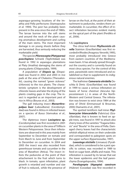asparagus-growing locations of the Imathia and Pella perfectures (Stamopoulos et al. 1994). The pest has probably been present in the area since the end of 1980s. The larvae burrow into the soft stems and around the neck of the plant causing anomalous development and curling of the main stems. The most important damage is on young shoots before they are harvested, thus seriously reducing the marketable yield.

The species *Plioreocepta (Platyparea) poeciloptera* Schrank (Tephritidae**)** was found in 1992 in asparagus plantations at Platy (Imathia) damaging the stems of young plants (Chlapoutakis, 1999).

A population of *Diopsis* **sp**. (Diopsidae**)** was found in 2002 and 2003 in rice pads at the area of Chalastra (Thessaloniki), causing the named "green sickness" (chlorosis) to the rice plants. The characteristic symptom is the development of chlorotic leaves and later the drying of the plants creating gaps in the crop. The insect is regarded as an important pest of rice in Africa (Bouras et al., 2003).

The gall inducing insect *Monarthropalpus buxi* (Laboulbene) (Cecidomyiidae**)** was found in Attica in infested leaves on a species of Buxus (Vamvakas et al., 2007).

The dipterous insect *Lasioptera* **sp.** (Cecidomyidae) was first recorded in 2001 on cucumber plants in the area of Trifilia in Western Peloponnese. Since then infestations are observed in this area mainly from September to December on tomato and from March to June and from September to December on cucumber. In 2004 and 2005 the insect was also recorded from greenhouse tomato and cucumber in the area of Marathon (Attica). The insect infests the peduncles at the point of their attachement to the fruit which turns to black. In tomato, upon infestation, plant growth is retarded and number and size of fruit is reduced., while the presence of larvae on the fruit, at the point of their attachment to peduncles, renders them unmarketable. In cucumber, the effect of insect infestation becomes evident mainly on the apical part of the plant (Perdikis et al., 2006).

#### **1.5. Lepidoptera**

The citrus leaf-miner *Phyllocnistis cit***rella** Stainton (Gracillariidae) was first recorded in Rhodes (Anagnou-Veroniki, 1995), most probably introduced into Greece from eastern countries of the Mediterranean basin. It has already spread throughout the country and is currently found on most citrus species. For the control of this pest, parasitoids were introduced and established so that to supplement its indigenous natural enemies.

The leafminer *Cameraria ohridella* Deschka & Dimic (Gracillariidae) was found in 1999 to cause a serious infestation on leaves of horse chestnut (Aesculus hippocastaneum L.) in areas of the North-Western and Central Greece. The infestation was known to exist since 1984 at the area of Ohrid (Emmanouel & Broumas, 2000; Diamantis et al., 2001).

The spotted tentiform leaf-miner *Phyllonorycter blancardella* (Fabricius) (Gracillariidae), that is known to feed on apple trees, was found in 1997 to attack also cherry trees of the varieties "Tragana Edessis" and "Bourla" in the area of Pella. Damaged cherry leaves had the characteristic whitish elliptical mines on their underside and corresponded to palegreen spots on the upper surface (Kyparissoudas, 1997).

*Loxostege stictialis* (Linnaeus) (Pyralidae), which is considered to be a pest specific to cotton, was recorded in 1989 to feed on sugar beet, alfalfa and maize. This infestation is caused by its larvae that eat the lower epidermis and the leaf parenchyma (Evangelopoulos, 1994).

*Parahypopta* **(***Hypopta***)** *caestrum* (Hübner) (Cossidae) was first recorded in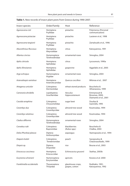| Insect species             | Order/Family                   | Host                                | Reference                                               |  |
|----------------------------|--------------------------------|-------------------------------------|---------------------------------------------------------|--|
| Agonoscena cisti           | Hemiptera:<br>Psyllidae        | pistachio                           | Polymerou (Personal<br>communication)                   |  |
| Agonoscena pistaciae       | Hemiptera:<br>Psyllidae        | pistachio                           | Lauterer et al., 1998                                   |  |
| Agonoscena targionii       | Hemiptera:<br>Psyllidae        | pistachio                           | Zartaloudis et al., 1996                                |  |
| Aleurothrixus floccosus    | Hemiptera:<br>Aleyrodidae      | citrus<br>Katsoyannos, 1991         |                                                         |  |
| Allantus cinctus           | Hymenoptera:<br>Tenthredinidae | ornamental roses                    | Simoglou, 2004                                          |  |
| Aphis citricola            | Hemiptera:<br>Aphididae        | citrus                              | Lycouressis, 1990a                                      |  |
| Aphis illinoisensis        | Hemiptera:<br>Aphididae        | grapevine                           | Aggelakis et al., 2005                                  |  |
| Arge ochropus              | Hymenoptera:<br>Argidae        | ornamental roses                    | Simoglou, 2004                                          |  |
| Asterodiaspis variolosa    | Hemiptera:<br>Asterolecanidae  | Ouercus coccifera                   | Milonas et al., 2007                                    |  |
| Attagenus unicolor         | Coleoptera:<br>Dermestidae     | wheat stored products               | Bouchelos &<br>Athanassiou, 1999                        |  |
| Cameraria ohridella        | Lepidoptera:<br>Gracillariidae | Aesculus<br>hippocastaneum          | Emmanouel &<br>Broumas, 2000;<br>Diamantis et al., 2001 |  |
| Cassida seraphina          | Coleoptera:<br>Chrysomelidae   | sugar beet                          | Doulias &<br>Ioannidis, 1995                            |  |
| Cerambyx dux               | Coleoptera:<br>Cerambycidae    | almond tree wood                    | Koutroubas, 1994                                        |  |
| Cerambyx velutinus         | Coleoptera:<br>Cerambycidae    | almond tree wood                    | Koutroubas, 1994                                        |  |
| Cladius difformis          | Hymenoptera:<br>Tenthredinidae | ornamental roses                    | Simoglou, 2004                                          |  |
| Coroebus rubi              | Coleoptera:<br>Buprestidae     | blackberries<br>(Rubus spp.)        | Bouchelos &<br>Chalkia, 2004                            |  |
| Delia (Phorbia) platura    | Diptera:<br>Anthomyiidae       | asparagus                           | Stamopoulos et al., 1994                                |  |
| Diaperis boleti            | Coleoptera:<br>Tenebrionidae   | peach                               | Savopoulou &<br>Chatzivassiliadis, 1999                 |  |
| Diopsis sp.                | Diptera:<br>Diopsidae          | rice                                | Bouras et al., 2003                                     |  |
| Eriococcus coccineus       | Hemiptera:<br>Eriococcidae     | Echinocactus grusonii               | Stathas, 2003b                                          |  |
| Eurytoma schrenerii        | Hymenoptera:<br>Eurytomidae    | apricots                            | Koveos et al. 2000                                      |  |
| Frankliniella occidentalis | Thysanoptera:<br>Thripidae     | glasshouse crops,<br>grapes, cotton | Roditakis, 1991;<br>Katsoyannos, 1992                   |  |

# **Table 1.** New records of insect plant pests from Greece during 1990-2007.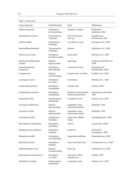| Insect species                                 | Order/Family                 | Host                                              | Reference                           |  |
|------------------------------------------------|------------------------------|---------------------------------------------------|-------------------------------------|--|
| Galeruca tanaceti                              | Coleoptera:<br>Chrysomelidae | Origanum vulgare                                  | Roditakis &<br>Roditakis, 2006      |  |
| Gynaikothrips ficorum                          | Thysanoptera:<br>Thripidae   | Ficus microcarpa<br>Ficus sp.                     | Papadoulis &<br>Emmanouel, 2001     |  |
| Hellula undalis                                | Lepidoptera:<br>Pyralidae    | Cruciferous crops                                 | Simoglou et al., 2007               |  |
| Hercinothrips femoralis                        | Thysanoptera:<br>Thripidae   | banana                                            | Roditakis et al., 2006              |  |
| Heterococcus nudus                             | Hemiptera:<br>Pseudococcidae | Gramineae                                         | Milonas et al., 2007                |  |
| Hexomyza (Ophyiomya)<br>simplex                | Diptera:<br>Agromyzidae      | asparagus                                         | Anagnou-Veroniki et al.,<br>2004    |  |
| Homalorhynchites<br>hungaricus                 | Coleoptera:<br>Rhynchitidae  | ornamental roses                                  | Kontodimas &<br>Kavallieratos, 2004 |  |
| Lasioptera sp.                                 | Diptera:<br>Cecidomyidae     | tomato and cucumber                               | Perdikis et al., 2006               |  |
| Lecanopsis turcica                             | Hemiptera:<br>Coccidae       | Gramineae                                         | Milonas et al., 2007                |  |
| Lepidosaphes gloverii                          | Hemiptera:<br>Diaspididae    | orange trees                                      | Stathas, 2003                       |  |
| Lepidosaphes pistaciae                         | Hemiptera:<br>Diaspididae    | pistachio and terebinth<br>(Pistacia terebinthus) | Katsoyannos & Stathas,<br>1995      |  |
| Leptocybe invasa                               | Hymenoptera:<br>Eulophidae   | eucalyptus trees                                  | Potasov et al., 2007                |  |
| Liriomyza huidobrensis                         | Diptera:<br>Agromyzidae      |                                                   | Roditakis, 1993                     |  |
| Liriomyza trifoliii<br>Diptera:<br>Agromyzidae |                              | vegetable crops,<br>ornamental plants             | Roditakis, 1993                     |  |
| Loxostege stictialis                           | Lepidoptera:<br>Pyralidae    | sugar beet, alfalfa,<br>maize                     | Evangelopoulos, 1994                |  |
| Macrosiphum euphorbiae                         | Hemiptera:<br>Aphididae      | cotton                                            | Lycouressis, 1990b                  |  |
| Megagonoscena gallicola                        | Hemiptera:<br>Psyllidae      | pistachio                                         | Souliotis &<br>Tsourgianni, 1999    |  |
| Mesagroicus pilifer                            | Coleoptera:<br>Curculionidae | sugarbeet seedlings                               | Papadopoulou, 2005                  |  |
| Metcalfa pruinosa                              | Hemiptera:<br>Flatidae       | citrus and olive trees                            | Drosopoulos et al., 2004            |  |
| Monarthropalpus buxi                           | Diptera:<br>Cecidomyiidae    | Buxus sp.                                         | Vamvakas et al., 2007               |  |
| Nemolecanium graniformis                       | Hemiptera:<br>Coccidae       | Grecian fir (Abies<br>cephalonica)                | Stathas, 1997                       |  |
| Ophelimus eucalypti                            | Hymenoptera:<br>Eulophidae   | eucalyptus trees                                  | Potasov et al., 2007                |  |

Table 1 (continued)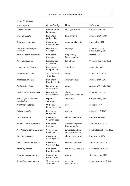| Insect species                            | Order/Family                    | Host                                      | Reference                             |  |
|-------------------------------------------|---------------------------------|-------------------------------------------|---------------------------------------|--|
| Ophelimus maskeli                         | Hymenoptera:<br>Eulophidae      | eucalyptus trees                          | Potasov et al., 2007                  |  |
| Orthesia yasushi                          | Hemiptera:<br>Ortheziidae       | Erica arborea                             | Milonas et al., 2007                  |  |
| Otiorrhynchus aurifer                     | Coleoptera:<br>Curculionidae    | ornamental plants                         | Bouchelos, 1991                       |  |
| Parahypopta (Hypopta)<br>caestrum         | Lepidoptera:<br>Cossidae        | asparagus                                 | Kyparissoudas &<br>Chlapoutakis, 1992 |  |
| Parthenolecanium persicae                 | Hemiptera:<br>Coccidae          | grapevines,<br>Viburnum tinus             | Stathas, 2003c                        |  |
| Paysandisia archon                        | (Lepidoptera:<br>Castniidae)    | Palm trees                                | Vassarmidaki et al., 2006             |  |
| Pemphigus fuscicornis                     | Hemiptera:<br>Pemphigidae       | sugarbeet                                 | Ioannidis, 1997                       |  |
| Pezothrips kellyanus                      | Thysanoptera:<br>Thripidae      | citrus                                    | Varikou et al., 2003                  |  |
| Phenacoccus hordei                        | Hemiptera:<br>Pseudococcidae    | Thymus vulgaris                           | Milonas et al., 2007                  |  |
| Phyllocnistis citrella                    | Lepidoptera:<br>Gracillariidae  | citrus                                    | Anagnou-Veroniki, 1995                |  |
| Phyllonorycter blancardella               | Lepidoptera:<br>Gracillariidae  | cherry<br>(var. Tragana Edessis)          | Kyparissoudas, 1997                   |  |
| Plioreocepta (Platyparea)<br>poeciloptera | Diptera:<br>Tephritidae         | asparagus                                 | Chlapoutakis, 1999                    |  |
| Poecilimon cretensis                      | Orthoptera:<br>Phaneropteridae  | olive                                     | Polyrakis, 1991                       |  |
| Poliaspis cycadis                         | Hemiptera:<br>Diaspididae       | Cycas sp.                                 | Milonas et al., 2007                  |  |
| Prionus coriarius                         | Coleoptera:<br>Cerambycidae     | almond tree wood                          | Koutroubas, 1994                      |  |
| Protopulvinaria pyriformis                | Hemiptera:<br>Coccidae          | Appolo bay plants<br>(Laurus nobilis)     | Ben-Dov et al., 2003                  |  |
| Pseudopachymerina lallemantii             | Coleoptera:<br><b>Bruchidae</b> | sweet acacia trees<br>(Acacia farnesiana) | Bouchelos & Chalkia, 2003             |  |
| Rhopalopus clavipes                       | Coleoptera:<br>Cerambycidae     | almond tree wood                          | Koutroubas, 1994                      |  |
| Rhynchophorus ferrugineus                 | Coleoptera:<br>Curculionidae    | Phoenix canariensis                       | Kontodimas et al., 2007               |  |
| Ritsemia pupifera                         | Hemiptera:<br>Pseudococcidae    | elm trees (Ulmus sp.)                     | Savopoulou et al., 1997               |  |
| Sinoxylon sexdentatum                     | Coleoptera:<br>Bostrychidae     | walnuts                                   | Gravanis et al., 1998                 |  |
| Taeniothrips inconsequens                 | Thysanoptera:<br>Thripidae      | pear trees<br>(var. Kontoula)             | Papadopoulos et al., 2002             |  |

Table 1 (continued)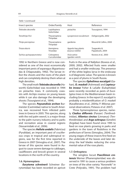| Order/Family                                   | Host                                  | Reference                        |  |  |
|------------------------------------------------|---------------------------------------|----------------------------------|--|--|
| Lepidoptera:<br>Gelechidae                     | pistachio                             | Tsourgianni, 1994                |  |  |
| Tenothrips frici<br>Thysanoptera:<br>Thripidae |                                       | Deligeorgidis, 2002              |  |  |
| Thysanoptera:<br>Thripidae                     | gardenia                              | Mound & Collins, 2000            |  |  |
| Hemiptera:<br>Triozidae                        | Appolo bay plants<br>(Laurus nobilis) | Tsagarakis &<br>Papadoulis, 2004 |  |  |
| Coleoptera:<br>Curculionidae                   | Vicia sativa<br>(garden vetch)        | Koveos et al., 2003              |  |  |
|                                                |                                       | Lycopersicon esculentum          |  |  |

Table 1 (continued)

1992 in Northern Greece and is now considered as one of the most economically important pests of asparagus (Kyparissoudas & Chlapoutakis, 1992). The larvae infest the shoots and the roots of the plant and can completely destroy them when at high densities.

The small moth *Teleiodes decorella* (Haworth) (Gelechidae) was recorded in 1994 on pistachio trees. It commonly coexists with Archips rosanus on young leaves while it can also damage the developing shoots (Tsourgianni et al., 1994).

The species *Paysandisia archon* Burmeister (Castniidae) native to South America, was recovered from infested palm trees in Greece in 2005. This species, along with the red palm weevil, is a major threat to the palm nursery industry and to parks and recreation areas in coastal regions (Vassarmidaki et al., 2006).

The species *Hellula undalis* (Fabricius) (Pyralidae), an important pest of cruciferous crops in tropical and subtropical regions, was for the first time reported in Greece in 2007 (Simoglou et al., 2007). The larvae of this species were found in August to cause severe damage to cabbages, cauliflowers and brocoli grown in several locations in the north of the country.

#### **1.6. Hymenoptera**

*Eurytoma schreinerii* Schreiner (Eurytomidae) has been recorded on apricot fruits in the area of Nafplion (Koveos et al., 2000: 2002). Affected fruits were smaller and had a smaller endocarp. The presence of the white legless larva in the endocarp is of diagnostic value. The species is known as a pest of plums in South Russia.

The species *Ophelimus eucalypti* (Gahan), *O. maskeli* (Ashmead) and *Leptocybe invasa* Fisher & LaSalle (Eulophidae) were recently recorded as pests of Eucalyptus trees in the Mediterranean basin including Greece. In the report O. eucalypti is probably a misidentification of O. maskeli (Κavallieratos et al., 2004a; P. Milonas personal observations; Potasov et al. 2007).

Three hymenopterous species, namely **Cladius difformis** (Panzer) (Tenthredinidae), *Allantus cinctus* (Linnaeus) (Tenthredinidae) and *Arge ochropus* (Gmelin) (Argidae) have been found since 1995 to feed on rose plants growing in parks and gardens in the town of Rodolivos in the prefecture of Serres (Simoglou, 2004). The young stages of these insects first feed on the underside of the leaves and later destroy the leaf blades reducing the ornamental value of the rose plants.

#### **1.7. Orthoptera**

The wingless locust *Poecilimon cretensis* Werner (Phaneropteridae) was observed in 1991 to cause a serious problem on trees of the olive variety "Koroneiki" in Crete (Polyrakis, 1991). The problem had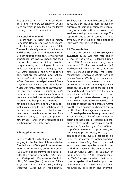first appeared in 1983. The insect develops at high numbers especially on young trees on which it may feed on the leaves causing a complete defoliation.

#### **1.8. Concluding remarks**

More than 70 insect species, mostly Hemiptera-Homoptera, have been recorded for the first time in Greece since 1990. The woolly whitefly Aleurothrixus floccosus and the citrus leaf-miner Phyllocnistis citrella, both serious citrus pests of worldwide importance, are invasive species and their control relied on clasical biological control programmes by introducing exotic parasitoids that were proved to be highly effective. Other species of the newly reported pests that are considered important are: the thrips Pezothrips kellyanus and Frankliniella occidentalis, the red palm weevil Rhynchophorus ferrugineus, the gall inducing wasps Ophelimus maskeli and Leptocybe invasa and the asparagus pests Parahypopta caestrum and Hexomyza simplex. Several of the new recorded species are of palearctic origin but their presence in Greece had not been documented so far. It is important in concluding to note that, because of the serious threats imposed by the invasive species, there is always the need for a thorough survey to early detect potential new invaders and for an organized rapid reaction upon their detection.

### **2. Phytophagous mites**

New records of phytophagous mites belonging to the families of Tetranychidae, Eriophyidae and Tenuipalpidae have been reported from Greece, during the period 1990-2007, and are summarized in this article. Three species, namely Aculus olearius Castagnoli (Papaioannou-Souliotis, 1982), Eriophyes (Aceria) paradianthi (Keifer) (Papaioannou-Souliotis, 1987) and Phytocoptella yuccae (Keifer) (PapaioannouSouliotis, 1993), although recorded before 1990, are also included here because an outbreak of their population has been recently observed and they are now considered to cause high economic damage. The reported species are discussed arranged by family in the text and listed alphabetically with their hosts in Table 2.

#### **2.1. Tetranychidae**

The citrus brown mite *Eutetranychus orientalis* (Klein) was first recorded in Greece, in the area of Helleniko (Prefecture of Attica), on lemon and orange trees, in autumn 2001 (Papaioannou-Souliotis & Markoyiannaki-Printziou, 2002). E. orientalis is a serious pest of citrus, more detrimental than Tetranychus urticae Koch and Panonychus citri (Mc Gregor). It mainly affects lemon and orange trees and to a lesser extent mandarins. Feeding generally starts on the upper side of the leaf along the midrib and then moves to the lateral veins. As a result, leaves become chlorotic and yellow streaks develop along the veins. Heavy infestation may cause leaf fall, die-back of branches and defoliation. Until now there are no data on chemical control or other kind of management measures.

The red spider mite *Tetranychus evansi*  Baker and Pritchard is of South American origin and has been introduced into other parts of the world (Northern and Southern Africa, Spain, Portugal). T. evansi tends to prefer solanaceous crops: tomato, aubergine (eggplant), potato, tobacco, but it can be found on several other crops (e.g. beans, citrus, cotton, castor bean) and ornamental plants (e.g. Rosa sp.), as well as on many weed species. It was first recorded in Greece, in the area of Tympaki (South-Central Crete) on Solanum nigrum in September 2006 (Tsagkarakou et al., 2007). Damage is similar to that caused by other spider mites. Feeding punctures lead to whitening or yellowing of leaves, followed by desiccation and eventual-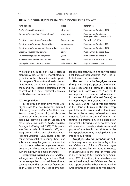| Mite species                                 | Host               | Reference                                                |
|----------------------------------------------|--------------------|----------------------------------------------------------|
| Aculus olearius (Eriophyidae)                | olive trees        | Papaioannou-Souliotis, 1982                              |
| Eutetranychus orientalis (Tetranychidae)     | citrus trees       | Papaioannou-Souliotis &<br>Markoyiannaki-Printziou, 2002 |
| Eriophyes cynodoniensis (Eriophyidae)        | Bermuda grass      | Kapaxidi et al., 2008                                    |
| Eriophyes (Aceria) granati (Eriophyidae)     | pomegranate        | Papaioannou-Souliotis, 1994                              |
| Eriophyes (Aceria) paradianthi (Eriophyidae) | carnation          | Papaioannou-Souliotis, 1987                              |
| Eriophyes peucedani (Eriophyidae)            | carrot             | Papaioannou-Souliotis, 1993                              |
| Phytocoptella yuccae (Eriophyidae)           | yucca              | Papaioannou-Souliotis, 1991                              |
| Raoiella macfarlanei (Tenuipalpidae)         | olive trees        | Papadoulis & Emmanouel, 2002                             |
| Tetranychus evansi (Tetranychidae)           | Solanaceous plants | Tsagkarakou et al., 2007                                 |

| Table 2. New records of phytophagous mites from Greece during 1990-2007. |  |
|--------------------------------------------------------------------------|--|
|--------------------------------------------------------------------------|--|

ly defoliation. In case of severe attacks, plants may die. T. evansi is morphologically similar to the other spider mite species of the genus Tetranychus already present in Europe, it can be easily confused with them and thus escape detection. For the control of this mite, classical chemical methods are recommended.

#### **2.2. Eriophyidae**

In the group of four olive mites, Eriophyes oleae (Nalepa), Oxycenus maxwelli (Keifer), Dytrimacus athiasellus (Κeifer) and Aceria cretica (Hatzinikolis), which cause damage of high economic impact in several olive growing areas in Greece, one more species was added, *Aculus olearius* Castagnoli (Castagnoli, 1977). This species was first recorded in Greece in 1982, in olive groves of Lefkada and Zakynthos (Papaioannou-Souliotis, 1982). These mites can cause brown patches to young shoots and subcircular, irregular greenish patches that turn chlorotic on leaves. Large mite populations on the inflorescences and young fruits turn them brown and make them fall.

*Eriophyes granati* (Canestrini and Massalongo) was initially regarded as a Mediterranean species but today it is considered cosmopolitan. This species was first recorded in Greece on nursery trees of ornamental pomegranate, which is its only reported host (Papaioannou-Souliotis, 1994). The infested leaves become twisted.

The carrot bud mite *Eriophyes peucedani* (Canestrini) is a pest of the umbeliferous crops and is a common species in Europe and North-Western America. It was reported as a new record for Greece, in the area of Kopaida (Central Greece) on carrot plants, in 1993 (Papaioannou-Souliotis, 1993). During 1995 it was also found in the island of Lesvos on the same crop plant. Τhis mite can cause discoloration of leaves, while in heavy infestations it extends its feeding to the leaf margins resulting in deformation. The plants grow abnormally, bearing few or no flowers at all. Infestation possibly starts from wild plants of the family Umbeliferae while large populations may develop due to the intensive cultivation.

*Eriophyes* **(***Aceria***)** *paradianthi* Keifer is a very common species in Argentina and California (U.S.A.) on Dianthus caryophyllus L. It was first recorded in Greece, in glasshouses in the area of Attica and in Crete during 1987 (Papaioannou-Souliotis, 1987). Since then, it has also been recorded in the regions of Galata and Poros. It is supposed to have been introduced in Greece through the large and frequent im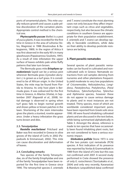ports of ornamental plants. This mite usually reduces growth and causes a pale yellow discoloration of the carnation plants. Appropriate control method is the chemical one.

*Phytocoptella yuccae* (Keifer) is a pest of vucca plants. It was recorded for the first time in Greece in the area of Lehonia (Volos, Magnisia) in 1988 (Κoutroubas & Bakogiannis, 1989). In the region of Attica it was first observed in the early 90's in many glasshouses (Papaioannou-Souliotis, 1991). As a result of mite infestation the upper surface of leaves exhibits pale white fluffy patterns that later turn brown.

The Bermuda grass mite *Eriophyes cynodoniensis* Sayed can be a serious pest wherever Bermuda grass (Cynodon dactylon L.) is grown as a turf grass. It is considered to be of African origin. In the United States, the mite may be found from Florida to Arizona. Its only host plant is Bermuda grass. It was oobserved for the first time in Greece, in Aliartos (Viotia), in September 2007 (Kapaxidi et al., 2008). Initial damage is observed in spring when turf grass fails to begin normal growth and shows yellow or brown patches in the lawn. Shortening of the stem internodes gives the plants a stunted, rosette appearance. Under a heavy infestation the grass turns brown and dies.

#### **2.3. Tenuipalpidae**

*Raoiella macfarlanei* Pritchard and Baker was first recorded in Greece in olive groves of the island of Corfu in 2002 (Papadoulis & Εmmanouel, 2002). This mite can cause discoloration and deformation of leaves.

#### **2.4. Concluding remarks**

Two species of the family Tetranychidae, six of the family Eriophyidae and one of the family Tenuipalpidae have been reported for the first time in Greece since 1990. The tetranychid species E. orientalis

and T. evansi constitute the most alarming cases not only because they affect important crops such as citrus and vegetables, respectively, but also because the climatic conditions in southern Greece are appropriate for their population establishment. E. orientalis and T. evansi can develop rapidly in favorable conditions, while data on their ability to develop pesticide resistance are lacking.

#### **3. Plant parasitic nematodes**

Several species of plant parasitic nematodes can be found in cultivated and noncultivated soils in Greece. Nematode extractions from soil samples deriving from nurseries and other plantations frequently yield moderate to very low populations of Criconemoides, Helicotylenchus, Longidorus, Paratylenchus, Pratylenchus, (Para) Trichodorus, Tylenchorhynchus, Tylenchus and Xiphinema species, however these do not appear to cause serious damage to plants and in most instances are not treated. Thirty species, most of which are worldwide considered important pests, have been reported from Greek soils since 1990. All were found inhabiting cultivated plants and are discussed in the text below, while being summarised alphabetically in Table 3. Amongst the above, reference is made to ten species that have occasionally been found inhabiting plant roots, but are not considered to have a serious economic impact.

*Globodera pallida* Stone 1973 is one of the two potato cyst nematode (PCN) species. A first indication of its presence was reported by Vovlas & Grammatikaki in 1989 from the island of Crete but this was not confirmed until 2007. A second study performed in Crete showed the presence of only G. rostochiensis (Tzortzakakis et al., 2004) and only very recently, Karanastasi & Manduric (unpublished data) confirmed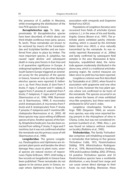the presence of G. pallida in Messinia, while investigating the distribution of the two PCN species in Greece.

*Bursaphelenchus* **spp***.* To date, approximately 50 Bursaphelenchus species have been described, of which about one third inhabit coniferous trees (pine, spruce, fir, larch). These nematodes are known to be vectored by insects of the Cerambycidae and Scolytidae families and are transferred from place to place by timber. The most important species, B. xylophilus, has caused rapid decline and subsequent death in many pine forests in East Asia and is of quarantine significance in Europe. A widespread epidemic of pine trees dying in South Eastern Europe triggered an extended survey for the presence of the species in Greece, however only six other Bursaphelenchus species were reported: B. hellenicus n. sp. from Pinus brutia, B. leoni from P. brutia, P. nigra, P. pinaster and P. radiata, B. eggersi from P. pinaster, B. sexdentati from P. brutia, P. halepensis, P. nigra and P. pinaster (Skarmoutsos et al., 1996; 1998; Skarmoutsos & Skarmoutsou, 1999), B. mucronatus and B. teratospicularis, B. mucronatus from P. brutia and B. teratospicularis from P. brutia, P. pinaster, P. halepensis and P. maritima (Michalopoulos-Skarmoutsos et al., 2003). All these species may cause wilting of different species of pine. Another species of the family, Ektaphelenchoides pini, has also been extracted from wilting P. brutia, P. nigra and P. maritima, but it was not confirmed whether the nematode was the primary cause of wilt (Skarmoutsos et al., 1996).

**Longidoridae**. The genera Longidorus, Paralongidorus and Xiphinema are important plant pests and besides the direct damage they cause to plant roots, several species are natural vectors of nepoviruses (Taylor & Brown, 1997). Until today, a few records on longidorids in Greece have been published. These nematodes do not appear to be serious pests in Greece, except where Xiphinema index is found in

association with vineyards and Grapevine fanleaf virus (GFLV).

Populations of Longidorus fasciatus were recovered from fields of artichoke (Cynara scolymus L.), in the areas of Iria and Kandia, Argolis, Greece (Brown et al., 1997). The artichoke plants exhibited patchy chlorotic stunting, which is caused by the Artichoke Italian latent virus (AILV), a virus naturally transmitted by the nematode. As was recently reported (Karanastasi et al., 2006a) and lately confirmed by subsequent field samples in the area (Karanastasi & Kyriakopoulou, unpublished data), the nematode appears moderately distributed in the above area, which is a traditional artichokegrowing region. No control measures are taken since no yield loss has been reported.

Longidorus cretensis was first described by Tzotzakakis et al. (2001), when found in association with grapevine and one olive tree in Crete, however the two plant species where not confirmed to be hosts of the nematode. The species occurred in an area where the leaves of vines exhibited virus-like symptoms, but these were later attributed to GFLV and X. index.

Longidorus closelongatus Sturhan & Argo 1983 (Stoyanov 1964), an uncommon species, was only once reported being present in the rhizosphere of olive in Chania, Crete, but was not considered important (Lamberti et al., 1996). Also, L. pisi was found on tobacco without mention on locality (Robbins et al., 1995).

**Trichodoridae.** The family Trichodoridae comprises soil-inhabiting ectoparasitic nematodes that belong to five genera: Trichodorus Cobb, 1913, Paratrichodorus Siddiqi, 1974, Allotrichodorus Rodriguez-M et al., 1978, Monotrichodorus Andrássy, 1976 and Ecuadorus Siddiqi, 2002. Of these, 54 putative Trichodorus species and 33 Paratrichodorus species have a worldwide distribution, a very broad host range and can cause severe direct damage to their hosts via root feeding. Moreover, these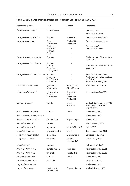| Nematode species                            | Host                                      | Region                                                | Reference                                                             |
|---------------------------------------------|-------------------------------------------|-------------------------------------------------------|-----------------------------------------------------------------------|
|                                             |                                           |                                                       |                                                                       |
| Bursaphelenchus eggersi                     | Pinus pinaster                            |                                                       | Skarmoutsos &                                                         |
|                                             | P. brutia                                 | Thessaloniki                                          | Skarmoutsou, 1999<br>Skarmoutsos et al., 1998                         |
| Bursaphelenchus hellenicus                  |                                           |                                                       |                                                                       |
| Bursaphelenchus leoni                       | P. nigra,<br>P. maritima                  | Chalkidiki<br>Chalkidiki                              | Skarmoutsos et al., 1996                                              |
|                                             | P. pinaster,<br>P. radiata,               | L,                                                    | Skarmoutsos &<br>Skarmoutsou, 1999                                    |
|                                             | P. brutia.                                |                                                       |                                                                       |
|                                             | P. nigra                                  |                                                       |                                                                       |
| Bursaphelenchus mucronatus                  | P. brutia                                 |                                                       | Michalopoulos-Skarmoutsos<br>et al., 2003                             |
| Bursaphelenchus sexdentatii                 | P. brutia,                                |                                                       |                                                                       |
|                                             | P. nigra,<br>P. pinaster,                 |                                                       | Michalopoulos-Skarmoutsos<br>et al., 2003                             |
|                                             | P. halepensis                             |                                                       |                                                                       |
| Bursaphelenchus teratospicularis P. brutia, | P. pinaster,                              |                                                       | Skarmoutsos et al., 1996;                                             |
|                                             | P. halepensis,                            |                                                       | Michalopoulos-Skarmoutsos<br>et al., 2003                             |
|                                             | P. maritima                               |                                                       | Skarmoutsos et al., 1996                                              |
| Criconemoides xenoplax                      | grapevine,<br>Viburnum sp.                | Samos, Crete,<br>Attiki (Kifissia)                    | Karanastasi et al., 2008                                              |
| Ektaphelenchoides pini                      | Pinus brutia,<br>P. nigra,<br>P. maritima | Thessaloniki,<br>Kilkis,<br>Chalkidiki,<br>Chalkidiki | Skarmoutsos et al., 1996                                              |
| Globodera pallida                           | potato                                    | Crete,<br>Messinia                                    | Vovlas & Grammatikaki, 1989<br>Karanastasi & Manduric,<br>unpublished |
| Helicotylenchus multicinctus                | banana                                    | Crete                                                 | Vovlas et al., 1994                                                   |
| Helicotylenchus pseudorobustus              |                                           |                                                       | Vovlas et al., 1993                                                   |
| Hemicycliophora hellenica                   | Arundo donax                              | Filippias, Epirus                                     | Vovlas, 2000                                                          |
| Heterodera avenae                           | cereals                                   |                                                       | Vlachopoulos, 1994                                                    |
| Heterodera schachtii                        | sugarbeet                                 | Imathia (Stavros)                                     | Kyrou, 1993                                                           |
| Longidorus cretensis                        | grapevine, olive                          | Crete                                                 | Tzortzakakis et al., 2001                                             |
| Longidorus closelongatus                    | olive trees                               | Crete (Chania)                                        | Lamberti et al., 1996                                                 |
| Longidorus fasciatus                        | artichoke                                 | Argolis<br>(Iria, Kandia)                             | Brown et al., 1997                                                    |
| Longidorus pisi                             | tobacco                                   |                                                       | Robbins et al., 1995                                                  |
| Paratrichodorus minor                       | potato, melon                             | Amaliada                                              | Karanastasi et al., 2006b                                             |
| Paratrichodorus teres                       | artichoke                                 | Argolis (Iria)                                        | Karanastasi et al., 2006a                                             |
| Pratylenchus goodeyi                        | banana                                    | Crete                                                 | Vovlas et al., 1994                                                   |
| Pratylenchus penetrans                      | artichoke                                 |                                                       | Greco et al., 2005                                                    |
| Rotylenchus campensis                       |                                           |                                                       | Vovlas et al., 1993                                                   |
| Rotylenchus graecus                         | Hedera helix,<br>Arundo donax             | Filippias, Epirus                                     | Vovlas & Troccoli, 1996                                               |

# **Table 3.** New plant parasitic nematode records from Greece during 1990-2007.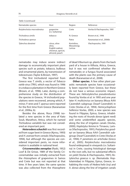| Table 3 (continued)        |                                                                                   |                                      |                             |
|----------------------------|-----------------------------------------------------------------------------------|--------------------------------------|-----------------------------|
| Nematodes species          | Host                                                                              | Region                               | Reference                   |
| Rotylenchulus macrodoratus | grapevine<br>(cv. Sultanina)                                                      | Crete                                | Vovlas & Vlachopoulos, 1991 |
| Trichodorus similis        | tobacco                                                                           | N. Greece                            | Brown et al., 1996          |
| Trichodorus sparsus        |                                                                                   | Patra                                | Karanastasi et al., 2006b   |
| Tylenchus davainei         | citrus, olive<br>olive.<br>English walnut,<br>chestnut, apricot,<br>almond, peach | Korinthos,<br>Messolongi,<br>Larissa | Vlachopoulos, 1991          |

 $T(t)$   $\alpha$   $\beta$   $\beta$ 

nematodes may induce severe indirect damage to economically important plant species such as potato, tobacco, bulbous and ornamental plants, by transmission of tobraviruses (Taylor & Brown, 1997).

The first trichodorid reported from Greece was T. similis, a vector of Tobacco rattle virus (TRV), which was found in 1996 in a tobacco plantation in Northern Greece (Brown, et al., 1996). Later, during a comprehensive study on the distribution of the species in Greece, 14 trichodorid populations were recovered, among which, P. minor, P. teres and T. sparsus were reported for the first time from Greece (Karanastasi et al., 2006a, b).

Besides the above, Roca (1998) isolated a new species in the area of Kato Souli, Marathon, Attica, which he named Trichodorus variabilis but was not considered an important pest.

**Heterodera schachtii** was first recorded from sugar beet in Greece (Kyrou, 1993) and H. avenae from cereals (Vlachopoulos, 1994), but although the species are considered important pests, no more information is available in national level.

*Criconemoides xenoplax* (Raski, 1952) Loof & De Grisse, 1989 of the family Criconematidae was initially extracted from the rhizosphere of grapevines in Samos and Crete but was not reported at that time. A few years later, the same species was also collected from the rhizosphere

of dead Viburnum sp. plants from the back yard of a house in Kifissia, Attica, Greece, but it was not confirmed whether the nematodes or a fungus found associated with the plants was the primary cause of death (Karanastasi et al., 2008).

**Other species**. A few other plant parasitic nematode species have occasionally been reported from Greece, but these do not have a serious economic impact. These are: Helicotylenchus pseudorobustus found by Vovlas et al. in 1993 and one year later H. multicinctus on banana (Musa AAA Cavendish subgroup: Dwarf Cavendish) in Crete (Vovlas et al., 1994). Hemicycliophora hellenica Vovlas, 2000, a new species was found in Filippias, Epirus, Greece, inhabiting the roots of Arundo donax (giant reed) and some unidentified aquatic species, along the line of irrigation canals (Vovlas, 2000); Hoplotylus femina in Tirnavos, Larissa (Vlachopoulos, 1991); Pratylenchus goodeyi on banana (Musa AAA Cavendish subgroup: Dwarf Cavendish) in Crete (Vovlas et al., 1994); P. penetrans on artichoke (Greco et al., 2005); Rotylenchulus macrodoratus found widespread in vineyards (cv. Sultanina) in Crete, causing histological damage to the root cells, but no substantial effects on yield (Vovlas & Vlachopoulos, 1991); Rotylenchus graecus n. sp. (Nematoda: Hoplolaimidae) in Filippias, Epirus, Greece, inhabiting the roots of Hedera helix (ivy) and A. donax along the line of irrigation canals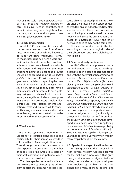(Vovlas & Troccoli, 1996); R. campensis (Vovlas et al., 1993); and Tylenchus davainei on citrus and olive trees in Korinthos, olive trees in Messolongi and English walnut, chestnut, apricot, almond and peach trees in Larissa (Vlachopoulos, 1991).

#### **3.1 Concluding remarks**

A total of 30 plant parasitic nematode species have been reported from Greece since 1990, most of which are known to be important pests worldwide. However, most cases reported herein were sporadic incidents and cannot be considered a threat to their hosts. Based on available information and experience, the most important nematode pest that growers should be concerned about is Globodera pallida. This is an EPPO A2 quarantine organism and legislation regarding the presence of this species, as also G. rostochiensis, is very strict, while they both have a dramatic impact on potato. In seed potato growing areas, when a field is found infested, it is legally forbidden to grow potatoes therein and producers should follow a three-year crop rotation scheme alternating cereals and legumes, while concurrently using chemical nematicides. Prior to replanting potatoes, the field has to be re-examined for the presence of cysts.

#### **4. Weed species**

There is no systematic monitoring in Greece for introduced plant species and particularly for their spread as weeds in cultivated land of major agricultural areas. Thus, although quite often new records of plant species are presented in a number of papers exploring Greek flora, data on their acclimatization and potential weedstatus is seldom provided.

The plant species presented in this article are mostly cases of recently introduced plant species that became noticeable because of some reported problems to growers after their invasion and establishment as weeds in an agricultural area. New plant species for which there is no documentation of having attained a weed status are not included. Since the presentation is not based on a systematic survey, the list of new weed species may not be complete.

The species are discussed in the text according to the chronological order of their observation and listed alphabetically in Table 4.

#### **4.1. Species already acclimatized**

In 1990, Giannitsaros presented some non indigenous grass species which appeared to be in a stage of acclimatization and with the potential of becoming weed species in Greece. They were Bromus catharticus Vahl., Digitaria ciliaris (Retz.) Koeler, Digitaria ischaemum (Schreber) Muhl, Echinochloa colona (L.) Link, Eleusine indica (L.) Gaertner, Paspalum dilatatum Poiret, Paspalum distichum L. and Setaria adhaerens (Forskal) Chiov. (Giannitsaros, 1990). Three of these species, namely Eleusine indica, Paspalum dilatatum and Paspalum distichum have already spread and are now regarded as important weeds in some irrigated crops (particularly lucerne) and in landscape turf throughout the country. Echinochloa colona has developed into a minor weed occurring locally in some areas. Setaria adhaerens probably occurs as a variant of Setaria verticillata (L.) Beauv. (Clayton, 1980) which during recent years has become a very common weed in many crops throughout the country.

#### **4.2. Species in a stage of acclimatization**

In 1994, growers in the Louros village near Preveza (western Greece) observed for the first time a new weed that grew throughout summer in irrigated fields of maize, cotton and other crops, causing severe problems by climbing on the crop plants, tying many of them together and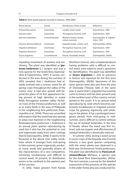| Weed species                        | Family        | Distribution: Areas (crops)                | Reference                               |  |
|-------------------------------------|---------------|--------------------------------------------|-----------------------------------------|--|
| Echinochlog colona                  | Gramineae     | Locally, minor weed                        | Giannitsaros, 1990                      |  |
| Fleusine indica                     | Gramineae     | Throughout (lucerne, turf)                 | Giannitsaros, 1990                      |  |
| Ipomoea hederacea<br>Convolvulaceae |               | Western Greece (maize,<br>cotton, lucerne) | Giannopolitis & Papach-<br>ristos, 1997 |  |
| Panicum dichotomiflorum             | Gramineae     | Kopaida (maize, cotton, turf)              | Giannopolitis, 2003a                    |  |
| Paspalum dilatatum                  | Gramineae     | Throughout (lucerne, turf)                 | Giannitsaros, 1990                      |  |
| Paspalum distichum<br>Gramineae     |               | Throughout (lucerne, turf)                 | Giannitsaros, 1990                      |  |
| Sicyos angulatus                    | Cucurbitaceae | Kavala, Orestiada (maize)                  | Giannopolitis, 2003b                    |  |

| <b>Table 4.</b> New weed species records in Greece, 1990-2007 |  |
|---------------------------------------------------------------|--|
|---------------------------------------------------------------|--|

impeding movement of workers and machinery. The plant was identified as **Ipo***moea hederacea* (L.) Jacquin and was a new species for the Greek flora (Giannopolitis & Papachristos, 1997). A survey conducted in the area during the summer of 2003 revealed that *I. hederacea* had already evolved into a serious weed for all spring crops throughout the valley of the Louros river. It had also spread well beyond the place of its first appearance being present at high densities in maize fields throughout another valley (Acheron river) of the Preveza prefecture as well as to many fields in the area of Philipiada in the neighboring Arta prefecture (Giannopolitis et al., 2004). There was unverified information that the weed had also spread to areas near Agrinion in the neighboring Aitoloakarnania prefecture. I. hederacea is an annual plant species reproducing by seed but it also has the potential to root and regenerate easily from stem cuttings (Kati & Giannopolitis, 2006). It seems to be favoured at the above river valley conditions where it emerges from mid-spring to late summer, grows vigorously, produces many seeds and generally attains all the characteristics of a very competitive, extremely troublesome and difficult to control weed. At present, its distribution seems to be confined to the western part of the country.

In 2002, maize growers from Kavala

(Northern Greece), who complained about having problems with a difficult to control weed, were asked to send a specimen for identification. The plant was identified as *Sicyos angulatus* L. and its presence in Greece was reported for the first time (Giannopolitis, 2003b). Specimens of the same species were also sent from the area of Orestiada (Thrace), later in the same year. It seems that S. angulatus has recently come to Greece and has been present only in the northern part of the country, not yet spread to the south. It is an annual weed reproducing by seed which becomes particularly troublesome in irrigated summer crops by growing vigorously and climbing on the plants. It has a prolonged emergence period, from mid-spring to midsummer, and is difficult to control without the use of residual herbicides. In the area of Kavala, where the weed was first noticed, soils are organic and effectiveness of residual herbicides is drastically reduced.

In summer 2003, during a weed survey in onion crops of the Kopaida area (Central Greece), a new grass species competing with the onion plants was observed in a field near Orchomenos (Viotia prefecture). The plant was identified to be **Panicum di**chotomiflorum Michaux, a species new for the Greek flora (Giannopolitis, 2003a). The next summer, a survey for the detailed assessment of the presence of this species in the wider Viotia area was conducted (Gi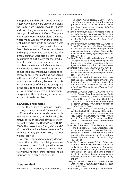annopolitis & Efthimiadis, 2004). Plants of P. dichotomiflorum were only found along the route from Orchomenos to Aliartos and not along other main routes within the agricultural area of Viotia. The plant was mostly found in fields along the route where maize was grown and to a lesser extent in fields grown with cotton, but it was not found in fields grown with lucerne. Particularly in maize it formed very dense and highly competitive stands. Plants of P. dichotomiflorum were also present in nearby cultures of turf grown for the production of ready-to-use turf carpets. It seems possible, therefore, that P. dichotomiflorum was introduced in the area through imported turf seed. This must have happened recently, because the plant has not spread in the area yet. P. dichotomiflorum is an annual plant reproducing by seed. A striking characteristic of this plant, as it grows in the area, is its ability to form many tillers with branching stems and many panicles per tiller, thus producing an enormous amount of seeds per plant.

#### **4.3. Concluding remarks**

The three species Ipomoea hederacea, Sicyos angulatus and Panicum dichotomiflorum, that are currently under acclimatization in Greece, are believed to be natives to Americas and known as very important weeds in the United States (USDA, 2008). The two of them, S. angulatus and P. dichotomiflorun, have been present in Europe, eg. in Italy (Pignatti, 1982), but not widespread yet.

All three species have already demonstrated their ability of evolving into a serious weed threat for irrigated summer crops grown in Greece. Measures to effectively prevent their further spread should therefore been taken the soonest.

## **Literature cited**

Aggelakis, E.D., Tsitsipis, I.A., Margaritopoulos, I.,

Tsamantani, K. and Zarpas, K. 2005. First report of an American species of insects, the grapevine aphid Aphis illinoisensis Shimer, from Greece and Europe. Georgia - Ktinotrofia, 6/2005: 37-38 (in Greek).

- Anagnou-Veroniki, M. 1995. First record of the citrus leaf-miner Phylocnistis citrella (Stainton) in the insular and penninsular Greece. Annals of the Benaki Phytopathological Institute (N.S.), 17: 157-160.
- Anagnou-Veroniki, M., Kontodimas, D.C., Chadou, Th. and Tzortzopoulos, Ch. 2004. First record in Greece of the asparagus insect pest Hexomyza simplex (Loew), Diptera, Agromyzidae. Annals of the Benaki Phytopathological Institute (N.S.), 20: 52-56.
- Ben-Dov, Y., Stathas, G.I. and Maliarou, I.S. 2003. The pyriform scale Protopulvinaria pyriformis (Cockerell), Hemiptera: Coccidae, in Greece. Agricultural Research, Vol. 26 (20), 2003: 89-91.
- Bouchelos, C.Th. 1991. Otiorrhynchus aurifer Boheman a new species of the Greek fauna. Annals of the Benaki Phytopathological Institute (N.S.), 16(2): 143-145.
- Bouchelos C.Th. and Athanassiou Ch.G. 1999. Beetle species in store-rooms of Central and Southern Greece, containing grain, flour, brau and hay: A sarvey of 44 species. Annals of the Benaki Phytopathological Institute (N.S.), 18: 129-133.
- Bouchelos, C.Th. and Chalkia, C.A. 2003. First record in Greece of seed-eating insect of Gazia. Georgia - Ktinotrofia, 3/2003: 22-24 (in Greek).
- Bouchelos, C.Th. and Chalkia., C.A. 2004. Infestation of blackberry by the wood-eating coleopteron Coraebus rubi. Georgia - Ktinotrofia, 7/2004: 22-26 (in Greek).
- Bouras, D., Zartaloudis, Z., Navrozidis, E.I. and Skenteridis, P. 2003. First notice of the dipteran Diopsis sp. in rice pads of the area of Chalastra, Thessaloniki. In Abstracts of the 10<sup>th</sup> Panhellenic Entomological Congress, Heraklion, Crete, 4-7 November 2003. Entomological Society of Greece, pp: 81.
- Brown, D.J.F., Robertson, W.M., Neilson, R., Bem, F. and Robinson, D.J. 1996. Characterization and vector relation of a serologically distinct isolate of tobacco rattle tobravirus (TRV) transmitted by Trichodorus similis in northern Greece. European Journal of Plant Pathology, 102(1): 61-68.
- Brown, D.J.F., Kyriakopoulou, P.E. and Robertson, W.M. 1997. Frequency of transmission of artichoke Italian latent nepovirus by Longidorus fasciatus (Nematoda: Longidoridae) from artichoke fields in the Iria and Kandia areas of Argolis in northeast Peloponnesus, Greece. European Journal of Plant Pathology, 103(6): 501-506.
- Castagnoli, M. 1977. Una nuova specie di acaro su Olea europea L. Aculus olearius sp. nov. Redia, vol. LX: 225-260.
- Chlapoutakis, N. 1999. A new pest of asparagus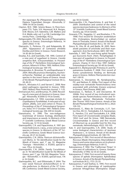the asparagus fly (Platyparaea poeciloptera, Diptera: Trypetidae). Georgia - Ktinotrofia, 2/ 1999: 54-56 (in Greek).

- Clayton, W.D. 1980. Setaria Beauv. In Flora Europaea (T.G. Tutin, V.H. Heywood, N.A. Burges, D.M. Moore, D.H. Valentine, S.M. Walters and D.A, Webb, eds), vol. 5, p.138. Cambridge University Press , Cambridge, 452 p.
- Deligeorgidis, P.N. 2002. Records of Thysanoptera species in Greece. Entomologia Hellenica, 14 (2001-2002): 11-18.
- Diamantis, S., Perlerou, Ch. and Kalapanida, M. 2001. Appearance of Cameraria ohridella Deshka and Dimic in Greece. Forest Research, 14: 83-84 (in Greek).
- Doulias, K.G. and Ioannidis, F.M. 1995. Control of a new pest of sugarbeet in Greece. Cassida seraphina Boh. (Chrysomelidae). In Proceedings of the 5<sup>th</sup> Panhellenic Entomological Symposium, Athens 8-10 Nov. 1993. Hellenic Entomological Society pp: 169-170.
- Drosopoulos, A., Broumas, Th. and Kapothanasi, V. 2004. Metcalfa pruinosa (Hemiptera, Auchenorrhyncha: Flatidae) an undesiderable new species in the insect fauna of Greece. Annals of the Benaki Phytopathological Institute (N.S.), 20: 49-51.
- Elena K., Alivizatos A.S. and Varveri C. 2008. New plant pathogens reported in Greece, 1990- 2007. Hellenic Plant Protection Journal, 1: 1-25.
- Emmanouel, N.G. and Broumas, Th. 2000. Recording of a new pest of chestnut in Greece. Georgia - Ktinotrofia, 9/2000:12-14 (in Greek).
- Evangelopoulos, I.Z. 1994. Loxostege stictialis (L) (Lepidoptera: Pyralididae). A new pest of sugarbeet, alfalfa, corn and cotton in Thrace. In Proceedings of the 4<sup>th</sup> Entomological Symposium, Volos 14-17 October 1991. Hellenic Entomological Society pp. 336-339 (in Greek).
- Giannitsaros, A. 1990. The non-indigenous Gramineae of Greece: Ecology, distribution and importance as weeds. In Abstracts of the 7<sup>th</sup> Scientific Conference, Greek Weed Science Society, pp. 12-13 (in Greek).
- Giannopolitis, C.N. and Papachristos, K. 1997. Ipomoea hederacea (L.) Jacq., a new serious weed species in Greece. In Abstracts of the 10<sup>th</sup> Scientific Conference, Greek Weed Science Society, pp. 20-21 (in Greek).
- Giannopolitis, C.N. 2003a. Panicum dichotomiflorum Michx. In "An Identification Guide for the Weeds of Greece, part 1", pp. 52. Magazine "Georgia - Ktinotrofia", n. 9/2003, special issue, 176 p. (in Greek).
- Giannopolitis, C.N. 2003b. Family Cucurbitaceae. In "An Identification Guide for the Weeds of Greece, part 1", pp. 158-160. Magazine "Georgia – Ktinotrofia", n. 9/2003, special issue, 176 p. (in Greek).
- Giannopolitis, N.C. and Efthimiadis, P. 2004. The new weed Panicum dichotomiflorum in Viotia prefecture. In Abstracts of the 13<sup>th</sup> Scientific Conference, Greek Weed Science Society,

pp. 56 (in Greek).

- Giannopolitis, C.N., Papachristos, K. and Kati, V. 2004. Distribution and control of the weed species Ipomoea hederacea. In Abstracts of the 13<sup>th</sup> Scientific Conference, Greek Weed Science Society, pp. 54 (in Greek).
- Gravanis, F.Th., Vaggelas, I.C. and Bouhelos, C.Th. 1998. First record for Sinoxylon sexdentatum Oliv. (Coleoptera, Bostrychidae) on walnut trees in Thessalia, Greece. Annals of the Benaki Phytopathological Institute (N.S.), 18: 135-137.
- Greco, N., Vito, M. di, and Basile, M. 2005. Nematode parasites of artichoke and their management. Acta Horticulturae, (681): 587-592.
- Ioannidis, F. 1997. The root-living aphid Pemphigus fuscicornis Koch. (Hem. Pemphigidae): A new pest of sugarbeet in Greece. In Proceedings of the  $6<sup>th</sup>$  Panhellenic Entomological Symposium, Chania 31 Oct-3 Nov 1997. Hellenic Entomological Society pp: 50-60 (in Greek).
- Kapaxidi E.V., Markoyiannaki-Printziou D. and Papaioannou-Souliotis P. 2008. First record of Aceria cynodoniensis feeding on Bermuda grass in Greece. Hellenic Plant protection Journal 1: 89-91.
- Karanastasi, E., Decraemer, W., Kyriakopoulou, P.E. and Neilson, R. 2006a. First report of the stubby-root nematode Paratrichodorus teres associated with artichoke (Cynara scolymus) in Greece. Plant Disease, 89(6): 685.
- Karanastasi, E., Neilson, R. and Decraemer, W. 2006b. First record of two trichodorid nematode species Paratrichodorus minor and Trichodorus sparsus (Nematoda: Trichodoridae Thorne 1935) from Greece. Annals of the Benaki Phytopathological Institute (N.S.), 20(2): 129-133.
- Karanastasi, E., Mata da Conceição, I.L.P., Santos Dos, M.C.V., Tzotzakakis, E.A. Karanastasi, E., Handoo, Z.A. and Tzortzakakis, E.A. 2008. First report of Criconemoides xenoplax (Raski, 1952) Loof and De Grisse, 1989 Nematoda: Criconematidae in Greece and first record of Viburnum sp. as possible host for this ring nematode. Helminthologia, 45(2): 103-105.
- Kati, V. and Giannopolitis, C.N. 2006. Study of some biological characteristics of Ipomoea hederacea L. in Greece. Annals of the Benaki Phytopathological Institute, 20: 108-119.
- Katsoyannos, P. 1991. First record of Aleurothrixus floccosus (Mask) (Homoptera: Aleyrodidae) in Greece and some observations on its phenology. Entomologia Hellenica, 9: 69-72.
- Katsoyiannos, P. 1992. The "Californian Thrips". A new pest of cultivations in, Greece. Georgia - Ktinotrofia, 5/1992: 32-35 (in Greek).
- Katsoyannos, P. 1994. First record of twenty three species of aphids (Homoptera: Aphidoidea) in Greece. Annals of the Benaki Phytopathological Institute (N.S.), 17(1): 25-33.
- Katsoyannos, P. and Stathas, G. 1995. First record in Greece and phenology of Lepidosaphes pistaciae Arhagel'skaa (Homoptera: Diaspi-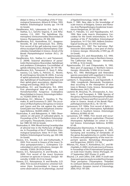didae) in Attica. In Proceedings of the 5<sup>th</sup> Entomological Symposium, Athens 8-10 Nov. 1993. Hellenic Entomological Society pp: 114-118 (in Greek).

- Kavallieratos, N.G., Lykouressis, D.P., Sarlis, G.P., Stathas, G.J., Sanchis Segovia, A. and Athanassiou, C.G. 2001. The Aphidiinae (Hymenoptera: Ichneumonoidea: Braconidae) of Greece. Phytoparasitica, 29: 306-340.
- Kavallieratos, N.G., Kontodimas, D.C., Anagnou-Veroniki, M. and Emmanouel, N.G. 2004a. First record of the gall inducing insect Ophelimus eucalypti (Gahan) (Hymenoptera: Chalcidoidea: Eulophidae) in Greece. Annals of the Benaki Phytopathological Institute (N.S.), 20: 125-128.
- Kavallieratos, N.G., Stathas G.J. and Tomanović, Ž. 2004b. Seasonal abundance of parasitoids (Hymenoptera: Braconidae: Aphidiinae) and predators (Coleoptera: Coccinellidae) of aphids infesting citrus. Biologia, 59: 191-196.
- Kavallieratos, N.G., Tomanović, Ž., Starý, P., Athanassiou, C.G, Sarlis, G., Petrović, O., Nicetić, M. and Anagnou-Veroniki, M. 2004c. A survey of aphid parasitoids (Hymenoptera: Braconidae: Aphidiinae) of Southeastern Europe and their aphid-plant associations. Applied Entomology and Zoology, 39(3): 527-563.
- Kontodimas, D.C. and Kavalieratos, N.G. 2004. First phenological data of the rose pest Homalorhynchites hungaricus (Coleoptera: Rhynchitidae) in Greece. Entomologia Hellenica, 15(2003-2004): 62-63.
- Kontodimas, D.C., Milonas, P., Vassiliou, V., Thymakis, N. and Economou D. 2007. The occurrence of Rhynchophorus ferrugineus in Greece and Cyprus and the risk against the native Greek palm tree Phoenix theophrasti. Entomologia Hellenica, 16(2005-2006): 11-15.
- Κoutroubas, Α. and Bakogiannis, Α. 1989. Observations on old pests of cultivated plants. In Proceedings of the 3<sup>rd</sup> Panhellenic Entomological Congress, Thessaloniki, Greece, 9-10 October 1989: 94-104 (in Greek).
- Koutroubas, A. 1994. Wood-boring Cerambycidae of almond tree in the Perfecture of Magnesia. In Proceedings of the 4<sup>th</sup> Panhellenic Entomological Symposium, Volos 14-17 Oct. 1991. Hellenic Entomological Society, pp: 340-348. (in Greek).
- Koveos, D.S., Broufas, G.D. and Euthymiadis, P. 2003. First record in Greece of the insect Tychius quinquepunctatus L. (Coleoptera: Curculionidae) in vetch cultivations. Georgia - Ktinotrofia, 7/2003: 28-29 (in Greek).
- Koveos, D.S., Katsoyannos, B. and Broufas, G.D. 2000. First record of the insect Eyrytoma schreineri on apricots in Greece. Georgia - Ktinotrofia, 5/2000: 20-23 (in Greek).
- Koveos, D.S., Katsoyannos, B. and Broufas, G.D. 2002. First record of Eutytoma schreineri Schreiner (Hym. Eurytomidae) in Greece and some observations on its phenology. Journal

of Applied Entomology, 126(4): 186-187.

- Kozár, F. 1985. New data to the knowledge of scale-insects of Bulgaria, Greece and Romania. Acta Phytopathologica Academiae Sciaentiarum Hangaricae, 20: 201-205.
- Kozár, F., Paloukis, S.S. and Papadopoulos, N.T. 1994. New scale insects (Homoptera: Coccoidea) for the Greek entomofauna. In Proceedings of the 4th Panhellenic Entomological Symposium, 14-17 Oct 1991. Hellenic Entomological Society pp. 315-319 (in Greek).
- Kyparissoudas, D.S. 1997. The leaf-miner Phyllonorycter blancardella, a new pest of cherry in Greece. Georgia - Ktinotrofia, 2/1997, pp. 29 (in Greek).
- Kyparissoudas, D.S. and Alexandrakis, V.Z. 1993. New pest of cotton crops in Northern Greece, The Californian thrip. Georgia - Ktinotrofia, 6/1993, p. 16 (in Greek).
- Kyparissoudas, D.S and Chlapoutakis, N. 1992. New pest of asparagus in Northern Greece. Georgia - Ktinotrofia, 3/1992: 32 (in Greek).
- Kyrou, N.C. 1993. Meloidogyne and Heterodera species associated with sugarbeet in Greece. Nematologia Mediterranea, 21(2): 209.
- Lamberti, F., Vouyoukalou, E. and Agostinelli, A. 1996. Longidorids (Nematoda: Dorylaimoidea) occurring in the rhizosphere of olive trees in Western Crete, Greece. Nematologia Mediterranea, 24(1): 79-85.
- Lauterer, M., Broumas, Th., Drosopoulos, Α., Souliotis, C. and Tsourgiani, A. 1998. Species of the genus Agonoscena (Homoptera:Psyllidae) injurious on Pistacia and first record of A. pistaciae in Greece. Annals of the Benaki Phytopathological Institute (N.S.), 18: 135-141.
- Lycouressis, D.P. 1990a. First record of Aphis citricola van der Goot (Homoptera: Aphididae) on citrus in Southern Greece. Entomologia Hellenica, 8(1990): 65-66.
- Lycouressis, D.P. 1990b. First record and occurrence of Macrosiphum euphorbiae (Thomas) (Homoptera: Aphididae) on cotton in Central Greece. Entomologia Hellenica, 8(1990): 67-68.
- Michalopoulos-Skarmoutsos, H. Skarmoutsos, G., Kalapanida, M. and Karageorgos, A. 2003. Surveying and recording of nematodes of the genus Bursaphelenchus in conifer forests in Greece and pathogenicity of the most important species. Nematology Monographs and Perspectives, 2003(1): 113-126.
- Milonas, P.G., Kozar, F., Kontodimas, D.C. and Michaelakis, A. 2008. List of scale insects of Greece. In Proceedings of the XI International Symposium on Scale Insect Studies, Oeiras (Portugal), 24- 27 September 2007 (Poster 21, p.60).
- Mound, L.A. and Collins, D.W. 2000. A south east Asian pest species newly recorded from Europe: Thrips parvispinus (Thysanoptera: Thripidae) its confused identity and potential quarantine significance. European Journal of Entomology, 2000, 97(2): 197-200.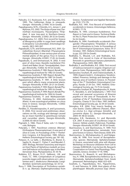- Paloukis, S.S. Kouloussis, N.A. and Stauridis, D.G. 1995. The Californian thrips in vineyards. Georgia - Ktinotrofia, 2/1995: 16 (in Greek).
- Papadopoulos, N.Th., Chloridis, A.S., Jenser, C. and Mylonas, P.G. 2002. The thrips of pear tree (Taeniothrips inconsequens, Thysanoptera: Thripidae). A new tree-pest in Northern-Greece. Georgia - Ktinotrofia, 2/2002: 28-32 (in Greek).
- Papadopoulou, S.C. 2005. First record for Greece of Mesagroicus pilifer in sugar beet seedlings (Coleoptera: Curculionidae). Entomologia Generalis, 28(1): 065-067.
- Papadoulis, G.Th. and Emmanouel, N.G. 2001. Gynaikothrips ficorum (Marshal) (Thysanoptera: Phloeothripidae). A new serious pest of ornamental plants of the genus Ficus in Greece. Georgia - Ktinotrofia, 4/2001: 17-20. (in Greek).
- Papadoulis, G. and Emmanouel, Ν. 2002. A new pest of olive trees: Raoiella macfarlanei Pritchard and Baker (Acari: Tenuipalpidae). Georgia-Ktinotrofia, 7/2002: 42-44 (in Greek).
- Papaioannou-Souliotis, P. 1982. Report, Benaki Phytopathological Institute for 1982 (in Greek).
- Papaioannou-Souliotis, P. 1987. Report, Benaki Phytopathological Institute for 1987 (in Greek).
- Papaioannou-Souliotis, P. 1991. A little known pest which affects many ornamental plants. Georgia-Ktinotrofia, 4/1991: 20-21 (in Greek).
- Papaioannou-Souliotis, P. 1993. Report, Benaki Phytopathological Institute for 1993 (in Greek).
- Papaioannou-Souliotis, P. 1994. Report, Benaki Phytopathological Institute for 1994 (in Greek).
- Papaioannou-Souliotis, P. and Markoyiannaki-Printziou, D. 2002. Eutetranychus orientalis (Klein). A new acarological problem on citrus trees in Greece. Georgia-Ktinotrofia, 1/2002: 29-32 (in Greek).
- Perdikis, D., Paraskevopoulos, A. and Lycouressis, D. 2006. First record and preliminary observations on life, ecology and damage caused by an insect harmful to greenhouse tomato and cucumber plants. Georgia-Ktinotrofia, 3/2006: 65-68 (in Greek).
- Pigniatti, S. 1982. Flora d' Italia, vols 1-3. Edagricole, Bologna.
- Polyrakis, I. 1991. Poecilimon cretensis (Werner) (Orthoptera: Phaneropterinae). A new pest of olive in Crete. In Proceedings of the 1st Panhellenic Congress, 6-8 November. 1985, Athens. Hellenic Entomological Society, pp: 181-182.
- Potasov, A., La Salle, J., Blumberg, D., Brand, D., Saphir, N., Assael, F., Fisher, F., and Mendel, Z. 2007. Biology, Revised Taxonomy and Impact on Host Plants of Ophelimus maskelli, an Invasive Gall Inducer on Eucalyptus spp. in the Mediterranean Area. Phytoparasitica, 35: 50-76.
- Robbins, R.T., Brown D.J.F., Halbrent, J.M. and Vrain, T.C. 1995. Compendium of Longidorus juvenile stages with observations on L. pisi, L. taniwa and L. diadecturus (Nematoda: Longidoridae). Systematic parasitology, 32: 33-52.
- Roca, F. 1998. Description of Trichodorus variabilis n. sp. (Nemata: Diphterophoroidea) from

Greece. Fundamental and Applied Nematology, 21(2): 173-176.

- Roditakis, N.E. 1991. First Record of Frankliniella occidentalis in Greece. Entomologia Hellenica, 9(1991): 77-79.
- Roditakis, N. 1993. Liriomyza huidobrensis. First Report in Crete and in Greece. Technical Bulletin No.13, Plant Protection Institute of Heraklio (in Greek)..
- Roditakis, N. 1994. Frankliniella occidentalis (Pergande) (Thysanoptera: Thripidae): A serious pest of cultivations in Crete. In Proceedings of the 4th Entomological Symposium, Volos 14-17 October. 1991. Hellenic Entomological Society pp: 252-259 (in Greek).
- Roditakis, E., Mound, L.A. and Roditakis, N.E. 2006. First record in Crete of Hercinothrips femoralis in greenhouse banana plantations. Phytoparasitica, 34(5): 488-490.
- Roditakis, E. and Roditakis, N.E. 2006. First record of Galeruca tanaceti in organic Origanum vulgare in Crete. Phytoparasitica, 34(5): 486-487.
- Savopoulou-Soultani, M. and Chatzivassiliadis, A. 1999. Diaperis boleti L. (Coleoptera: Tenebrionidae). Presence, biology and damage in the Naousa area of northern Greece. In Proceedings of the 7<sup>th</sup> Panhellenic Entomological Congress, Kavala 21-24 Oct. 1997, Hellenic Entomological Society, pp. 73-75 (in Greek).
- Savopoulou-Soultani, M., Papadopoulos, N., Kozár, F., Skoulakis, G. and Sarakatsanis, I. 1997. First record and seasonal occurrence of Ritsemia pupifera in the area of Thessaloniki. In Proceedings of the 6<sup>th</sup> Panhellenic Entomological Congress, Chania 31 Oct-3 Nov. 1997, Hellenic Entomological Society, pp. 32-34 (in Greek).
- Simoglou, K.B. 2004. Four insects feeding on rose leaves: Cladius difformis (Panzer), Allantus cinctus (L.), Arge ochropus (Gmelin) and Lymantria dispar (L). Georgia-Ktinotrofia, 3/ 2004: 44-48 (in Greek).
- Simoglou, K.B., Karakassis, S.I. and Myronidis G.K. 2007. A new pest of cruciferous crops in Greece: Hellula undalis (Fabricius), Pyralidae. Georgia-Ktinotrofia, 9/2007: 34-39 (in Greek).
- Skarmoutsos, G. and Skarmoutsou, H. 1999. First record of Bursaphelenchus nematodes from pine forests in Greece. Plant Disease, 83(9): 879.
- Skarmoutsos, G., Michalopoulou, H. and Kalapanida, M. 1996. First record of Bursaphelenchus species (Nematoda: Aphelenchoidae) in Greece, associated with pine wilt disease. Workshop on Resource Utilization from Cell to Canopy. EUROSILVA, Cost Action E6, Research Cooperation on Forest Tree Physiology. Thessaloniki, Greece, October 17-19, 1996.
- Skarmoutsos, G., Braasch, H. and Michalopoulou, H. 1998. Bursaphelenchus hellenicus sp. n. (Nematoda, Aphelenchoididae) from Greek pinewood. Nematologica, 44(6): 623-629.
- Souliotis, C., Papanikolaou, N.E., Papachristos, D. and Fatouros, N. 2008. Host plants of the planthopper Metcalfa pruinosa (Say) (Hemi-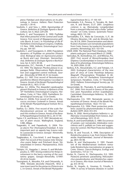ptera: Flatidae) and observations on its phenology in Greece. Hellenic Plant Protection Journal, 1: 39-41.

- Souliotis, C. and Süss, L. 2004. Agromyzidae of Greece. Bollettino di Zoologia Agraria e Bachicoltura, Ser. II, 36(2): 229-239.
- Souliotis, C. and Tsourgianni, A. 1999. Psyllidae that infest pistachio of the Central and South Greece. First record of Megagonoscena gallicola (Burck. & Laut.). In Proceedings of the 8<sup>th</sup> Panhellenic Entomological Congress, Chalkida, 2-5 Nov. 1999, Hellenic Entomological Society, pp. 164-167.
- Souliotis, C. and Tsourgianni, A. 2000. Population dynamics of Psyllidae on pistachio (Pistacia vera). Biological data on Agonoscena pistaciae Burck and Laut. (Homopt.: Sternorrhyncha). Bollettino di Zoologia Agraria e Bachicoltura, Ser. II, 32(1): 49-58.
- Stamopoulos, D.C., Petridis, F. and Charatsidou, Ch. 1994. The dipteran Phorbia platura in asparagus fields. Observations flight-observation and suggested control methods. Georgia - Ktinotrofia, 8/1994: 45-51 (in Greek).
- Stathas, G.I. 1997. First record of Nemolecanium graniformis (Wünn) (Homoptera: Coccidae) in Greece. Annals of the Benaki Phytopathological Institute (N.S.), 18(1): 57-59.
- Stathas, G.I. 2003a. The diaspidid Lepidosaphes gloverii (Packard) in Greece. In Abstracts of the 10<sup>th</sup> Panhellenic Entomological Congress, Heraklion, Crete, 4-7 Nov. 2003. Panhellenic Entomological Society pp. 13 (in Greek).
- Stathas G.I. 2003b. First record of the scale Eriococcus coccineus Cockerell in Greece. Annals of the Benaki Phytopathological Institute (N.S.), 20: 45-48.
- Stathas, G.I. 2003c. First record of the scale Parthenolecanium persicae on Viburnum tinus and Vitis vinifera in Greece. Annals of the Benaki Phytopathological Institute (N.S.), 20: 57-59.
- Taylor, C.E. and Brown, D.J.F. 1997. Nematode vectors of plant viruses. Wallingford, England, CABI, 286pp.
- Tsagarakis, A. and Papadoulis, G. 2004. Trioza alacris Flor (Homoptera:Triozidae): A new important pest on appolo bay (Laurus nobilis: Lauraceae) in Greece. Georgia - Ktinotrofia, 9/2004:34-36.
- Tsagkarakou, A., Cros-Arteil, S. and Navajas, M. 2007. Fist record of the invasive mite Tetranychus evansi Baker and Pritchard (Acari: Tetranychidae) in Greece. Phytoparasitica, 35(5): 519-522.
- Tsitsipis, I.A., Vaggelas, I., Jenser, G. and Michalopoulos, G. 1997. Strong evidence for thrips involvement in the berry scarring of the soultanina grapes. Georgia-Ktinotrofia, 5/1997: 20-24 (in Greek).
- Tsourgianni, A., Mourikis, P.A. and Chitzanidis, A. 1994. Teleiodes decorella (Haworth, 1812) a new insect pest for the pistaccio (Pistacia vera L.) in Greece. Annals of the Benaki Phytopatho-

logical Institute (N.S.), 17: 105-107.

- Tzortzakakis, E.A., Peneva, V., Terzakis, M., Neilson, R. and Brown, D.J.F. 2001. Longidorus cretensis n. sp. (Nematoda: Longidoridae) from a vineyard infected with a foliar "yellow mosaic" on Crete, Greece. Systematic Parasitology, 48(2): 131-139.
- Tzortzakakis, E.A., Mata da Conceição, I.L.P., de Oliveira Abrantes, I.M., and de Almeida Santos, M.S.N. 2004. Characterisation and identification of potato cyst nematode populations from Crete, Greece, by isoelectric focusing of proteins. Nematology, 6(1): 153-154.
- USDA 2008. The National Plant Database, http:// plants.usda.gov/ (accessed March 27, 2008).
- Vamvakas, M., Kontodimas, D.C. and Milonas, P.G. 2007. First record of Monarthropalpus buxi (Diptera: Cecidomyiidae) in Greece and some data of its phenology. Entomologia Hellenica, 16, 2005-2006: 22-26.
- Varikou, K.N., Alexandrakis, V.Z. and Tsitsipis, I.A. 2003. Ecological characteristics of the new pest of citrus of Crete Pezothrips kellyanus (Bagnall) (Thysanoptera: Thripidae). In Abstracts of the 10<sup>th</sup> Panhellenic Entomological Symposium, Heraklion, Crete, 4-7 November 2003. Hellenic Entomological Society pp. 33 (in Greek).
- Vassarmidaki, M., Thymakis, N. and Kontodimas, D.C. 2006. First record in Greece of the palm tree pest Paysandisia archon (Lepidoptera: Castniidae). Entomologia Hellenica, 16, 2005- 2006: 44-46.
- Vlachopoulos, E.G. 1991. Nematode species in nurseries of Greece. Annals of the Benaki Phytopathological Institute, 16(2): 115-122.
- Vlachopoulos, E.G. 1994. Plant protection problems caused by phytonematodes in Greece. Bulletin OEPP, 24(2): 413-415.
- Vovlas, N. 2000. Hemicycliophora hellenica n. sp. (Nemata: Criconematidae) from Greece. Journal of Nematology, 32(1): 35-41.
- Vovlas, N. and Grammatikaki, G. 1989. Occurrence of potato cyst nematodes (Globodera rostochiensis and G. pallida) on Crete and suggestions for control. FAO Plant Protection Bulletin, 37: 92-94.
- Vovlas, N. and Troccoli, A. 1996. Description of Rotylenchus graecus n.sp. from Greece (Nematoda: Hoplolaimidae). Journal of Nematology, 28(1): 94-98.
- Vovlas, N. and Vlachopoulos, E. 1991. Parasitism of the Mediterranean reniform nematode Rotylenchulus macrodoratus on grape in Crete, Greece. Ciencia Biologica, Ecology and Systematics, 11(1\2): 1-6.
- Vovlas, N., Ciancio, A., Vlachopoulos, E.G. 1993. Pasteuria penetrans parasitizing Helicotylenchus pseudorobustus and Rotylenchus capensis in Greece. Afro-Asian Journal of Nematology, 3(1): 39-42.
- Vovlas, N., Avgelis, A., Goumas, D., Frisullo, S. 1994. A survey of banana diseases in sucker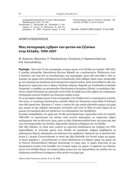propagated plantation in Crete. Nematologia Mediterranea, 22(1): 101-107.

Zartaloudis, Z., Navrozidis, M., Sileloglou, P., Bozoglou, K., Servis, D., Klitsinaris, A. and Papaioakim, N. 1996. Pistachio psylid. A new entomological pest in Greece. Georgia - Ktinotrofia, 6/1996: 31-33 (in Greek).

Received: 26 March 2008; Accepted: 23 June 2008

# ΑΡΘΡΟ ΕΠΙΣΚΟΠΗΣΗΣ

# **Νέες καταγραφές εχθρών των φυτών και ζιζανίων στην Ελλάδα, 1990-2007**

Μ. Ανάγνου–Βερονίκη, Π. Παπαϊωάννου–Σουλιώτη, Ε. Καραναστάση και Κ.Ν. Γιαννοπολίτης

**Περίληψη** Πάνω από 70 νέες καταγραφές εντόμων έγιναν στην Ελλάδα την περίοδο 1990-2007. Ο εριώδης αλευρώδης (Aleurothrixus floccosus Maskell) και ο φυλλοκνίστης (Phyllocnistis citrella Stainton), που είναι από τις σπουδαιότερες νέες καταγραφές, έχουν ήδη επεκταθεί σ' όλες τις περιοχές της χώρας όπου καλλιεργούνται εσπεριδοειδή, αλλά σοβαρές ζημιές έχουν αποφευχθεί με την εισαγωγή και εξαπόλυση αποτελεσματικών παρασιτοειδών. Άλλα νεοεισελθόντα είδη που θεωρούνται σημαντικά είναι οι θρίπες Pezothrips kellyanus (Bagnall) και Frankliniella occidentalis (Pergande), το σκαθάρι των φοινικοειδών Rhynchophorus ferrugineus (Olivier), οι κηκιδόμυες Ophelimus maskeli (Ashmead) και Leptocybe invasa Fisher & LaSalle και οι δύο εχθροί των σπαραγγιών Parahypopta caestrum (Hubner) και Hexomyza simplex (Loew).

Για τα φυτοφάγα ακάρεα έγιναν 9 νέες καταγραφές στην Ελλάδα κατά τη συγκεκριμένη περίοδο. Από αυτές, οι τετράνυχοι Eutetranychus orientalis (Klein) και Tetranychus evansi Baker & Pritchard είναι είδη καραντίνας. Ιδιαίτερα ο T. evansi, ο οποίος δεν έχει ακόμα εξαπλωθεί ευρέως στη χώρα μας, μπορεί να έχει σοβαρές οικονομικές επιπτώσεις γιατί είναι σε θέση να κάνει ζημιές και να μειώσει την εμπορική αξία των προϊόντων των καλλιεργειών που προσβάλλει.

Συνολικά αναφέρθηκαν στη χώρα μας 30 είδη φυτοπαρασιτικών νηματωδών κατά την περίοδο 1990-2007, τα περισσότερα των οποίων είναι γνωστά παγκοσμίως ως σημαντικοί εχθροί καλλιεργειών. Από τα είδη αυτά, όμως, μόνο το είδος Globodera pallida Stone, που είναι ένας από τους κυστονηματώδεις της πατάτας, παρουσιάζει ιδιαίτερο ενδιαφέρον για την Ελλάδα.

Τρία είδη ζιζανίων, τα οποία είναι γνωστά ως ευρύτατα διαδεδομένα και επιζήμια στις ΗΠΑ, εμφανίσθηκαν τα τελευταία χρόνια στην Ελλάδα και προκαλούν σοβαρά προβλήματα σε αρδευόμενες θερινές καλλιέργειες και ιδιαίτερα στον αραβόσιτο. Πρόκειται για το Ipomoea hederacea (L.) Jacquin (Convolvulaceae) το οποίο έχει ήδη εξαπλωθεί στο δυτικό τμήμα της χώρας, το Sicyos angulatus L. (Cucurbitaceae) το οποίο εξαπλώνεται στο βόρειο τμήμα της χώρας και το Panicum dichotomiflorum Michaux (Gramineae) το οποίο προς το παρόν απαντάται σε μια περιορισμένη έκταση στην Κωπαϊδα στο κεντρικό τμήμα της χώρας. Η εμφάνιση των ζιζανίων αυτών στην Ελλάδα δείχνει την ανάγκη λήψης μέτρων για την παρεμπόδιση της εισόδου και της εξάπλωσης επικίνδυνων ξενόφερτων ειδών φυτών στη χώρα μας.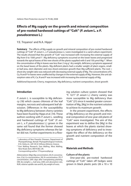# **Eff ects of Mg supply on the growth and mineral composition of pre-rooted hardwood cuttings of "Colt" (***P. avium* **L. x** *P. pseudocerasus* **L.)**

Y.E. Troyanos<sup>1</sup> and N.A. Hipps<sup>2</sup>

**Summary** The effects of Mg supply on growth and mineral composition of pre-rooted hardwood cuttings of "Colt" (*P. avium* L. x *P. pseudocerasus* L.) were investigated in a sand culture experiment. The results showed that the growth of "Colt" was increased with increasing the external supply of Mg from 0 to 1500 μmol l<sup>-1</sup>. Mg deficiency symptoms occurred on the lower leaves and progressed towards the apical leaves of the new shoots of the plants supplied with 0 and 150 μmol Mg  $\vert \cdot \vert$ . When the concentration of Mg in leaves was less than 2 mg  $q^{-1}$  dry weight, deficiency symptoms appeared on the basal leaves of the plants. Mg-deficient plants had a smaller weight of plant organs, smaller leaf area, stem diameter and new shoot extension growth than Mg-sufficient plants. The root  $\div$ shoot dry weight ratio was reduced with decreasing external supply of Mg. The concentrations of K, Ca, N and P in leaves were unaffected by changes in the external supply of Mg. However, the unit absorption rates of K, Ca, N and P was increased with increasing the external supply of Mg.

Additional keywords: Cherry, magnesium, Mg deficiency, nutrient composition, shoot growth

# **Introduction**

*P. avium L. is susceptible to Mg deficien*cy (18) which causes chlorosis of the leaf margins, necrosis and subsequent leaf abscission. Differences in the susceptibility to Mg deficiency between cherry varieties have been found by Hipps *et al.* (14). These authors working with *P. avium* L. seedling and hardwood cuttings of "Colt" (*P. avium* L. x *P. pseudocerasus* L.) grown in the same soil found that the former showed Mg deficiency symptoms whereas the latter did not. Further experiments in a flowing solution culture system showed that "F. 12/1" (*P. avium* L.) cherry variety was more susceptible to Mg deficiency than "Colt" (21) since it needed greater concentration of Mg, [Mg] in the nutrient solution to achieve its maximum growth.

In the present experiment, the effects of Mg deficiency on the growth and mineral composition of one-year-old plants of "Colt" were investigated. The aim of this experiment was to define the [Mg] in the leaves at which the plants started showing symptoms of deficiency and to investigate the effect of the deficiency on the growth and nutrient composition of the plants.

# **Materials and Methods**

## **Culture of the plants**

One-year-old, pre-rooted hardwood cuttings of "Colt" taken off hedges were grown in black plastic pots (26 x 10 x 10

<sup>&</sup>lt;sup>1</sup> Laboratory of Non Parasitic Diseases, Department of Phytopathology, Benaki Phytopathological Institute, 8 St. Delta str., GR-145 61 Kifissia (Athens), Greece.

<sup>2</sup> East Malling Research, East Malling, West Malling, New Road, Kent, ME19 6BJ, UK. Corresponding author: Y.Troyanos@bpi.gr

*Abbreviations:* [Mg]; Mg concentration, [K]; K concentration, [Ca]; Ca concentration, [N]; N concentration, [P]; P concentration, DAP; days after transplanting planting, DW; dry weight,  $L_{x}$ ; leaf area, UAR; unit absorption rate, RUR; relative uptake rate and W<sub>,</sub>; dry weight of roots.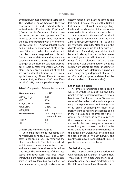cm) filled with medium grade quartz sand. The sand had been washed with 3% v/v of concentrated HCl and leached with deionized water (Conductivity  $\leq$ 3 μS cm<sup>-1</sup>) (10) until the pH of nutrient solution draining from the pots was approx. 5.5. The analyses of sand samples that taken from the pots and extracted with 1 M ammonium acetate at  $pH = 7$  showed that the sand had a residual concentration of Mg of approx. 30  $\mu$ mol  $l^{-1}$ . When the sand leached, the plants were weighted and planted. During their establishment, they were watered on alternate days with 600 ml of half strength of the nutrient solution presented in Table 1. After two weeks, when the plants started growing, 600 ml of the full strength nutrient solution (Table 1) were applied each day. Three different concentrations of Mg: 0, 150 and 1500  $\mu$ mol  $l<sup>-1</sup>$  using MgCl $_2$ .6H $_2$ 0 were applied to the plants.

**Table 1.** Composition of the nutrient solution.

| <b>Macronutrients</b>      | $\mu$ mol $l^{-1}$                     |
|----------------------------|----------------------------------------|
| $Ca(NO_2), 4H_2O$          | 4000                                   |
| KNO,                       | 4000                                   |
| $NaH_2PO_4.2H_2O$          | 1330                                   |
| $MgCl2$ .2H <sub>2</sub> O | 0, 150, 1500                           |
| $CaSO4$ .H <sub>2</sub> O  | 500                                    |
| <b>Micronutrients</b>      | As in Long-Ashton<br>nutrient solution |
| FeEDTA                     | 100                                    |
| рH                         | 5.5                                    |
|                            |                                        |

# **Growth and mineral analyses**

During the experiment, four destructive harvests were done at 30, 50, 71 and 92 days after transplanting (DAP) by removing the plants from the pots. The plants were divided into leaves, stems, new shoots and roots and were rinsed three times with de-ionized water. The fresh weights of the leaves, stems and roots were measured. Afterwards, the plant material was dried to constant weight in a forced air oven at  $85^{\circ}$ C for determination of dry weight and ground for

determination of the nutrient content. The leaf area  $(L_n)$  was measured with a Delta-T leaf area meter (Burwell, Cambridge, England) and the diameter of the stems was measured at 10 cm above the root collar.

One hundred milligrams of the dried ground plant material was digested with 2 ml 18 M  $H_2SO_4$  containing 1 g l<sup>-1</sup> Se and 1 ml hydrogen peroxide. After cooling, the digests were made up to 20 ml with distilled water. Ca and Mg were determined by atomic absorption spectrophotometer on the digests after dilution with 20 volumes of a 1 g  $\mathsf{I}$ <sup>-1</sup> solution of LaCl<sub>3</sub> as a releasing agent. K was determined on the same solution by atomic emission photometer. Total nitrogen was determined using an auto- analyzer by indophenol blue method (23) and phosphorus determined by the molybdenum blue method (6).

# **Experimental design**

A complete randomized block design was used with three [Mg] : 0, 150 and 1500  $\mu$ mol  $l^{-1}$  as the treatments allocated to four blocks and four harvest dates. To take account of the variation due to initial plant weight, the plants were put into 4 groups of 12 plants depending on their initial fresh weight as follows: the largest being in the  $1<sup>st</sup>$  group, and the smallest in the  $4<sup>th</sup>$ group. The 12 plants in each group were then assigned at random to each block and each plant was assigned at random to each Mg and harvest combination. By using this randomization the difference in the initial plant weight was included into the block effect (2). At each harvest, one plant was removed from each pot thus, 12 plants were removed per harvest.

## **Statistical analyses**

The statistical analyses were performed with Genstat (9) (Genstat 5 Committee, 1987). Plant growth data were analysed using polynomial regression models fitted to the data which were logarithmically trans-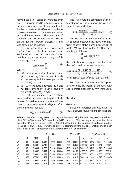formed (log<sub>e</sub>) to stabilize the variance over time. F-tests were used to determine whether differences were statistically significant. Analysis of variance (ANOVA) was used also to assess the effect of the treatment factor at the different harvest. The derivation of the mean unit absorption rates was based on the dynamic growth analysis (15) and was carried out as follows:

The unit absorption rate (UAR, nmol mg-1day-1) i.e. the rate of the mineral nutrient (nmol) absorbed per day and unit root weight (mg), was estimated using the following equation:

$$
UAR = RUR \frac{M}{W_{c}}
$$
 (1)

Where:

- 1. RUR = relative nutrient uptake rate ( $\mu$ mol  $\mu$ mol<sup>-1</sup>day<sup>-1</sup>) i.e. the rate of nutrient content (μmol) increase per nutrient (μmol) per day.
- 2.  $M \div W_r$  = the ratio between the plant nutrient content, (M in μmol) and dry weight of roots, (W<sub>r</sub>, in mg).

The RUR was estimated after fitting an equation between the logarithmically transformed nutrient content of the plants (*log<sub>e</sub>*M) over time in days (t) after transplanting as follows: g

$$
loge(M) = a + bt + ct2
$$
 (2)

The RUR could be estimated after differentiation of the equation (2) with respect to time as follows:

$$
RUR = \frac{d(log_e M)}{dt} = \frac{1}{M} \frac{dM}{dt} = b + 2ct
$$
 (3)

The M  $\div$  W<sub>r</sub> was estimated after fitting an equation between the ratios of the nutrient content of the plants  $\div$  dry weight of roots  $(W<sub>r</sub>)$  over time in days (t) after transplanting as follows:

$$
\frac{M}{W_{c}} = a_1 + b_1 t + c_1 t^2 \tag{4}
$$

By multiplication of equations (3) and (4) the UAR could be derived as follows:

$$
UAR = RUR \frac{M}{W_r} = \frac{1}{M} \frac{dM}{dt} \frac{M}{W_r} = \frac{1}{W_r} \frac{dM}{dt} = \tag{5}
$$

$$
= (b+2ct)(a_1+b_1t+c_1t^2) = a_3+b_3t+c_3t^2+d_3t^3
$$

For derivation of the unit absorption rates UAR the dry weight of the roots with approximate diameter <2 mm were used.

# **Results**

# **Growth**

Based on regression analyses, quadratic equations were found to be the most appro-

**Table 2.** The effect of Mg external supply on the relationship between log<sub>e</sub>-transformed total plant (W), leaf (WL), stem (WS), new shoot (WNSH) and root (WR) dry weight, leaf area (LA), shoot diameter (SD) and new shoot length (LNSH) of `Colt' and time. The equations fitted were quadratics (a+ bt+ ct<sup>2</sup>) where a, b, c were the parameters estimated by the statistical analysis and t time in days.  $R<sup>2</sup>$  coefficients of determination, SED standard error of differences.

|                 |       |            |       | 0 µmol Mg $I^{-1}$ |         |       | 150 $\mu$ mol Mg $l^{-1}$ |          |       | 1500 $\mu$ mol Mg l <sup>-1</sup> |          |  |
|-----------------|-------|------------|-------|--------------------|---------|-------|---------------------------|----------|-------|-----------------------------------|----------|--|
|                 | $R^2$ | <b>SED</b> | a     | b                  | c       | a     | b                         | C        | a     | b                                 |          |  |
| W               | 0.84  | 0.0001     | 8.636 | 0.0039             | 0.00024 | 8.636 | 0.0039                    | 0.00012  | 8.636 | 0.0039                            | 0.000006 |  |
| W <sub>i</sub>  | 0.82  | 0.0001     | 6.738 | 0.061              | 0.00041 | 6.738 | 0.061                     | 0.00027  | 6.738 | 0.061                             | 0.00021  |  |
| $W_{\varsigma}$ | 0.74  | 0.0009     | 8.768 | 0.016              | 0.00085 | 8.768 | 0.016                     | 0.000007 | 8.768 | 0.016                             | 0.000038 |  |
| $W_{NSH}$       | 0.84  | 0.0002     | 3.599 | 0.106              | 0.00066 | 3.599 | 0.106                     | 0.00048  | 3.599 | 0.106                             | 0.00040  |  |
| $W_{R}$         | 0.86  | 0.0001     | 4.891 | 0.080              | 0.00054 | 4.891 | 0.080                     | 0.00036  | 4.891 | 0.080                             | 0.00029  |  |
| $S_{D}$         | 0.72  | 0.00005    | 1.464 | 0.019              | 0.00014 | 1.464 | 0.019                     | 0.000098 | 1.464 | 0.019                             | 0.000073 |  |
| $L_{NSH}$       | 0.78  | 0.0001     | 8.495 | 0.076              | 0.00046 | 8.495 | 0.076                     | 0.00039  | 8.495 | 0.076                             | 0.00033  |  |
| $L_{\rm A}$     | 0.88  | 0.0002     | 7.879 | 0.103              | 0.00040 | 7.879 | 0.103                     | 0.00025  | 7.879 | 0.103                             | 0.00017  |  |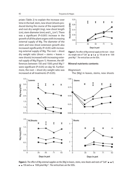priate (Table 2) to explain the increase over time in the leaf, stem, new shoot (shoots produced during the course of the experiment) and root dry weight (mg), new shoot length (cm), stem diameter (mm) and  $L_A^2$  (cm<sup>2</sup>). There was a significant (P<0.001) increase in the growth of all the plant organs with increasing external supply of Mg. The diameter of the stem and new shoot extension growth also increased significantly ( $P < 0.05$ ) with increasing external supply of Mg. The root  $\div$  shoot dry weight ratio (shoot = stems + leaves + new shoots) increased with increasing external supply of Mg (Figure 1). However, the differences between 150 and 1500 μmol Mg l-1 were significant (P<0.05) on day 92. Furthermore, the root  $\div$  shoot dry weight ratio was increased at all treatments (P<0.05).



**Figure 1.** The effect of Mg external supply on the root  $\div$  shoot dry weight ratio of "Colt".  $\blacksquare$  -  $\blacksquare$  0,  $\bullet$  -  $\bullet$  150 and  $\star$ - $\star$  1500 μmol Mg l-1. The vertical bars are the SEDs.

## **Mineral nutrients contents**

#### *Magnesium*

The [Mg] in leaves, stems, new shoots



**Figure 2.** The effect of Mg external supplies on the [Mg] in leaves, stems, new shoots and roots of "Colt".  $\blacksquare$ - $\blacksquare$  0,  $\bullet$  -  $\bullet$  150 and  $\star$   $\star$  1500 µmol Mg l<sup>-1</sup>. The vertical bars are the SEDs.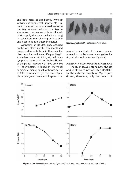and roots increased significantly (P<0.001) with increasing external supply of Mg (Figure 2). There was a continuous decrease in the [Mg] in leaves, whereas, the [Mg] in shoots and roots were stable. At all levels of Mg supply, there were a decline in [Mg] in stems from transplanting until 30 DAP and a continuous increase thereafter.

Symptoms of Mg deficiency occurred on the lower leaves of the new shoots and progressed towards the apical leaves of the plants supplied with 0 and 150  $\mu$ mol Mg  $l<sup>-1</sup>$ . At the last harvest (92 DAP), Mg deficiency symptoms appeared also on the basal leaves of the plants supplied with 1500 μmol Mg l -1. The symptoms included an interveinal or marginal orange or yellow brown necrosis (often surrounded by a thin band of purple or pale green tissue) which spread over



Figure 3. Symptoms of Mg deficiency in "Colt" leaves.

most of the leaf blade; all the leaves became tattered and curled upwards along the midrib, and abscised soon after (Figure 3).

## *Potassium, Calcium, Nitrogen and Phosphorus*

The [K] in leaves, stem, new shoots and roots were not affected  $(P>0.05)$ by the external supply of Mg (Figure 4) and, therefore, only the means of



Figure 4. The effect of Mg external supply on the [K] in leaves, stems, new shoots and roots of "Colt".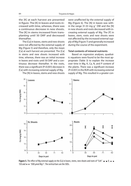the [K] at each harvest are presented in figure. The [K] in leaves and roots increased with time, whereas, there was a continuous decrease in new shoots. The [K] in stems increased from transplanting until 50 DAP and decreased thereafter.

The [Ca] in leaves, stems and new shoots were not affected by the external supply of Mg (Figure 5) and therefore, only the mean [Ca] at each harvest are presented. The [Ca] in stems and new shoots increased with time, whereas, there was an initial increase in leaves and roots until 50 DAP and a continuous decrease thereafter. In the roots, there was a significant ( $P<0.001$ ) decrease in [Ca] with increasing external supply of Mg.

The [N] in leaves, stems and new shoots

were unaffected by the external supply of Mg (Figure 6). The [N] in leaves was within the range 31-33 mg  $q^{-1}$  DW and the [N] in new shoots and roots decreased with increasing external supply of Mg. The [P] in leaves, stem, roots and new shoots were not affected by the increased external supply of Mg (Figure 7) and generally increased during the course of the experiment.

# **Total contents of mineral nutrients**

**Stems** 

Based on regression analyses, quadratic equations were found to be the most appropriate (Table 3) to explain the increase over time in Mg, K, Ca, N, and P content of the plants. There was a significant increase (P<0.001) in the RUR with increasing external supply of Mg. This resulted in a greater con-



**Figure 5.** The effect of Mg external supply on the [Ca] in leaves, stems, new shoots and roots of "Colt".  $\blacksquare$ - $\blacksquare$  0,  $\lozenge$ - $\lozenge$ 150 and  $\star \rightarrow 1500$  µmol Mg l<sup>-1</sup>. The vertical bars are the SEDs.

20

Leaves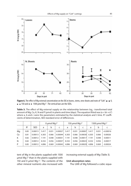

**Figure 6.** The effect of Mg external concentration on the [N] in leaves, stems, new shoots and roots of "Colt".  $\blacksquare$  -  $\blacksquare$  0,  $\bullet$  -  $\bullet$  150 and  $\star$   $\star$  1500 µmol Mg l<sup>-1</sup>. The vertical bars are the SEDs.

**Table 3.** The effect of Mg external supply on the relationship between  $log_e$ - transformed total amount of Mg, Ca, K, N and P (µmol) in plants and time (days). The equation fitted was (a + bt +ct<sup>2</sup>) where a, b and c were the parameters estimated by the statistical analysis and t time.  $R^2$  coefficients of determination, SED standard error of differences.

|    |       |            |       | 0 µmol Mg $I-1$ |            |       | 150 $\mu$ mol Mg $l-1$ |            | 1500 $\mu$ mol Mg $I^{-1}$ |       |            |
|----|-------|------------|-------|-----------------|------------|-------|------------------------|------------|----------------------------|-------|------------|
|    | $R^2$ | <b>SED</b> | a     | b               |            | a     | b                      |            | a                          | b     |            |
| Mg | 0.85  | 0.00013    | 5.417 | 0.031           | $-0.00027$ | 5.417 | 0.031                  | $-0.00007$ | 5.417                      | 0.031 | $+0.00016$ |
| Ca | 0.81  | 0.00013    | 6.303 | 0.066           | $-0.00044$ | 6.303 | 0.066                  | $-0.00030$ | 6.303                      | 0.066 | $-0.00026$ |
| K  | 0.82  | 0.00012    | 7.191 | 0.048           | $-0.00031$ | 7.191 | 0.048                  | $-0.00017$ | 7.191                      | 0.048 | $-0.00011$ |
| N  | 0.82  | 0.00012    | 8.332 | 0.056           | $-0.00037$ | 8.332 | 0.056                  | $-0.00023$ | 8.332                      | 0.056 | $-0.00017$ |
| P  | 0.85  | 0.00012    | 4.896 | 0.069           | $-0.00043$ | 4.896 | 0.069                  | $-0.00029$ | 4.896                      | 0.069 | $-0.00024$ |

tent of Mg in the plants supplied with 1500 μmol Mg l-1 than in the plants supplied with 150 and 0  $\mu$ mol Mg l<sup>-1</sup>. The contents of the other mineral nutrients also increased with

increasing external supply of Mg (Table 3).

# **Unit absorption rates**

The UAR of Mg followed a cubic equa-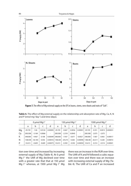

Figure 7. The effect of Mg external supply on the [P] in leaves, stems, new shoots and roots of "Colt".

Table 4. The effect of Mg external supply on the relationship unit absorption rate of Mg, Ca, K, N and P (nmol mg<sup>-1</sup>day<sup>-1</sup>) and time (days).

|    | 0 $\mu$ mol Mg $l^{-1}$ |           |          |            | 150 $\mu$ mol Mg $l^{-1}$ |           |          |            | 1500 $\mu$ mol Mg l <sup>-1</sup> |           |          |            |
|----|-------------------------|-----------|----------|------------|---------------------------|-----------|----------|------------|-----------------------------------|-----------|----------|------------|
|    | a                       | b         | C        | d          | a                         | b         | C        | d          | a                                 | b         |          | d          |
| Mq | 29.729                  | $-1.06$   | 0.0124   | $-0.00005$ | 29.729                    | $-0.667$  | 0.0056   | $-0.00001$ | 29.729                            | $-0.351$  | 0.0013   | 0.000031   |
| Ca | 200.508                 | $-3.168$  | 0.0066   |            | 200.508                   | $-2.318$  | 0.0045   | ۰          | 200.508                           | $-2.075$  | $-2.075$ |            |
| K  | 348.000                 | $-9.967$  | 0.108    | $-0.00049$ | 348.000                   | $-7.937$  | 0.077    | $-0.0027$  | 348,000                           | $-7.067$  | 0.063    | $-0.00017$ |
| N  | 382.08                  | $-36.183$ | 0.356    | $-0.00016$ | 1382.08                   | $-29.273$ | 0.266    | $-0.00096$ | 1382.08                           | $-26.311$ | 0.228    | $-0.00072$ |
| P  | 53.613                  | $-0.609$  | $-0.609$ | $-0.00073$ | 53.613                    | $-0.392$  | $-0.392$ | $-0.00050$ | 53.613                            | $-0.314$  | $-0.314$ | $-0.00041$ |

tion over time and increased by increasing external supply of Mg (Table 4). At 0 μmol Mg I<sup>-1</sup> the UAR of Mg declined over time with a greater rate that that at 150 μmol Mg  $l^{-1}$  whereas, at 1500 µmol Mg  $l^{-1}$  Mg there was an increase in the RUR over time. The UAR of K and N followed a cubic equation over time and there was an increase with increasing external supply of Mg (Table 4). The UAR of Ca and P an increased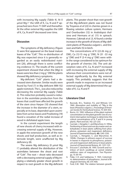with increasing Mg supply (Table 4). At 0 μmol Mg  $I<sup>-1</sup>$  the UAR of K, Ca, N and P approached zero from 71 DAP and thereafter. At the other external Mg supplies the UAR of K, Ca, N and P decreased over time.

# **Discussion**

The symptoms of Mg deficiency (Figure 3) were first appeared on the basal mature leaves of the "Colt". This re-distribution of Mg was expected since it is generally regarded as an easily redistributed nutrient (20), although there is some conflicting evidence (1). The results of the current experiment showed that when the [Mg] in leaves were less than 2 mg  $q^{-1}$  DW the plants showed Mg deficiency symptoms.

Mg-deficient "Colt" plants had a decreased stem diameter. Similar results were found by Ford (7) in Mg-deficient MM-102 apple rootstock. The  $L_A$  was also reduced by decreasing the external Mg supply (Table 2). This reduction probably caused a reduction in the assimilate production from the leaves that could have affected the growth of the stem since Harper (10) showed that the increase in the diameter of a stem, especially at its base, depended upon assimilates from active leaves and Proebsting (19) found a cessation of the radial increase of wood in defoliated apple trees.

In the current experiment the length of new shoots of cherry increased with increasing external supply of Mg. However, in apple the extension growth of the new shoots and leaf production, as well as internode length, were unaffected by Mg deficiency (8).

The severe Mg deficiency (0 μmol Mg l -1) probably altered the distribution of the assimilates between the shoot and root of "Colt". The root  $\div$  shoot ratio decreased with a decreasing external supply of Mg implying a relatively greater shoot growth in respect to root growth in the Mg-deficient

plants. This greater shoot than root growth of the Mg-deficient plants was not found by Troyanos *et al* (22) in cherries grown in a flowing solution culture system, Hermans and Overburden (12) in *Arabidopsis thaliana* and Hermans *et al.* (11) in spinach. However, Cakmak *et al.* (3, 4) found a similar increase in the growth of shoots of Mg-deficient plants of *Phaseolus vulgaris* L. and Ericsson and Kahr (5) in birch.

The concentrations of K (22-26 mg  $q^{-1}$ ) DW), Ca (12-15 mg g-1 DW), N (31 -33 mg  $q^{-1}$  DW) and P (3-4 mg  $q^{-1}$  DW) were within the range considered to be *optimum* for the growth of cherries (16). The unit absorption rates of K, Ca, N and P increased with increasing the external supply of Mg whereas their concentrations were not affected significantly by the Mg external supply. This probably suggests that the growth made in response to an increased external supply of Mg determined the uptake of K, Ca, N and P.

# **Literature Cited**

- 1. Bucovak, M.J., Teubner, F.G. and Wittwer, S.H. 1960. Absorption and mobility of  $28$ Mg in the bean (*Phaseolus vulgaris L*.). *Proceedings of American Society for Horticultural Science*, 75: 429-434.
- 2. Burns, I.G. 1992. Influence of the plant nutrient concentration on the plant growth: Use of a nutrient interruption technique to determine the critical concentrations of N, P and K in young plants. *Plant and Soil*, 142: 221-233.
- 3. Cacmak, I., Hengeler, C. and Marschner, H. 1994a. Partitioning of shoot and root dry matter and carbohydrates in bean plants suffering from phosphorus, potassium and magnesium deficiency. *Journal of Experimental Botany*, **45:** 1245-1250.
- 4. Cacmak, I., Hengeler, C. and Marschner, H. 1994b. Changes in phloem export of sucrose in leaves in response to phosphorus, potassium and magnesium deficiency in bean plants. *Journal of Experimental Botany*, 45: 1251-125.
- 5. Ericsson T. and Kahr, M. 1995. Growth and nutrition of birch seedlings at varied relative addition rates of magnesium. *Tree Physiology*, 15: 85-93.
- 6. Fiske, C.H. and Subbarow, Y. 1925. Colorimetric determination of phosphorus. *Journal of Biological Chemistry*, 66: 375-400.
- 7. Ford, E.M. 1960. The relation between growth,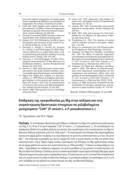form and mineral composition of rooted apple shoots supplied with different concentrations of magnesium. *Ph.D. thesis*, University of London.

- 8. Ford, E.M. 1966. Studies in the nutrition of apple rootstocks. III. Effects of level of magnesium nutrition on growth, form and mineral composition. *Annals of Botany*, 30: 639-655.
- 9. Genstat 5 Committee (1987). Genstat 5 reference manual (New York, Oxford university press).
- 10. Harper, A.G. 1913. Defoliation: its effects upon the growth and structure of the wood of Larix. *Annals of Botany,* 27: 621-642.
- 11. Hermans, C., Burgis, F., Faucher, M., Strasser, R.J., Delrot, S. and Verbruggen, N. 2005. Magnesium deficiency in sugar beets alters sugar partitioning and phloem loading in young mature leaves. *Planta*, 220: 541-549.
- 12. Hermans, C. and Verbruggen, N 2005. Physiological characterization of Mg deficiency in *Arabidopsis thaliana*. *Journal of Experimental Botany*, 56: 2153-2161.
- 13. Hewitt, E.J. 1965. Sand and water culture methods used in the study of plant nutrition. *Commonwealth agricultural bureau*, second edition.
- 14. Hipps, N.A., Higgs, K.H., Collard, L.G. and Samuelson, T.J. 1994. Effects of irrigation and nitrogen fertilizer on the growth and nutrient relations of *P. avium L.* and "Colt" (*P. pseudocerasus x P. avium*) in the nursery and after transplantation. *Annals Scientia Forestrie,* 51: 433-445.
- 15. Hunt R. 1982. Plant growth curves. Cambridge University Press.
- 16. Leece, D.R. 1975. Diagnostic leaf analysis for stone fruit. Australian *Journal of Experimental Agriculture*, 15: 118-121.
- 17. Loomis, W.E. 1935. Translocation and growth balance in woody plants. *Annals of Botany,* 49: 247-272.
- 18. Maff, 1964. Soils and manures for fruit trees. *Bulletin No 107*, Ministry of Agriculture, Fisheries and Food. 28-29.
- 19. Proebsting, E.L. 1925. The relation of stored food to cambial activity in the apple. *Hilgardia,* 1: 81-106.
- 20. Steuce, G.L. and Koontz, H.V. 1970. Phloem mobility of magnesium. *Plant Physiology,* 154: 50-52.
- 21. Troyanos, Y.E, Hipps N.A., Moorby J. and Ridout M.S. 1997. The effects of external magnesium concentration on the growth and magnesium inflow rates of micropropagated cherry rootstocks "F. 12/1" (*P. avium* L.) and "Colt" (*P.avium* L. x *P. Pseudocerasus* L.). *Plant and Soil,* 197(1): 25-33.
- 22. Troyanos, Y.E, Hipps N.A., Moorby J. and Kingswell G. 2000. The effects of external potassium and magnesium concentrations on the magnesium and potassium inflow rates and growth of micropropagated cherry rootstocks "F. 12/1" (*P. avium* L.) and "Colt" (*P.avium* L. x *P. Pseudocerasus* L.). *Plant and Soil,* 225(1): 73-82.
- 23. Varley, J.A. 1966. Automatic method for the determination of nitrogen, phosphorus, and potassium in plant material. *Analyst,* 91: 119-126.

*Received: 20 March 2008; Accepted: 23 June 2008*

# **Επίδραση της τροφοδοσίας με Mg στην αύξηση και στη συγκέντρωση θρεπτικών στοιχείων σε ριζοβολημένα μοσχεύματα "Colt" (***P. avium* **L. x** *P. pseudocerasus* **L.)**

Γ.Ε. Τρωγιάνος και N.A. Hipps

**Περίληψη** Σε ένα πείραμα υδροπονίας μελετήθηκε η επίδραση του Mg στην αύξηση και συγκέντρωση του Mg, K, Ca, N και Ρ σε φυτά κερασιάς "Colt" (*P. avium* L. x *P. pseudocerasus* L.). Τα αποτελέσματα του πειράματος έδειξαν ότι ο ρυθμός αύξησης των φυτών ήταν μεγαλύτερος όσο η συγκέντρωση του Mg στο θρεπτικό διάλυμα αυξανόταν από 0 σε 1500 μmol l-1. Τα συμπτώματα της έλλειψης Mg παρατηρήθηκαν πρώτα στα ώριμα φύλλα της βάσης των νέων βλαστών σε φυτά που αναπτύσσονταν με 0 και 150 μmol Mg l-1. Στη τελευταία συγκομιδή των φυτών (ημέρα 92) όταν η συγκέντρωση του Mg στα φύλλα ήταν μικρότερη από 2 mg g-1 βάρος ξηρής ουσίας, συμπτώματα της έλλειψης του Mg εμφανίστηκαν επίσης και σε ώριμα φύλλα των φυτών που αναπτύσσονταν με 1500 μmol Mg l-1. Ο λόγος του ξηρού βάρους της ρίζας ÷ ξηρό βάρος του υπέργειου τμήματος του φυτού μειώθηκε με την μείωση τη συγκέντρωσης του Mg στο θρεπτικό διάλυμα. Επιπλέον, φυτά τα οποία παρουσίαζαν συμπτώματα έλλειψης Mg είχαν μικρή διάμετρο κορμού και μικρό μήκος νεαρής βλάστησης. Η συγκέντρωση του K, Ca, N και Ρ δεν επηρεάστηκε από την συγκέντρωση του Mg στο θρεπτικό διάλυμα. Ο μοναδιαίος ρυθμός της πρόσληψης του K, Ca, N και Ρ αυξήθηκε με την αύξηση της συγκέντρωσης του Mg στο θρεπτικό διάλυμα.

*Hellenic Plant Protection Journal* **1:** 79-88, 2008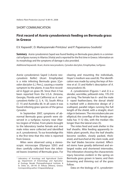# SHORT COMMUNICATION

# **First record of** *Aceria cynodoniensis* **feeding on Bermuda grass in Greece**

E.V. Kapaxidi<sup>1</sup>, D. Markoyiannaki-Printziou<sup>1</sup> and P. Papaioanou-Souliotis<sup>1</sup>

**Summary** Aceria cynodoniensis Sayed was found feeding on Bermuda grass plants in a commercial turfgrass nursery in Aliartos (Viotia) and is reported for the first time in Greece. Information on its morphology and the symptoms of damage is also provided.

Additional keywords: Acari, Aceria neocynodonis, Cynodon dactylon, Eriophyidae, turfgrass

Aceria cynodoniensis Sayed (=Aceria neocynodonis Keifer) (Acari: Eriophyidae) is a mite infesting Bermuda grass [Cynodon dactylon (L.) Pers.], causing a rosette symptom to the plants. It was first recorded in Egypt on grass (9). Since then it has been reported from the U.S.A. (Arizona, Georgia, Florida and California) as A. neocynodonis Keifer (2, 3, 4, 13), South Africa (7, 11) and Australlia (8). In all cases it was found infesting grass species of the genus Cynodon.

In September 2007, symptoms of abnormal Bermuda grass growth were observed in a turfgrass nursery near Aliartos (region of Viotia). From plants brought to the laboratory twelve female and one male mites were collected and identified as A. cynodoniensis. To our knowledge this is the first time that this mite is reported from Greece.

Mites were observed using a stereoscopic microscope (Olympus SZ61) and then carefully collected from the infested leaves (rosettes) of Bermuda grass. For clearing and mounting the individuals, Hover's medium was used (6). The identification was made by using the keys of Amrine et al. (1) and Keifer's description of A. neocynodonis (4).

A. cynodoniensis (Figures 1 and 2) is a slender, wormlike, yellowish mite, 170-210 μm long. The female has 6– and the male 5- rayed featherclaws; the dorsal shield is marked with a distinctive design of 2 scalloped, parallel ridges running the full length of the shield, with a straight, short ridge in between. The microtubercules are elliptical; the coverflap of the female genitalia has 11-12 ribs, with the median ribs longer than the lateral ones (5).

The mites feed and seek shelter in the leaf sheaths. Mite feeding apparently inhibits plant growth, thus the leaf sheaths become swollen, closely packed, thickened, and bunched at the stem node, and the leaf blades become stunted. Affected stems have greatly deformed and enlarged nodes and shortened internodes. The infestation showing the characteristic injury becomes evident in the spring on Bermuda grass grown in lawns; and then browning and thinning out of the grass follow.

Data on the biology of A. cynodonien-

Laboratory of Acarology and Agricultural Zoology, Department of Entomology and Agricultural Zoology, Benaki Phytopathological Institute, 8 St. Delta str., GR-145 61 Kifissia (Athens), Greece. Corresponding author: E.Kapaxidi@bpi.gr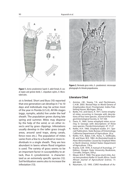

**Figure 1.** *Aceria cynodoniensis* Sayed: A. adult female, B. coxal region and genital shield, C. empodium raylets, D. Microtubercules.

sis is limited. Short and Buss (10) reported that one generation can develop in 7 to 10 days and individuals may be active most of the year in Florida (U.S.A). All life stages (eggs, nymphs, adults) live under the leaf sheath. The population grows during late spring and summer. Mites may disperse by the help of the wind, or on other insects and by grass clippings. Infestations usually develop in the taller grass (rough areas, around sand traps, along canals, fence rows etc.). The population of mites varies from a few to a hundred or more individuals in a single sheath. They are less abundant in lawns where flood irrigation is used. The variety of grass seems to be an important factor in susceptibility to attack, thus A. cynodoniensis is characterized as an extremely specific species (12). Soil fertilization seems also to increase the infestation (13).



**Figure 2.** Bermuda grass mite, *A. cynodoniensis*: microscope photograph of a female propodosoma.

## **Literature Cited**

- 1. Amrine, J.W., Stasny, T.A. and Flechtmann, C.H.W. 2003. Revised Keys to World Genera of Eriophyoidea (Acari: Prostigmata). Indira Publishing House, Michigan, 244 p.
- 2. Barke, H.E. and Davis, R. 1971. Some eriophyid mites occurring in Georgia with descriptions of four new species. Journal of the Georgia Entomological Society, 6: 157-169.
- Davis, R. 1964. Some eriophyid mites occurring in Georgia with descriptions of three new species. Florida Entomologist, 47: 17-27.
- 4. Keifer, H.H. 1960. Eriophyid studies. B-1. Special Publication, State Bureau of Entomology, California Department of Agriculture. 20 p.
- 5. Keifer, H.H., Baker, E.W., Kono, T., Delfinado, M. and Styer, W.E. 1982. An Illustrated Guide to Plant Abnormalities Caused by Eriophyid Mites in North America. United States Department of Agriculture, 178 p.
- 6. Krantz, G.W. 1978. A manual of Acarology. 2nd Edition. Oregon State University Bookstore, Corvallis, Oregon, 509 p.
- 7. Meyer, M.K.P. 1968. The grass stunt mite, Aceria neocynodonis Keifer in South Africa. South African Journal of Agrcicultural Science, 11: 803-804.
- 8. Naumann, I.D. 1993. CSIRO Handbook of Au-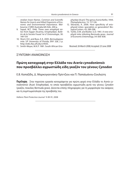stralian Insect Names. Common and Scientific Names for Insects and Allied Organisms of Economic and Environmental Importance. Melbourne: CSIRO Australia 6th Edn, 200 p.

- 9. Sayed, M.T. 1946. Three new eriophyid mites from Egypt (Acarina, Eriophyidae). Bulletin de la Societe Fouad 1er d' Entomologie, 30: 149-154
- 10. Short, D.E. and Buss, E.A. 2005. Bermudagrass mite. UF University of Florida, ENY 328, 2 p. http://edis.ifas.ufl.edu/LH035.
- 11. Smith-Meyer, M.K.P. 1981. South African Erio-

phyidae (Acari): The genus Aceria Keifer, 1944. Phytophylactica, 13: 117-126.

- 12. Skoracka, A. 2006. Host specificity of eriophyoid mites: specialists or generalists? Biological Letters, 43: 289-298.
- 13. Tuttle, D.M. and Butler, G.D. 1961. A new eriophyid mite infesting Bermuda grass. Journal of Economic Entomology, 54: 836-838.

Received: 26 March 2008; Accepted: 23 June 2008

## ΣΥΝΤΟΜΗ ΑΝΑΚΟΙΝΩΣΗ

# **Πρώτη καταγραφή στην Ελλάδα του** *Aceria cynodoniensis* **που προσβάλλει αγρωστώδη είδη γκαζόν του γένους** *Cynodon*

Ε.Β. Καπαξίδη, Δ. Μαρκογιαννάκη-Πρίντζιου και Π. Παπαϊωάνου-Σουλιώτη

**Περίληψη** Στην παρούσα εργασία καταγράφεται για πρώτη φορά στην Ελλάδα το Aceria cynodoniensis (Acari: Eriophyidae), το οποίο προσβάλλει αγρωστώδη φυτά του γένους Cynodon (γκαζόν, ποικιλίες Bermuda grass). Δίνονται επίσης πληροφορίες για τη μορφολογία του ακάρεος και τη συμπτωματολογία της προσβολής του.

Hellenic Plant Protection Journal **1**: 89-91, 2008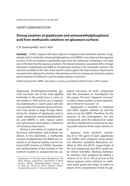# SHORT COMMUNICATION

# **Strong sorption of glyphosate and aminomethylphosphonic acid from methanolic solutions on glassware surfaces**

## C.N. Giannopolitis $^1$  and V. Kati $^1$

**Summary** In HPLC analyses with direct injection of aqueous and methanolic solutions of glyphosate and its metabolite aminomethylphosphonic acid (AMPA), it was observed that apparent recovery of the two analytes is significantly lower from the methanolic (containing or not water up to 10%) than from the aqueous solutions. The reduced recovery is associated with a stronger adsorption of glyphosate and AMPA on the glassware surfaces in the methanolic solutions. The reduction correlates to the ratio of the solution volume against the total container volume and is increased when shaking the solutions. Determination of the two compounds, therefore, requires special attention if methanol is used for sample spiking or extraction.

*Additional keywords:* AMPA, adsorption, recovery, quantitative determination, HPLC analysis

Glyphosate [N-(phosphonomethyl) glycine] has been one of the most applied herbicides in the world since it came on the market in 1974 and its use is expanding dramatically in recent years with the incorporation of resistance genes into several crops grown in large acreage. Monitoring for residues of glyphosate and its major metabolite aminomethylphosphonic acid (AMPA) in soils, natural waters and agricultural commodities is therefore of increasing importance.

During a procedure of analytical performance optimization and method validation in this laboratory, a methanolic solution of glyphosate and AMPA was received as an external quality control material (LEAP Scheme of FAPAS). Quantitative determination of the analytes in this material resulted in unexpected low apparent recoveries for both compounds and this prompted an investigation for the causes. The term "apparent recovery" is used in these studies as more appropriate to the term "recovery" (1).

Glyphosate is insoluble in methanol and other organic solvents (2) and the same is true for AMPA. Therefore, for the purpose of this investigation, the two compounds were first dissolved in water and then transferred to methanol by adding small volumes of the water solution to it.

Aqueous stock solutions containing 50 or 100 μg/ml of each, glyphosate and AMPA, were prepared using analytical reference standards (Monsanto, certified as 99.8 and 99.5% respectively) of the two compounds and HPLC grade water (Fisher Scientific). Working methanolic solutions were prepared by adding a volume of 25, 50 or 100 μl of one of the above aqueous stock solutions to methanol (same grade and origin as water) to obtain three concentration levels for gly-

<sup>1</sup> Laboratories of Chemical Weed Management and Weed Biology, respectively, Department of Weed Science, Benaki Phytopathological Institute, 8 St. Delta str., GR-145 61 Kifissia (Athens), Greece. Corresponding author: C.Giannopolitis@bpi.gr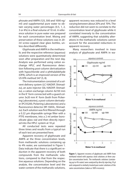phosate and AMPA (125, 500 and 1000 ng/ ml) and supplemental pure water to obtain varying water percentages (0.5, 1, 2, 3 or 4%) in a final volume of 10 ml. A reference solution in pure water was prepared for each concentration level. Mixing and preservation of these solutions was in 20 ml screw-capped clear glass bottles, unless described differently.

Glyphosate and AMPA in the methanolic and the respective reference (aqueous) solutions were quantitatively determined soon after preparation and the next day. Analysis was performed using cation exchange HPLC and fluorescence detection following post-column derivatization with hypochloride and o-phthalaldehyde (OPA), which is an improved version of the US EPA method 547 (5, 8).

The instrumentation consisted of a solvent delivery system (LC-10ADVP, Shimadzu), an auto-injector (SIL-10ADVP, Shimadzu), a cation-exchange column 4x150 mm in the K+ form connected with a guard column 3x20 mm K<sup>+</sup> form (both from Pickering Laboratories), a post-column derivatizer (PCX5200, Pickering Laboratories) and a fluorescence detector (RF-10AXL, Shimadzu). Each solution was first filtered through a 0.22 um disposable syringe filter with a PTFE membrane, into a 2 ml amber borosilicate glass vial and then directly injected into the HPLC system at 10 μl.

All conducted tests were repeated three times and results from a typical run of each test are presented here.

Apparent recovery of glyphosate and AMPA at the three concentration levels, from methanolic solutions containing up to 4% water, are summarized in Figure 1. Data indicate that there is a significant reduction in the apparent recovery of both compounds from the methanolic solutions, compared to that from the respective aqueous solutions. Depending on the analyte, the concentration level and the water content of the methanolic solutions, apparent recovery was reduced to a level varying between about 20% and 70%. The reduction did not seem to correlate to the concentration level of glyphosate while it correlated inversely to the concentration of AMPA, suggesting that solubility alterations in the methanolic solutions cannot account for the associated reductions in apparent recovery.

Many researchers involved in trace analysis of glyphosate and AMPA in wa-



**Figure 1.** Apparent recovery of glyphosate and AMPA from methanol mixed with aqueous stock solutions at three analyte concentration levels. The methanolic solutions (containing up to 4% water) were analyzed by directly injecting 10 μl and compared to similarly treated pure water solutions of the same concentrations (taken as 100% recovery).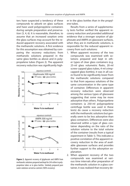ters have suspected a tendency of these compounds to adsorb on glass surfaces and have used polypropylene containers during sample preparation and preservation (3, 4, 6). It is reasonable, therefore, to assume that an increased sorption onto the glass surfaces may account for the reduced apparent recovery associated with the methanolic solutions. A first evidence for this assumption was obtained by comparing the recovery reductions from methanolic solutions prepared in the same glass bottles as above and in polypropelene tubes (Figure 2). The apparent recovery reduction was significantly high-



**Figure 2.** Apparent recovery of glyphosate and AMPA from methanolic solutions prepared and kept for 24 h either in polypropelene tubes or in glass bottles. Similarly prepared pure water solutions served as controls (100% recovery).

er in the glass bottles than in the propylene tubes.

Results from a series of supplementary tests further verified the apparent recovery reduction and provided additional evidence that a stronger sorption of glyphosate and AMPA on glassware surfaces, when they are in methanolic solutions, is responsible for the reduced apparent recovery from such solutions:

- 1. When apparent recovery of the two compounds was examined with solutions prepared and kept in other types of clear glass containers (e.g. 25-ml glass volumetric flasks, 20-ml screw-capped glass tubes, 4-ml crimpcapped glass bottles), it was in all cases found to be significantly lower from the methanolic solutions compared to that from aqueous solutions of the same concentration in the same type of container. Differences in apparent recovery reduction were observed among the various types of glassware suggesting that some may be more adsorptive than others. Polypropelene containers (a 250-ml polypropelene centrifuge bottle was used in these tests) do cause a recovery reduction with the methanolic solutions but generally seem to be less adsorptive than glass containers. Differences were also observed within a type of glass container depending on the ratio of the solution volume to the total volume of the container (results from a typical experiment in Table 1). This indicates a positive correlation of the apparent recovery reduction to the area of available glassware surfaces and provides further support to the adsorption explanation.
- 2. When apparent recovery of the two compounds was examined at various time intervals after preparation of the methanolic solution in a glass container, it was realized that recovery de-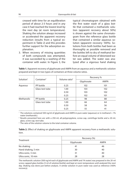creased with time for an equilibration period of about 2-3 hours and in any case it had reached the lowest level by the next day (at room temperature). Shaking the solution always increased or accelerated the apparent recovery reduction (results from a typical experiment in Table 2) and this provides further support for the adsorption explanation.

3. When recovery of missing quantities of both compounds was attempted, it was succeeded by a washing of the container with water. In Figure 3, the typical chromatogram obtained with the first water wash of a glass bottle that contained a methanolic solution (apparent recovery about 50%) is shown against the same chromatogram from the reference glass bottle that contained a similar aqueous solution (apparent recovery 100%). Solutions from both bottles had been as thoroughly as possible removed and the bottles left to dry of methanol before an equal volume of deionized water was added. The water was analyzed after a vigorous hand shaking

**Table 1.** Apparent recovery of glyphosate and AMPA from an aqueous and a methanolic solution prepared and kept in two types of containers at three volume ratios.

|                       |                        |                           | Recovery % |      |  |  |
|-----------------------|------------------------|---------------------------|------------|------|--|--|
| Solution <sup>1</sup> | Container <sup>2</sup> | Volume ratio <sup>3</sup> | Glyphosate | AMPA |  |  |
| Aqueous               | PP bottle              | 0.25                      | 102        | 101  |  |  |
|                       | Glass test tube        | 1.00                      | 103        | 102  |  |  |
|                       |                        | 0.50                      | 103        | 102  |  |  |
|                       |                        | 0.25                      | 102        | 101  |  |  |
| Methanolic            | PP bottle              | 0.25                      | 98         | 88   |  |  |
|                       | Glass test tube        | 1.00                      | 66         | 64   |  |  |
|                       |                        | 0.50                      | 58         | 56   |  |  |
|                       |                        | 0.25                      | 55         | 41   |  |  |

1 The solutions contained 500 ng/ml of glyphosate and AMPA in pure water (aqueous) or in methanol + 1% water (methanolic).

2 Results presented here are with a 250-ml, all-polypropylene, screw-cap, centrifuge bottle and a 20-ml, glass, screw cap, test tube.

<sup>3</sup> The ratio of the solution volume to the total container volume.

Table 2. Effect of shaking on glyphosate and AMPA apparent recovery from a methanolic solution.

|                     | Recovery (%) |             |
|---------------------|--------------|-------------|
| Treatment           | Glyphosate   | <b>AMPA</b> |
| No shaking          | 41           | 46          |
| Hand shaking, 5 min | 30           | 40          |
| Ultra sonic, 5 min  | 31           | 40          |
| Ultra sonic, 10 min | 28           | 28          |

The methanolic solution (500 ng/ml each of glyphosate and AMPA and 1% water) was prepared in the 20-ml screw-capped glass bottles (5 ml of solution/bottle) and kept at room temperature until analyzed the next day. Shaking was done just before analysis. A similar solution in pure water was used as reference (100% recovery).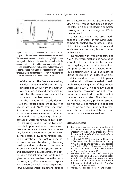

Figure 3. Chromatograms of the first water wash of two 20ml glass bottles after removal of the solutions they contained. The methanolic solution consisted of 500 ng/ml glyphosate, 500 ng/ml of AMPA and 1% water in methanol while the aqueous solution consisted of the same concentrations of glyphosate and AMPA in pure water. Bottles had been filled with 5 ml of the respective solution and stood at room temperature for about 16 hrs, before the solutions were removed and the bottles were washed with 5 ml of deionized water.

of the bottles. The first water washing yielded about 80% of the missing glyphosate and AMPA from the methanolic solution. A second water washing with half the volume was needed for an almost complete recovery.

All the above results clearly demonstrate the reduced apparent recovery of glyphosate and AMPA from methanolic solutions prepared by mixing methanol with an aqueous solution of the two compounds, thus containing a low percentage of water (from 0.25 to 4%). In other tests, using solutions of the two compounds in pure methanol, it was shown that the presence of water is not necessary for the recovery reduction to occur. In these tests, a low concentration solution of glyphosate and AMPA in methanol was prepared by directly dissolving small quantities of the two compounds in pure methanol with repeated stirring and light heating in a polypropylene bottle. When this solution was transferred to glass bottles and analyzed as in the previous tests, a significant reduction of apparent recovery (to levels about 50%) was observed. Adding water to methanol at up to

5% had little effect on the apparent recovery, while at 10% or more had an improving effect on it and resulted in a complete recovery at water percentages of 50% in the methanol.

Other researchers have used methanol as a leaf wash for removing unabsorbed <sup>14</sup>C-labeled glyphosate, in studies of herbicide penetration into leaves and, as shown later, recovery is much better with water (7).

In analytical work with glyphosate and AMPA, therefore, methanol is not a good solvent to be used either in the preparation of spiking stock solutions for calibration purposes or as an extractant for residue determination in various matrices. Strong adsorprion on surfaces of glass containers and to a less extent to plastic containers should be expected with methanolic solutions regardless if they contain water (up to 50%). This certainly leads to low apparent recoveries for both compounds and may lead to erratic results if measures are not taken. This adsorption and reduced recovery problem associated with the use of methanol is expected to become even more important in cases where the determination of the two compounds is at trace concentrations.

#### **Literature Cited**

- 1. Burns, D.T., Danzer, K., and Townshend A. 2002. Use of the terms "recovery" and "apparent recovery" in analytical procedures (IUPAC Recommendations 2002). *Pure Applied Chemistry*, 74: 2201-2205.
- 2. California EPA. 1997. Chemical profile, p. 2, in *Public Health Goal for Glyphosate in Drinking Water.* Pesticide and Environmental Toxicology Section, Office of Environmental Health Hazard Assessment, California Environmental Protection Agency, pp. 14.
- 3. Nedelkoska, T.V. and Low, G.K-C. 2004. Highperformance liquid chromatographic determination of glyphosate in water and plant material after pre-column derivatisation with 9-fl uorenylmethyl chloroformate. *Analytica Chimica Acta*, 511: 145-153.
- 4. Patsias, J., Papadopoulou, A. and Papado-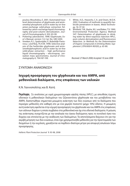poulou-Mourkidou, E. 2001. Automated trace level determination of glyphosate and aminomethyl phosphonic acid in water by on-line anion-exchange solid-phase extraction followed by cation-exchange liquid chromatography and post-column derivatization. *Journal of Chromatography A*, 932: 83-90.

- 5. Pickering Laboratories. 1998. Glyphosate, User's Manual, version 1.0, Cat. No. UM-5200.
- 6. Vreeken, R.J., Speksnijder, P., Bobeldijk-Pastorova, I. and Noij, Th.H.M. 1998. Selective analysis of the herbicides glyphosate and aminomethylphosphonic acid in water by on-line solid-phase extraction – high performance liquid chromatography – electrospray ionization mass spectrometry. *Journal of Chromatography A,* 794:187-199.
- 7. White, A.D., Heaverlo, C.A. and Owen, M.D.K. 2002. Evaluation of methods to quantify herbicide penetration in leaves. *Weed Technology,* 16: 37-42.
- 8. Winfield, T.W., Bashe, W.J. and Baker, T.V. 1990. Environmental Protection Agency Method 547: Determination of glyphosate in drinking water by direct-aqueous injection HPLC, post-column derivatization and fluorescence detection. In *Methods for the Determination of Organic Compounds in Drinking Water, Supplement I, EPA/600/4-90/020*, p. 63-80.

*Received: 27 March 2008; Accepted: 10 June 2008* 

# ΣΥΝΤΟΜΗ ΑΝΑΚΟΙΝΩΣΗ

# **Ισχυρή προσρόφηση του glyphosate και του AMPA, από μεθανολικά διαλύματα, στις επιφάνειες των υαλικών**

Κ.Ν. Γιαννοπολίτης και Β. Κατή

**Περίληψη** Σε αναλύσεις με υγρή χρωματογραφία υψηλής πίεσης (HPLC), με απευθείας έγχυση υδατικών ή μεθανολικών διαλυμάτων του ζιζανιοκτόνου glyphosate και του μεταβολίτου του AMPA, διαπιστώθηκε σημαντικά μειωμένη ανάκτηση των δύο ενώσεων από τα διαλύματα που περιείχαν μεθανόλη είτε καθαρή είτε με ένα χαμηλό ποσοστό (μέχρι 10%) ύδατος. Η μειωμένη αυτή ανάκτηση οφείλεται στην ισχυρή προσρόφηση του glyphosate και του AMPA στις επιφάνειες των υάλινων δοχείων η οποία συμβαίνει στα μεθανολικά και όχι στα υδατικά διαλύματα. Η μείωση της ανάκτησης συσχετίζεται με την αναλογία του όγκου διαλύματος προς το συνολικό όγκο του δοχείου και επιτείνεται με την ανάδευση των διαλυμάτων. Τα αποτελέσματα δείχνουν ότι για την ακριβή μέτρηση των δύο ενώσεων, όταν έχει χρησιμοποιηθεί μεθανόλη για την προετοιμασία των δειγμάτων ή την εκχύλιση, χρειάζονται να παρθούν ιδιαίτερα μέτρα για αποφυγή απωλειών λόγω προσρόφησης.

*Hellenic Plant Protection Journal* **1**: 93-98, 2008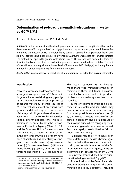# **Determination of polycyclic aromatic hydrocarbons in water by GC/MS/MS**

K. Liapis<sup>1</sup>, E. Bempelou<sup>1</sup> and P. Aplada-Sarlis<sup>1</sup>

**Summary** In the present study the development and validation of an analytical method for the determination of 8 compounds of the polycyclic aromatic hydrocarbons group [naphthalene, fluoranthene, anthracene, benzo [b] fluoranthene, benzo [a] pyrene, benzo [k] fluoranthene, benzo [g,h,i] perylene and indeno [1,2,3-cd] pyrene] by GC/MS/MS was carried out in water samples. The method was applied to ground waters from Greece. The method was validated in three fortification levels and the observed evaluation parameters were found to be acceptable. The limit of quantification was equal to the lowest level of fortification (LOQ: 0.05 μg/l) indicating that the method has adequate sensitivity for monitoring purposes.

Additional keywords: analytical method, gas-chromatography, PAHs, tandem mass spectrometry

## **Introduction**

Polycyclic Aromatic Hydrocarbons (PAHs) are organic compounds with 2-10 aromatic rings, readily formed during many pyrolysis and incomplete combustion processes of organic materials. Potential sources of PAHs are vehicle exhaust emissions from gasoline and diesel engines, combustions of timber, coal, oil, gas and wood, industrial activity etc. (2). Some PAHs have been classified as priority pollutants (4). This classification has been set by both the Environmental Protection Agency (EPA) of U.S.A. and the European Union. Sixteen of these substances are of interest for their action in the environment, while 6 of them have been characterized as potentially carcinogenic compounds: benzo [a] anthracene, benzo [b] fluoranthene, benzo [k] fluoranthene, benzo [a] pyrene, dibenzo [ah] anthracene and indeno [1,2,3-cd] pyrene (1).

Corresponding author: E.Bempelou@bpi.gr

This fact makes necessary the development of analytical methods for the determination of these pollutants in environmental substrates as well as in products of plant and animal origin involved in human diet.

In the environment, PAHs can be detected in air, water and soil, while they have also been found in areas far away from their possible source of emission (1, 6, 7, 9). In natural waters they are often detected in sediment and biota, because of their low polarity, where carciginogenesis or metallaxigenesis have been observed. PAHs are rapidly metabolized in fish but not in invertebrates (1).

Published results of PAHs have been mainly determined by gas chromatography coupled with mass spectrometry. According to the official method of the Environmental Protection Agency, PAHs are determined in potable water by GC/MS using internal standard, the limit of quantification being equal to 0.2  $\mu$ g/l (5).

Shackelford and McGuire have also used the GC/MS technique for the determination of priority pollutants, including

<sup>1</sup> Laboratory of Pesticide Residues, Department of Pesticides Control and Phytopharmacy, Benaki Phytopathological Institute, 8 St. Delta str., GR-145 61 Kifissia (Athens), Greece.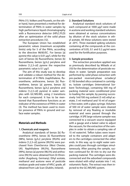PAHs (11). Volkers and Pouwels, on the other hand, have presented a method for determination of PAHs in water samples by high performance liquid chromatography with a fluorescence detector (HPLC/FLD) after an optimization of the solid phase extraction procedures (12).

The European Union has established parametric values (maximum acceptable limits) only for 5 of the PAHs, according to the directive 98/83/EC. For benzo [a] pyrene this value is 0.01 μg/l, while for the sum of benzo [b] fluoranthene, benzo [k] fluoranthene, benzo [q,h,i] perylene and indeno [1,2,3-cd] pyrene the respective parametric value is 0.1 μg/l.

The aim of this study was to develop and validate a robust method for the determination of 8 PAHs (naphthalene, fluoranthene, anthracene, benzo [b] fluoranthene, benzo [a] pyrene, benzo [k] fluoranthene, benzo [g,h,i] perylene and indeno [1,2,3-cd] pyrene) in water samples with GC/MS/MS, using 2 transitions for each compound. It has to be mentioned that fluoranthene functions as an indicator of the existence of PAHs in water (3). The method has been used to monitor presence of PAHs in ground and surface water samples.

#### **Materials and Methods**

#### **1. Chemicals and reagents**

Analytical standards of benzo [b] fluoranthene (99%), benzo [k] fluoranthene (98%), benzo [g,h,i] perylene (99,4%) and indeno [1,2,3-cd] pyrene (99,5%) were purchased from ChemService (West Chester, UK). Naphthalene (99,5%), fluoranthene (99%), benzo [a] pyrene (98,5%) and anthracene (99,5%) were obtained from Dr Ehrenstofer (Augsburg, Germany). Ethyl acetate, methanol and acetone were of pesticide residues grade and water of HPLC grade, all obtained from Lab Scan (Dublin, Ireland).

#### **2. Standard Solutions**

Analytical standard stock solutions of each compound at 1000 μg/l were made in acetone and working standard solutions were obtained at various concentrations by dilution of the stock solution in ethyl acetate. All these solutions were stored at -20 $\degree$ C. Three standard spiking solutions containing all the compounds at the concentration of 0.05, 0.1 and 0.2 μg/ml were used for the fortification purposes.

#### **3. Sample procedure**

The extraction procedure applied was as previously described by Miliadis et al. (10) for the determination of pesticide residues in water. Sample preparation was performed by solid phase extraction with pre-packed reversed-phase octadecyl (C-18) bonded silica contained in cartridges. Isolute cartridges (International Sorbent Technology), containing 500 mg of packing material were conditioned prior to loading the sample, by passing successively 1ml/100 mg sorbent (5 ml) ethyl acetate, 5 ml methanol and 10 ml of organic free water, with a glass syringe. Volumes of 500 ml of water sample were cleaned by removal of any floating or insoluble material and were passed through the cartridge. A SPE large volume sampler was connected to a vacuum source equipped with a gauge and a balast valve to adjust the vacuum, for the extraction of the samples in order to obtain a sampling rate of 15 ml water/ml. Teflon tubes were inserted to the sample containers and adapters to the cartridges connected the other ends. In this way, up to eight water samples could pass through cartridges simultaneously. After passing the sample, suction continued for 30 min to dry out the packing material. The cartridges were disconnected and the adsorbed compounds were eluted with ethyl acetate into 1 mL volumetric flasks. The extract was then injected to the GC/MS/MS system.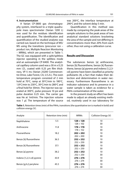#### **4. Instrumentation**

A Varian CP-3800 gas chromatography system, interfaced to a triple quadrupole mass spectrometer (Varian 1200 L) was used for the residues identification and quantification. The identification and quantifi cation of the studied analytes was carried out, based on the technique of MS/ MS using the transitions (precursor ion – product ion, Multiple Reaction Monitoring – MRMs), which are presented in Table 1. The GC was equipped with a split/splitless injector operating in the splitless mode and an autosampler CP-8400. The analytical capillary column used was a 30 m x 0.25 mm I.D., coated with 0.25 μm film thickness, VF-5 ms (Varian 25200 Commercentre Drive, Lake Forest, CA, U.S.A.). The oven temperature program consisted of 2 min hold at 70 $\degree$ C, ramp at 30 $\degree$ C/min to 180 $\degree$ C, 1.8 $\degree$ C/min to 230 $\degree$ C, 30 $\degree$ C/min to 280 $\degree$ C and a final hold for 30min. The injector was operated at 300°C, pulse pressure 10 psi and pulse duration 0.25 min. The carrier gas was He at 1ml/min. The injection volume was 1 μl. The temperature of the source

was  $200^{\circ}$ C, the interface temperature at  $290^{\circ}$ C and the solvent delay 5 min.

Quantification in this method was made by comparing the peak areas of the sample solutions to the peak areas of two analytical standard solutions bracketing the area of the sample and not differing in concentrations more than 20% from each other, thus not using a calibration curve.

### **Results and Discussion**

The substances benzo [a] anthracene, benzo [b] fluoranthene, benzo [k] fluoranthene, benzo [a] pyrene and indeno [1,2,3 cd] pyrene have been classified as priority pollutants (4), a fact that makes their detection and determination in water necessary. Furthermore fluoranthene is an indicator substance and its presence in a water sample is taken as evidence for a PAHs contamination of the water.

In the present study an effort has been made to adjust an already existing method, routinely used in our laboratory for

**Table 1.** Retention times (min) of the PAHs, transitions (the quantitative ion is marked in bold) and collision energy (V).

| Retention time (min) | <b>MRMs</b>            | Collision Energy (V)                                                                    |
|----------------------|------------------------|-----------------------------------------------------------------------------------------|
| 5.5                  | 128 > 128<br>128 > 102 | 10<br>30                                                                                |
| 11.8                 | 178 > 178              | 10<br>30                                                                                |
| 18.2                 | 202 > 202              | 10<br>30                                                                                |
| 36.5                 | 252 > 252              | 10<br>30                                                                                |
| 37.1                 | 252 > 252              | 10<br>30                                                                                |
| 38.2                 | 252 > 252              | 10                                                                                      |
| 43.9                 | 276 > 276              | 30<br>10                                                                                |
| 45.5                 | 276 > 276              | 30<br>10<br>30                                                                          |
|                      |                        | 178 > 152<br>202 > 200<br>252 > 250<br>252 > 250<br>252 > 250<br>276 > 274<br>276 > 274 |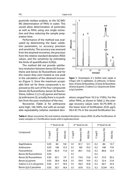pesticide residue analysis, to the GC/MS/ MS determination of PAHs in water. This would allow determination of pesticides as well as PAHs using one single extraction and thus reducing the sample preparation time.

Performance of the method was evaluated by determining the basic validation parameters, i.e. accuracy, precision and sensitivity. The accuracy was assessed from the attained recoveries, the precision from the relative standard deviation (RSD) values, and the sensitivity by estimating the limits of quantification (LOQs).

The method did not provide satisfactory resolution between benzo [b] fluoranthene and benzo [k] fluoranthene and for this reason they were treated as one peak in the calculation of the obtained recoveries (Figure 1). Since the maximum acceptable limit set for these compounds is expressed as the sum of the four compounds (benzo [b] fluoranthene, benzo [k] fluoranthene, indeno [1,2,3-cd] pyrene and benzo [a] anthracene (3), actually there is no problem from the poor resolution of the two.

Recoveries (Table 2) for anthracene were high, 146-160%, but with an acceptable repeatability (relative standard devi-



**Figure 1.** Chromatogram of a fortified water sample at 0.05ug/L with (1) naphthalene, (2) anthracene, (3) fluoranthene, (4) benzo [b] fluoranthene, (5) benzo [k] fluoranthene, (6) benzo [a] pyrene, (7) indeno [1,2,3-cd] pyrene and (8) benzo [g,h,i] perylene.

ations ranged from 10.3 to 17.8%). For the other PAHs, as shown in Table 2, the average recovery values were 50.7%-84% in the lower level of fortification  $(0.05 \mu q/l)$ , 58.4-81.7% in the second fortification lev-

|                          |           | $1st$ level (n=6) |             |           | $2nd$ level (n=6) |                          | $3rd$ level (n=6) |              |         |
|--------------------------|-----------|-------------------|-------------|-----------|-------------------|--------------------------|-------------------|--------------|---------|
| Compound                 | (l/6rl) D | Recovery (%)      | (96)<br>RSD | (l/6rl) D | Recovery (%)      | (96)<br>RSD <sub>I</sub> | (l/6rl) D         | Recovery (%) | RSD (%) |
| Naphthalene              | 0.05      | 84                | 9.8         | 0.1       | 81.7              | 12.1                     | 0.2               | 86           | 13.7    |
| Anthracene               | 0.05      | 146               | 13.5        | 0.1       | 160               | 10.3                     | 0.2               | 148          | 17.8    |
| Fluoranthene             | 0.05      | 82.4              | 11.8        | 0.1       | 80.1              | 13.6                     | 0.2               | 80.6         | 12.4    |
| Benzo [b] fluoranthene   | 0.05      |                   |             | 0.1       |                   |                          | 0.2               |              |         |
| Benzo [k] fluoranthene   | 0.05      | 62.1              | 7.9         | 0.1       | 73.6              | 13.6                     | 0.2               | 51.9         | 20.2    |
| Benzo [a] pyrene         | 0.05      | 58.4              | 16.8        | 0.1       | 59.4              | 14.9                     | 0.2               | 52.4         | 21.8    |
| Indeno [1,2,3-cd] pyrene | 0.05      | 61.7              | 18.6        | 0.1       | 58.4              | 16.8                     | 0.2               | 60.7         | 23.4    |
| Benzo [g,h,i] perylene   | 0.05      | 50.7              | 18.4        | 0.1       | 67.8              | 15.5                     | 0.2               | 52.94        | 14.5    |

Table 2. Mean recoveries (%) and relative standard deviation values (RSD, %) after fortification of water samples in 3 fortification levels with 6 replicates/level.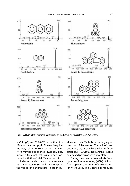

**Figure 2.** Chemical structures and mass spectra of 8 PAHs after injection in the GC/MS/MS system.

el (0.1 μg/l) and 51.9-86% in the third fortification level (0.2  $\mu$ g/l). The relatively low recovery values for some of the examined PAHs may be due to their lower solubility in water (8), a fact that has also been observed with the official EPA method (5).

Relative standard deviation values were 7.9-18.6%, 10.3-16.8% and 12.4-23.4%, in the first, second and third fortification level respectively (Table 1), indicating a good precision of the method. The limit of quantification (LOQ) is equal to the lowest fortification level (LOQ: 0.05 μg/l). At this level accuracy and precision were acceptable.

During the quantitative analysis 2 multiple reaction monitoring (MRM) of 2 ions from separate transitions of the molecular ion were used. The 8 tested compounds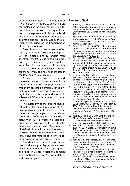did not present intense fragmentation, as it can be seen in Figure 2, and therefore the molecular ion was the one used for quantification purposes. These quantification ions are presented in Table 1 in **bold**. In this Table, the retention time of each analyte is also provided, as well as the collision energy used for the fragmentation of the precursor ions.

Quantification and confirmation of results by monitoring further reaction products of selected ions by tandem mass spectrometry (MS/MS using triple quadropole systems) offers a greater confindence of results, compared to MS in a single stage, according to principles on analytical chemistry by adding one more step in the total analytical procedure.

As far as benzo [a] pyrene is concerned, the analytical method was validated in the fortifi cation level of 0.05 μg/l, while the maximum acceptable limit is 5 times lower. In our next research work, we are going to focus to this compound in order to achieve a LOQ at the required maximum acceptable limit.

The suitability of the present analytical method for the determination of PAHs in ground water samples was proved from the successful participation of our laboratory in the proficiency test "IMEP-23: the eight WFD PAHs in water in presence of humic acid", organized by the Institute for Reference Materials and Measurements (IRMM) within the Scheme of International Measurement Evaluation Programme (IMEP). The test material of this interlaboratory comparison was ground water.

The described method was further used for the analysis of ground water samples from the regions of Volos (Magnesia) and Rodos in Greece. A total of 15 samples were analysed and no PAHs were detected in any sample.

#### **Literarure Cited**

- 1. Barra R., Castillo C. and Machado Torres J. P. 2007. Polycyclic aromatic hydrocarbons in the South American environment. Reviews of Environmental Contamination and Toxicology, 191:1-22.
- 2. Bjorseth A. and Rahmdahl T. 1985. Sources and emissions of PAH. In: Handbook of Polycyclic Aromatic Hydrocarbons, Vol. II. pp. 1-20. Marcel Dekker, New York.
- 3. Council Directive 98/83/ΕΚ of the European Council of 3r November 1998. On the quality of water intended for human consumption. Official Journal of the European Communities L330, 5.12.1998, p. 32-54.
- 4. Decision No 2455/2001/EC of the European Parliament and the Council of 20 November 2001. Establishing the list of priority substances in the field of water policy and amending Directive 200/60/EC. Official Journal of the European communities L331, 15.12.2001, p. 1-5.
- 5. Eichelberger J.W., Behymer T.D. and Budde W.L. 1991. Determination of organic compounds in drinking water by liquid-solid extraction and capillary column Gas Chromatography/ Mass Spectrometry. Revision 2.2.
- 6. Halsall, C.J., Barrie, L.A., Fellin, P., Muir, D.C.G., Billeck, B.N., Lockhart, L., Rovinsky, E.Y.A. and Pastukhov, B. 1997. Spatial and temporal variation of polycyclic aromatic hydrocarbons in the Arctic atmosphere. Environmental Science & Technology, 31: 3593-3599.
- 7. Harner, T., Kylin, H., Bidleman, T.F., Halsall, C., Strachan, W.M.J., Barrie, L.A. and Fellin, P. 1998. Polychlorinated naphthalenes and coplanar polychlorinated biphenyls in arctic air. Environmental Science & Technology, 32: 3257- 3265.
- 8. Mackay Donald, Shiu Wan Ying and Ma Kuo Ching. Illustrated Handbook of Physical-chemical Properties and Environmental Fate for Organic Chemicals, Volume III, Lewis Publishers.
- 9. March, B.G.E., de Wit, C.A. and Muir, D.C.G. 1998. AMAP. Chapter 6: Persistent Organic Pollutans. In: AMAP Assessment Report: Arctic Pollution Issues, Arctic Monitoring and Assessment Programme (AMAP), Oslo (Norway), pp. 183-371.
- 10. Miliadis G.E. and Malatou P. 1997. Monitoring of the pesticide levels in natural waters of Greece. Bulletin of Environmental Contamination & Toxicology, 59:917-923.
- 11. Shackelford W.M. and McGuire J.M. 1986. Analysis of Extractable Priority Pollutans in Water by GC/MS. Spectra, 10 4): 17-21.
- 12. Volkers J. and Pouwels A. Focus™ on PAH: Online SPE of PAHs from water samples. Application Note. Varian brochure.

Received: 2 June 2008; Accepted: 18 July 2008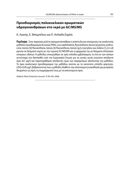# **Προσδιορισμός πολυκυκλικών αρωματικών υδρογονανθράκων στο νερό με GC/MS/MS**

Κ. Λιαπής, Ε. Μπεμπέλου και Π. Απλαδά-Σαρλή

**Περίληψη** Στην παρούσα μελέτη πραγματοποιήθηκε η ανάπτυξη και επικύρωση της αναλυτικής μεθόδου προσδιορισμού 8 ουσιών PAHs, των naphthalene, fluoranthene, benzo [a] pyrene, anthracene, benzo [b] fluoranthene, benzo [k] fluoranthene, benzo [q,h,i] perylene και indeno [1,2,3-cd] pyrene σε δείγματα νερού με την τεχνική GC/MS/MS και η εφαρμογή της σε δείγματα ελληνικών υπογείων υδάτων. Η μέθοδος επικυρώθηκε σε τρία επίπεδα εμβολιασμού, το ένα εκ των οποίων αντιστοιχεί στο θεσπισθέν από την Ευρωπαϊκή Ένωση για τις ουσίες αυτές ανώτατο αποδεκτό όριο (0,1 μg/l) και παρατηρήθηκαν αποδεκτές τιμές των παραμέτρων αξιοπιστίας της μεθόδου. Το όριο αναλυτικού προσδιορισμού της μεθόδου ισούται με το κατώτατο επίπεδο φόρτισης, LOQ=0,05 μg/l, βεβαιώνοντας πως η μέθοδος διαθέτει την απαιτούμενη ευαισθησία για μετρήσεις δειγμάτων ως προς τη συμμόρφωσή τους με τα απαιτούμενα όρια.

Hellenic Plant Protection Journal **1**: 99-105, 2008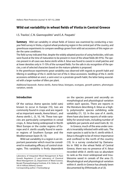# **Wild oat variability in wheat fields of Viotia in Central Greece**

I.S. Travlos<sup>1</sup>, C.N. Giannopolitis<sup>2</sup> and E.A. Paspatis<sup>1</sup>

**Summary** Wild oat variability in wheat fields of Greece was examined by conducting a twoyear field survey in Viotia, a typical wheat producing region in the central part of the country, and greenhouse experiments to compare seedlings grown from wild oat accessions of this region under the same conditions.

The field survey indicated that, despite the widely adopted practice of using herbicides, wild oats were found at the time of maturation to be present in most of the wheat fields (83-91%). The species present in all cases was Avena sterilis while A. fatua was found to coexist in small patches and at lower densities only in 11-15% of the surveyed fields. For the safe in situ recognition of the species, a set of selected characters based on the mature spikelets is proposed.

In the greenhouse experiments great variability was observed with regards to growth habit and tillering in seedlings of the A. sterilis but not of the A. fatua accessions. Seedlings of the A. sterilis accessions exhibited an erect, a semi-erect or a prostrate growth habit, the latter being associated with a larger number of tillers per plant.

Additional keywords: Avena sterilis, Avena fatua, biotypes, ecotypes, growth pattern, phenotypic variation, weeds

## **Introduction**

Of the various Avena species (wild oats) known to occur in Europe (15), two are commonly found in crops and are regarded as important weeds, Avena fatua L. and Avena sterilis L. (5, 10, 14). These two species are particularly competitive in cereal crops, A. fatua being widespread in North West Europe or the cooler regions of Europe and A. sterilis usually found in warmer regions of Southern Europe and the Mediterranean basin (9, 13).

Wild oat variability in a region is an important parameter which must be considered in evaluating efficacy of control strategies. This variability is firstly dependent

Corresponding author: I.Travlos@bpi.gr

on the species present and secondly on morphological and physiological variation within each species. There are reports in the literature describing A. fatua as a highly polymorphic species exhibiting wide variability (11, 12). In the case of A. sterilis, there have also been reports of wide variability for several traits, including number of spikelets per panicle and seed traits (8, 12).

In Greece, much of the area under cereals is invariably infested with wild oats. The main species is said to be A. sterilis while A. fatua is thought to be of minor importance and confined to the north of the country (13). In a survey conducted by Damanakis in 1982 in the wheat fields of Central Greece, there was no presence of A. fatua recorded while A. sterilis was so abundant to rank as the most widespread and troublesome weed in cereals of the area (1). Morphological and physiological variation within A. sterilis in Greece has already been documented by Efthimiadis et al (3).

Laboratory of Integrated Weed Management & Plant Growth Regulators (1) and Laboratory of Chemical Weed Management (2), Department of Weed Science, Benaki Phytopathological Institute, 8 St. Delta str., GR-145 61 Kifissia (Athens), Greece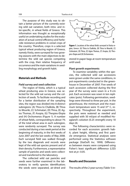The purpose of this study was to obtain a better picture of the currently existing wild oat variation, both intra- and inter-specific, in wheat fields of Greece. This information was thought as exceptionally useful on undertaking studies for the evaluation of actual control efficiency and herbicide resistance problems in cereal crops of the country. Therefore, crops in a selected typical wheat producing region of Greece, namely Viotia, were surveyed for two growing seasons with the main objectives to determine the wild oat species competing with the crop, their relative frequency of occurrence and the main variations in seedling morphology and growth habit.

## **Materials and Methods**

## **Field survey and seed collection**

The region of Viotia, which is a typical wheat producing area in Greece, was selected for the wild oat survey and the collection of seeds. To facilitate recording and for a better distribution of the sampling sites, the region was divided into 8 distinct subregions: (A) Thiva to Chalkida, (B) Thiva to Mouriki, (C) Schimatari, (D) Thiva, (E) Agios Thomas, (F) Asopia, (G) Thespies-Elopia and (H) Orchomenos (Figure 1). A number of wheat fields, corresponding to about 1% of the total wheat area in each subregion, were randomly surveyed. The survey was conducted during a two week period at the beginning of maturity, in the first weeks of June 2007 and the last weeks of May 2008. Each surveyed field was walked through by the two diagonals and records were kept of the wild oat species present and of their density. Furthermore, a representative sample of panicles and seeds were collected and transferred to the laboratory.

The collected wild oat panicles and seeds were further examined in the laboratory to verify species identification; the seeds were separated, air-dried and



Figure 1. Locations of the wheat fields surveyed in Viotia region, Greece: (A) Thiva to Chalkida, (B) Thiva to Mouriki, (C) Schimatari, (D) Thiva, (E) Agios Thomas, (F) Asopia, (G) Thespies-Elopia and (H) Orchomenos.

stored in paper bags at room temperature until used.

#### **Plant growth experiments**

To examine variability within the species, the collected wild oat accessions were grown under the same conditions, in pot experiments conducted in the greenhouse in December of 2007. Five seeds of each accession collected during the first year of the survey were sown in a 9-cm pot. Each accession was sown in ten replicates (pots). Following germination, seedlings were thinned to three per pot. In the greenhouse, the minimum and the maximum temperature were 15 and 37° C, respectively. Throughout the experiment, the pots were watered as needed and supplied with 50 ml/pot of modified Hoagland's solution (0.25 strength) every 10 days (4).

The following characteristics were recorded for each accession: growth habit, plant height, tillering and first panicle emergence. Statistical analyses were performed using the Statistica software package (StatSoft Inc. 1999). Differences between means were compared using Fisher's least significant difference (LSD) test at  $p< 0.05$ .

#### **Results and Discussion**

The results of the 2-year survey (Table 1) in-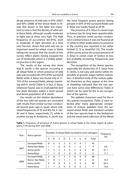dicate presence of wild oats in 91% (2007) and 83% (2008) of the wheat fields in Viotia. Not shown in the table but important to note is that the density of wild oats in these fields, although usually moderate to light, was at times very high. The high frequency of occurrence (83-91%), even in moderate or light densities at a time near harvest, shows that wild oats are an important weed for wheat crops in Viotia taking into account that the results of this survey reflect plants having escaped the use of herbicides which is a widely adopted practice in the region.

The results of the survey also show that A. sterilis is the species occurring in all wheat fields in which presence of wild oats was recorded (83-91% of the surveyed fields) while A. fatua was found only in 11-15% of the surveyed fields, always coexisting with A. sterilis (Table 1). In fact, A. fatua, whenever found, was in small patches and low plant densities within a more spread and dense population of A. sterilis.

Our results on the relative abundance of the two wild oat species are consistent with results from similar surveys conducted several years ago in Spain which indicated frequencies of 32 and 8%, for A. sterilis and A. fatua, respectively (7), while in another survey in Andalusia, A. sterilis was

the most frequent grassy species (being present in 65% of the surveyed fields) and A. fatua was hardly found at all (9).

The presence of A. fatua in cereal crops in Greece has for long been questionable. Thus, in previous weed surveys conducted in Central Greece it was not found at all (1) while in other publications its presence in the country was reported to be rather limited (2, 3) or doubtful (15). The results of this survey prove the actual presence of A. fatua in cereal crops of Greece at low, but probably increasing, frequencies and densities.

The recognition of the Avena species, especially the distinction of A. fatua from A. sterilis, is not easy and seems rather impossible at growth stages before maturation. A detailed study of the mature spikelet characters as they appear at the time of shedding indicated that the two species have some clear differences (Table 2) which can be used for the *in situ* recognition of the species.

The spikelet characters used for the in situ species recognition (Table 2) were selected after many appropriate comparisons of mature spikelets from the surveved wheat fields and standard samples of the two species kept in the Herbarium and the weed seed collection of the Weed

| Year | Avena species     |   | Number of wheat fields surveyed in each subregion |               |          |          |               |   |               |       | Frequency |
|------|-------------------|---|---------------------------------------------------|---------------|----------|----------|---------------|---|---------------|-------|-----------|
|      |                   | А | R.                                                |               | Ð        | F        | F             | G | н             | Total | (%)       |
|      | Surveyed fields   | 8 | 6                                                 | 5             | 3        | 6        | 6             | 4 | 7             | 45    |           |
|      | Avena-free fields |   |                                                   | $\Omega$      | 0        | $\Omega$ |               | 0 |               | 4     | 8.9       |
| 2007 | Avena sterilis    |   | 5                                                 | 5             | 3        | 6        | 5             | 4 | 6             | 41    | 91.1      |
|      | Avena fatua       |   |                                                   | 0             |          | $\Omega$ | 0             | 0 | $\mathcal{P}$ | 5     | 11.1      |
|      | Surveyed fields   | 5 | 8                                                 | 7             | 5        | 5        | 6             | 4 | 8             | 48    |           |
| 2008 | Avena-free fields |   | $\Omega$                                          |               |          |          | $\mathcal{P}$ | 0 | 2             | 8     | 16.7      |
|      | Avena sterilis    | 4 | 8                                                 | 6             | 4        | 4        | 4             | 4 | 6             | 40    | 83.3      |
|      | Avena fatua       |   |                                                   | $\mathcal{P}$ | $\Omega$ | 0        | $\Omega$      | O | 3             |       | 14.6      |

Table 1. Frequency of presence of Avena species in wheat fields in the Viotia region (8 subregions, A-H) during 2007 and 2008.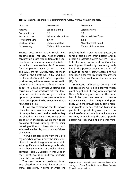| Character          | Avena sterilis           | Avena fatua              |
|--------------------|--------------------------|--------------------------|
| Maturity           | Earlier maturing         | Later maturing           |
| Awn length (cm)    | $3 - 7$                  | $3 - 4$                  |
| Awn attachment     | Below middle of floret   | Above middle of floret   |
| Floret length (cm) | $1.7 - 3.0$              | $1.4 - 2.1$              |
| Basal scar shape   | Large, elongated         | Absent or small round    |
| Hair covering      | 50-80% of floret surface | 30-60% of floret surface |

Science Department at the Benaki Phytopathological Institute. These characters can provide a safe recognition of the species. In actual measurements of spikelets in the field the mean length of the awns, for example, was 5.514 cm for A. sterilis and 3.625 cm for A. fatua. Also, the mean length of the florets was 2.392 and 1.85 cm for A. sterilis and A. fatua, respectively. Moreover, a difference was observed in the time of maturation, A. fatua maturing about 10-15 days later than A. sterilis, and this is likely associated with different temperature requirements for germination; optimum germination temperatures for A. sterilis are reported to be lower than those for A. fatua (6, 17).

It is worthy to mention that the above characters can provide a safe recognition of the species if used on the seeds as they are shedding. However, processing of the seeds after shedding, which may cause breaking of awns, rubbing off the hairs, breaking of florets or bases etc. is expected to reduce the diagnostic value of these characters.

The wild oat accessions from the Viotia region, when grown under the same conditions in pots in the greenhouse, exhibited a significant variation in growth habit and other parameters of seedling development (Table 3). Variability was wide in the A. sterilis accessions but very limited in the A. fatua accessions.

The most important variation found was related to the growth habit of the A. sterilis accessions, in some of which the

seedlings had an erect growth pattern, in some others a semi-erect pattern and in others a prostrate growth pattern (Figure 2). In all A. fatua accessions from Viotia the seedlings exhibited only the erect growth habit. The peculiar prostrate pattern of growth for some A. sterilis accessions has also been observed by other researchers in Greece (3) as well as in other countries  $(12, 16)$ 

Significant differences among wild oat accessions were also observed when plant height and tillering were compared (Table 3). Tillering, measured as the number of tillers per plant, seems to correlate negatively with plant height and positively with the growth habit, being higher in plants of semi-erect and highest in plants of the prostrate growth pattern, in the A. sterilis accessions. In the A. fatua accessions, in which only the erect growth pattern was observed, tillering was mini-



**Figure 2.** Growth habit of A. sterilis accessions from the Viotia region in Greece. Erect (A), Semi-erect (B) and Prostrate (C) seedling growth pattern .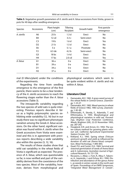| Accessions<br><b>Species</b> |                | Plant height<br>(cm) | Tillering<br>No/plant | Growth habit | First panicle<br>emergence |
|------------------------------|----------------|----------------------|-----------------------|--------------|----------------------------|
| A. sterilis                  | A6             | 25 <sub>b</sub>      | 1.3 <sub>d</sub>      | Erect        | No                         |
|                              | B4             | 12 <sub>cd</sub>     | 3.3c                  | Semi-erect   | No                         |
|                              | C <sub>3</sub> | 19 <sub>b</sub>      | 1.6 <sub>d</sub>      | Erect        | Yes                        |
|                              | D <sub>2</sub> | 21 <sub>b</sub>      | 1.5 <sub>d</sub>      | Erect        | No                         |
|                              | E6             | 5 e                  | 5.1a                  | Prostrate    | No                         |
|                              | F <sub>2</sub> | 6.5 de               | 4.2 <sub>b</sub>      | Semi-erect   | No                         |
|                              | G <sub>3</sub> | 18 <sub>bc</sub>     | 1.4 <sub>d</sub>      | Erect        | Yes                        |
|                              | H4             | 17 <sub>bc</sub>     | 2.0 <sub>cd</sub>     | Erect        | Yes                        |
| A. fatua                     | A <sub>1</sub> | 36a                  | 0 e                   | Erect        | <b>No</b>                  |
|                              | <b>B1</b>      | 39a                  | 0 e                   | Erect        | No                         |
|                              | D <sub>1</sub> | 34 a                 | 0 e                   | Erect        | No                         |
|                              | H <sub>2</sub> | 37a                  | 0 e                   | Erect        | No                         |

**Table 3.** Vegetative growth parameters of A. sterilis and A. fatua accessions from Viotia, grown in pots for 40 days after seedling emergence.

mal (0 tillers/plant) under the conditions of the experiments.

Regarding the time from seedling emergence to the emergence of the first panicle, there seems to be a clear tendency of the A. sterilis accessions to reach the flowering stages earlier than the A. fatua accessions (Table 3).

The intraspecific variability regarding the two species of wild oats is quite interesting. Previous reports describe A. fatua as a highly polymorphic species exhibiting wide variability (12, 16) but in our study there was no significant phenotypic variation among the Greek A. fatua accessions. On the other hand, significant variation was found within A. sterilis when the Greek accessions from Viotia were examined and this is in agreement with previous reports describing a wide variability also within this species (3, 12, 16).

The results of these studies show that wild oat variability in the wheat fields of Viotia is significant as expected. The presence of A. fatua, which was questionable so far, is now verified and part of the variability derives from the coexistence of the two species. Most of the variability, however, derives from morphological and physiological variations which seem to be quite evident within A. sterilis and not within A. fatua.

#### **Literature Cited**

- 1. Damanakis, M.E. 1982. A grass weed survey of the wheat fields in Central Greece. Zizaniology, 1: 23-27.
- 2. Damanakis, M.E. 1983. Weed species in wheat fields of Greece-1982, 1983 survey. Zizaniology, 1: 85-90.
- 3. Efthimiadis, P., Skorda, E., Adamidis, T. and Efthimiadou, E. 1993. Morphological and physiological variation in wild oat. Proceedings, Brighton Crop Protection Conference, Weeds, Brighton (UK), 22-25 November 1993, pp. 287-292.
- 4. Hoagland, D.R. and Arnon, D.I. 1950. The water-culture method for growing plants without soil. California Agricultural Experimental Station Circular, 347.
- 5. Kirkland, K.J. 1993. Spring wheat (Triticum aestivum) growth and yield as influenced by duration of wild oat (Avena fatua) competition. Weed Technology, 7: 890-893.
- 6. Quail, P.H. and Carter, O.G. 1969. Survival and seasonal germination of seeds of Avena fatua and A. ludoviciana. Australian Journal of Agricultural Research, 19: 721-729.
- 7. Recasens, J., Aibar, J., Fom, R., Riba, F., Taberner, A., Izquierdo, J. and Ochoa, M.J. 1990. Distribution and abundance of the genus Avena L. as weeds in winter cereals in the north east of Spain. Proceedings of an EWRS Symposium, "Integrated Weed Management in Cereals",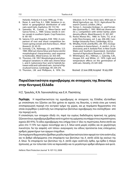Helsinki, Finland, 4-6 June 1990, pp. 77-83.

- 8. Rezai, A. and Frey, K.J. 1988. Variation in relation to geographical distribution of wild oats-seed traits. Euphytica, 39: 113-118.
- 9. Saavedra, M., Cuevas, J., Mesa-Garcia and Garcia-Torres, L. 1989. Grassy weeds in winter cereals in southern Spain. Crop Protection, 8: 181-187.
- 10. Satorre, E.H. and Snaydon, R.W. 1992. A comparison of root and shoot competition between spring cereals and Avena fatua L. Weed Research, 32: 45-55.
- 11. Somody, C.N., Nalewaja, J.D. and Miller, S.D. 1984. Wild oat (Avena fatua and Avena sterilis) morphological characteristics and response to herbicides. Weed Science, 32: 353-359.
- 12. Thurston, J.M. 1957. Morphological and physiological variations in wild oats (Avena fatua L. and A. ludoviciana Dur.) and in hybrids between wild and cultivated oats. Journal of Agricultural Science, Cambridge, 49: 259-274.
- 13. Thurston, J.M. and Phillipson, A. 1976. Dis-

tribution. In: D. Price Jones (ed.), Wild oats in World Agriculture, pp. 19-51. Agricultural Research Council, London, 296 p.

- 14. Torner, C., Gonzalez Andujar, J.L. and Fernandez-Quintanilla, C. 1991. Wild oat (Avena sterilis L.) competition with winter barley: plant density effects. Weed Research, 31: 301-307.
- 15. Rocha Afonso M.L. 1980. In: Tutin, T.G. et al. (eds) Flora Europea, vol. 5, pp. 206-208. Cambridge University Press, Cambridge, 452 p.
- 16. Whalley, R.D.B. and Burfitt, J.M. 1972. Ecotypic variation in Avena fatua L., A. sterilis L. (A. ludoviciana), and A. barbata Pott. in New South Wales and Southern Queensland. Australian Journal of Agricultural Research, 23: 799-810.
- 17. Whittington, W.J., Hillman, J., Gatenby, S.M., Hooper, B.E. and White, J.C. 1970. Light and temperature effects on the germination of wild oats. Heredity, 25: 641-650.

Received: 22 June 2008; Accepted: 18 July 2008

# **Παραλλακτικότητα αγριοβρώμης σε σιταγρούς της Βοιωτίας στην Κεντρική Ελλάδα**

Η.Σ. Τραυλός, Κ.Ν. Γιαννοπολίτης και Ε.Α. Πασπάτης

**Περίληψη** Η παραλλακτικότητα της αγριοβρώμης σε σιταγρούς της Ελλάδας εξετάσθηκε με επισκόπηση του ζιζανίου για δύο χρόνια σε αγρούς της Βοιωτίας, η οποία είναι μια τυπική σιτοπαραγωγική περιοχή στο κεντρικό τμήμα της χώρας, και με πειράματα θερμοκηπίου στα οποία συγκρίθηκε η ανάπτυξη των σποροφύτων βιοτύπων αγριοβρώμης που συλλέχθηκαν από την περιοχή αυτή.

Η επισκόπηση των σιταγρών έδειξε ότι, παρά την ευρέως διαδεδομένη πρακτική της χρήσης ζιζανιοκτόνων, αγριοβρώμη βρέθηκε κατά το χρόνο της ωρίμασης να υπάρχει στους περισσότερους αγρούς (83-91%). Το είδος αγριοβρώμης που υπήρχε ήταν σ' όλες τις περιπτώσεις Avena sterilis και μόνο στο 11-15% των αγρών συνυπήρχε και η A. fatua κατά μικρές κηλίδες και σε χαμηλότερη πυκνότητα. Για την ασφαλή «επί τόπου» αναγνώριση του είδους προτείνεται ένας επιλεγμένος αριθμός χαρακτήρων των ώριμων σταχυδίων.

Στα πειράματα θερμοκηπίου βρέθηκε μεγάλη παραλλακτικότητα όσον αφορά τον τύπο ανάπτυξης και το βαθμό αδελφώματος στα σπορόφυτα των βιοτύπων της A. sterilis αλλά όχι εκείνων της A. fatua. Τα σπορόφυτα των βιοτύπων της A. sterilis είχαν ανάπτυξη όρθια, ημι-όρθια ή πλάγια (έρπουσα), με τον τελευταίο τύπο να παρουσιάζει και το μεγαλύτερο αριθμό αδελφιών ανά φυτό.

Hellenic Plant Protection Journal **1:** 107-112, 2008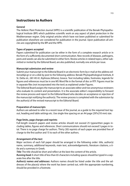# **Instructions to Authors**

## **General**

The Hellenic Plant Protection Journal (HPPJ) is a scientific publication of the Benaki Phytopathological Institute (BPI) which publishes scientific work on any aspect of plant protection in the Mediterranean region. Only original articles which have not been published or submitted for publication elsewhere are considered for publication in the journal. Upon publication all articles are copyrighted by the BPI and the HPPJ.

## **Types of papers accepted**

Papers submitted for publication can be either in the form of a complete research article or in the form of a sufficiently documented short communication. New records of diseases, pathogens, pests and weeds can also be submitted in either form. Review articles in related topics, either submitted or invited by the Editorial Board, are also published, normally one article per issue.

### **Manuscript submission and review**

Submit your manuscript to the Editorial Board in an electronic form by e-mail at the address editors@bpi.gr or on a disk by post to the following address: Benaki Phytopathological Institute, 8 St. Delta str., GR-145 61, Kiphissia (Athens), Greece. Text including tables, footnotes, legends for figures and references must be in one MS Word file in the format of doc or RTF. Figures must be in separate files (not incorporated into the text) as explained under Figures.

The Editorial Board assigns the manuscript to an associate editor and two anonymous reviewers who evaluate its content and presentation. It is the associate editor's responsibility to forward the review process and report to the Editorial Board who decides on acceptance or rejection of the manuscript notifying the author(s). The review process is completed with the submission by the author(s) of the revised manuscript to the Editorial Board.

### **Preparation of manuscripts**

Authors are advised to refer to a recent issue of the journal, as a guide to the required text layout, heading and table settings etc. Use single-line spacing on an A4 page (297x210 mm) size.

## **Page limits, page charges and reprints**

Full-length research papers and review articles should not exceed 25 typewritten pages including tables, figures and references. Short communications should not exceed 5 pages in total. There is no page charge for authors. Thirty (30) reprints of each paper are provided free of charge to the first author and 15 to each of the other authors.

### **Arrangement of the text**

Major sections of each full paper should be arranged in the following order: title, author(s) name, summary, additional keywords, main text, acknowledgements, literature citations, a title and a summary in Greek.

**Title:** The title should be short and reflect at the best the content of the article.

*Running head:* A short title of less than 65 characters including spaces should be typed in a separate line after the title.

*Author(s) names and addresses:* Authors names should be listed under the title and the addresses of the place(s) where the work has been carried out, with the appropriate numbering, should be provided in a footnote.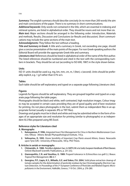*Summary:* The english summary should describe concisely (in no more than 200 words) the aim and main conclusions of the paper. There is no summary in short communications.

*Additional keywords:* Only words not contained in the title, which are essential in indexing and retrieval systems, are listed in alphabetical order. They should be nouns and not more than six. *Main text:* Major sections should be arranged in the following order: Introduction, Materials and methods, Results, Discussion and Conclusions (or Results and discussion). Short communications may include the same sections of the main text.

*Acknowledgments:* They follow the text without a heading.

*Title and Summary in Greek:* A title and a summary in Greek, not exceeding one page, should give a concise presentation of the main points of the paper. For non Greek-speaking authors the Editorial Board will provide the appropriate Greek title and summary.

Literature cited: References should be listed in alphabetical order of the name of the first author. The listed references should be numbered and cited in the text with the corresponding numbers in brackets. They should be set out (according to ISO 690, 1987) in the style shown below.

## **Units**

ISO 31 units should be used e.g. mg, km, mm, cm, m, l (liter), s (second). Units should be preferably explicit, e.g. 1 g/l rather than 0.1% w/v.

## **Tables**

Each table should be self explanatory and typed on a separate page following Literature cited.

## **Figures**

Legends for figures should be self explanatory. They are grouped together and typed on a separate page following the table pages.

Photographs should be black and white, well-contrasted, high resolution images. Colour images may be accepted in certain cases providing they are of good quality and of best resolution for printing. Do not place photographs in the text, submit them as independent files in an appropriate format (usually in separate JPG or TIFF files).

Drawings and graphs must be in black and white and may be submitted either in the form of images of an appropriate size and resolution for printing (similar to photographs) or as independent XLS files prepared using MS Excel.

## **Reference styles for Literature cited**

## **A. Monographs**

- **1. Katsoyannos, P. 1996.** Integrated Insect Pest Management for Citrus in Northern Mediterranean Countries. Kifissia - Athens: Benaki Phytopathological Institute, 110 p.
- **2. Velissariou, D. 1993.** Ozone Sensibility of Important Crop Plants around Athens, Greece. Newcastle upon Tyne (UK) : University of Newcastle, 100 p. PhD Thesis.

### **B. Articles in serials or monographs**

- **1. Chitzanidis, A. 1988.** Penicillium digitatum Sacc. In SMITH, IM. et al. (eds). European Handbook of Plant Diseases. Oxford: Blackwell Scientific Publications, p. 251-252.
- **2. Giannopolitis, C.N. and Vassiliou, G. 1989.** Propanil tolerance in Echinochloa crus-galli (L.) Beauv. Tropical Pest Management, **35:** 6-7.
- **3. Georgiou, P.P., Liapis, K.S., Miliadis, G.E. and Siskos, P.A. 2004.** Solid phase extraction cleanup of tomato samples for the determination of pesticide residues by Gas Chromatography-Electron Capture Detection. In Proceedings of the 3<sup>rd</sup> European Conference of Pesticides and Related Organic Micropollutants in the Environment, Halkidiki, Greece, 7-10 Oct. 2004, p. 276-280.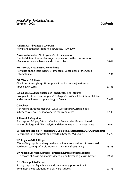# *Hellenic Plant Protection Journal* **Volume 1, 2008**

# **Contents**

| K. Elena, A.S. Alivizatos & C. Varveri<br>New plant pathogens reported in Greece, 1990-2007                                                                                                   | $1 - 25$  |
|-----------------------------------------------------------------------------------------------------------------------------------------------------------------------------------------------|-----------|
| A. Assimakopoulou, Y.E. Troyanos & Ch. Tsougrianis<br>Effect of different rates of nitrogen application on the concentration<br>of micronutrients in lettuce and spinach plants               | $26 - 31$ |
| P.G. Milonas, F. Kozár & D.C. Kontodimas<br>New data on the scale insects (Homoptera: Coccoidea) of the Greek<br>Entomofauna                                                                  | $32 - 34$ |
| P.G. Milonas & F. Kozár<br>Check list of mealybugs (Homoptera: Pseudococcidae) in Greece:<br>three new records                                                                                | $35 - 38$ |
| C. Souliotis, N.E. Papanikolaou, D. Papachristos & N. Fatouros<br>Host plants of the planthopper Metcalfa pruinosa (Say) (Hemiptera: Flatidae)<br>and observations on its phenology in Greece | $39 - 41$ |
| <b>C.</b> Souliotis<br>First record of Acalles barbarus (Lucas) (Coleoptera: Curculionidae)<br>in Greece. A serious pest of caper in the island of los                                        | $42 - 45$ |
| K. Elena & A. Grigoriou<br>First report of Phytophthora primulae in Greece: identification based<br>on morphology and DNA analysis and determination of its host range                        | 46-54     |
| M. Anagnou-Veroniki, P. Papaioannou-Souliotis, E. Karanastasi & C.N. Giannopolitis<br>New records of plant pests and weeds in Greece, 1990-2007                                               | 55-78     |
| Y.E. Troyanos & N.A. Hipps<br>Effect of Mg supply on the growth and mineral composition of pre-rooted<br>hardwood cuttings of "Colt" (P. avium L. x P. pseudocerasus L.)                      | 79-88     |
| E.V. Kapaxidi, D. Markoyiannaki-Printziou & P. Papaioannou-Souliotis<br>First record of Aceria cynodoniensis feeding on Bermuda grass in Greece                                               | 89-91     |
| C.N. Giannopolitis & V. Kati<br>Strong sorption of glyphosate and aminomethylphosponic acid<br>from methanolic solutions on glassware surfaces                                                | 93-98     |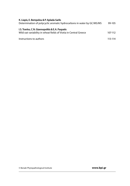| K. Liapis, E. Bempelou & P. Aplada-Sarlis<br>Determination of polycyclic aromatic hydrocarbons in water by GC/MS/MS  | 99-105  |
|----------------------------------------------------------------------------------------------------------------------|---------|
| I.S. Travlos, C.N. Giannopolitis & E.A. Paspatis<br>Wild oat variability in wheat fields of Viotia in Central Greece | 107-112 |
| Instructions to authors                                                                                              | 113-114 |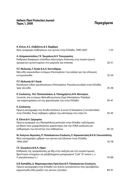# **Περιεχόμενα** *Hellenic Plant Protection Journal* **Τόμος 1, 2008**

| Κ. Ελένα, Α.Σ. Αλιβιζάτος & Χ. Βαρβέρη<br>Νέες αναφορές παθογόνων των φυτών στην Ελλάδα, 1990-2007                                                                                                    | $1-25$    |
|-------------------------------------------------------------------------------------------------------------------------------------------------------------------------------------------------------|-----------|
| Α. Ασημακοπούλου, Γ.Ε. Τρωγιάνος & Χ. Τσουγκριάνη<br>Επίδραση διαφόρων επιπέδων αζωτούχου λίπανσης στη συγκέντρωση<br>ορισμένων ιχνοστοιχείων στο μαρούλι και σπανάκι                                 | $26 - 31$ |
| Π.Γ. Μυλωνάς, F. Kozár & Δ.Χ. Κοντοδήμας<br>Νέα είδη κοκκοειδών εντόμων (Homoptera: Coccoidea) για την ελληνική<br>εντομοπανίδα                                                                       | 32-34     |
| Π.Γ. Μυλωνάς & F. Kozár<br>Κατάλογος ειδών ψευδοκόκκων (Homoptera: Pseudococcidae) στην Ελλάδα:<br>τρία νέα είδη                                                                                      | $35 - 38$ |
| Κ. Σουλιώτης, Ν.Ε. Παπανικολάου, Δ. Παπαχρήστος & Ν. Φατούρος<br>Ξενιστές του εντόμου Metcalfa pruinosa (Say) (Hemiptera: Flatidae)<br>και παρατηρήσεις επί της φαινολογίας του στην Ελλάδα           | 39-41     |
| Κ. Σουλιώτης<br>Πρώτη καταγραφή του Acalles barbarus (Lucas) (Coleoptera: Curculionidae)<br>στην Ελλάδα. Ένας σοβαρός εχθρός της κάππαρης στη νήσο Ίο                                                 | $42 - 45$ |
| Κ. Ελένα & Α. Γρηγορίου<br>Πρώτη αναφορά του Phytophthora primulae στην Ελλάδα: ταξινόμηση<br>με βάση τους μορφολογικούς χαρακτήρες και την rDNA ανάλυση και<br>καθορισμός των ξενιστών του παθογόνου | 46-54     |
| Μ. Ανάγνου-Βερονίκη, Π. Παπαϊωάννου-Σουλιώτη, Ε. Καραναστάση & Κ.Ν. Γιαννοπολίτης                                                                                                                     |           |
| Νέες καταγραφές εχθρών των φυτών και ζιζανίων στην Ελλάδα,<br>1990-2007                                                                                                                               | 55-78     |
| Γ.Ε. Τρωγιάνος & Ν.Α. Hipps<br>Επίδραση της τροφοδοσίας με Mg στην αύξηση και στη συγκέντρωση<br>θρεπτικών στοιχείων σε ριζοβολημένα μοσχεύματα "Colt" (P. avium L. x<br>P. pseudocerasus L.)         | 79-88     |
| Ε.Β. Καπαξίδη, Δ. Μαρκογιαννάκη-Πρίντζιου & Π. Παπαϊωάννου-Σουλιώτη<br>Πρώτη καταγραφή στην Ελλάδα του Aceria cynodoniensis που προσβάλλει<br>αγρωστώδη είδη γκαζόν του γένους Cynodon                | 89-91     |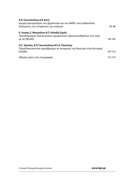| Κ.Ν. Γιαννοπολίτης & Β. Κατή<br>Ισχυρή προσρόφηση του glyphosate και του ΑΜΡΑ, από μεθανολικά<br>διαλύματα, στις επιφάνειες των υαλικών | 93-98   |
|-----------------------------------------------------------------------------------------------------------------------------------------|---------|
|                                                                                                                                         |         |
| Κ. Λιαπής, Ε. Μπεμπέλου & Π. Απλαδά-Σαρλή                                                                                               |         |
| Προσδιορισμός πολυκυκλικών αρωματικών υδρογονανθράκων στο νερό                                                                          |         |
| με GC/MS/MS                                                                                                                             | 99-105  |
| Η.Σ. Τραυλός, Κ.Ν. Γιαννοπολίτης & Ε.Α. Πασπάτης                                                                                        |         |
| Παραλλακτικότητα αγριοβρώμης σε σιταγρούς της Βοιωτίας στην Κεντρική                                                                    |         |
| Ελλάδα                                                                                                                                  | 107-112 |
| Οδηγίες προς τους συγγραφείς                                                                                                            | 113-114 |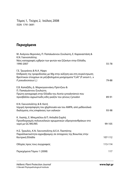Τόμος 1, Τεύχος 2, Ιούλιος 2008 ISSN 1791-3691

# **Περιεχόμενα**

| Μ. Ανάγνου-Βερονίκη, Π. Παπαϊωάννου-Σουλιώτη, Ε. Καραναστάση &<br>Κ.Ν. Γιαννοπολίτης                                                                                                          |         |
|-----------------------------------------------------------------------------------------------------------------------------------------------------------------------------------------------|---------|
| Νέες καταγραφές εχθρών των φυτών και ζιζανίων στην Ελλάδα,<br>1990-2007                                                                                                                       | 55-78   |
| Γ.Ε. Τρωγιάνος & Ν.Α. Hipps<br>Επίδραση της τροφοδοσίας με Mg στην αύξηση και στη συγκέντρωση<br>θρεπτικών στοιχείων σε ριζοβολημένα μοσχεύματα "Colt" (P. avium L. x<br>P. pseudocerasus L.) | 79-88   |
| Ε.Β. Καπαξίδη, Δ. Μαρκογιαννάκη-Πρίντζιου &<br>Π. Παπαϊωάννου-Σουλιώτη<br>Πρώτη καταγραφή στην Ελλάδα του Aceria cynodoniensis που<br>προσβάλλει αγρωστώδη είδη γκαζόν του γένους Cynodon     | 89-91   |
| Κ.Ν. Γιαννοπολίτης & Β. Κατή<br>Ισχυρή προσρόφηση του glyphosate και του ΑΜΡΑ, από μεθανολικά<br>διαλύματα, στις επιφάνειες των υαλικών                                                       | 93-98   |
| Κ. Λιαπής, Ε. Μπεμπέλου & Π. Απλαδά-Σαρλή<br>Προσδιορισμός πολυκυκλικών αρωματικών υδρογονανθράκων στο<br>νερό με GC/MS/MS                                                                    | 99-105  |
| Η.Σ. Τραυλός, Κ.Ν. Γιαννοπολίτης & Ε.Α. Πασπάτης<br>Παραλλακτικότητα αγριοβρώμης σε σιταγρούς της Βοιωτίας στην<br>Κεντρική Ελλάδα                                                            | 107-112 |
| Οδηγίες προς τους συγγραφείς                                                                                                                                                                  | 113-114 |
| Περιεχόμενα Τόμου 1 (2008)                                                                                                                                                                    | 117     |